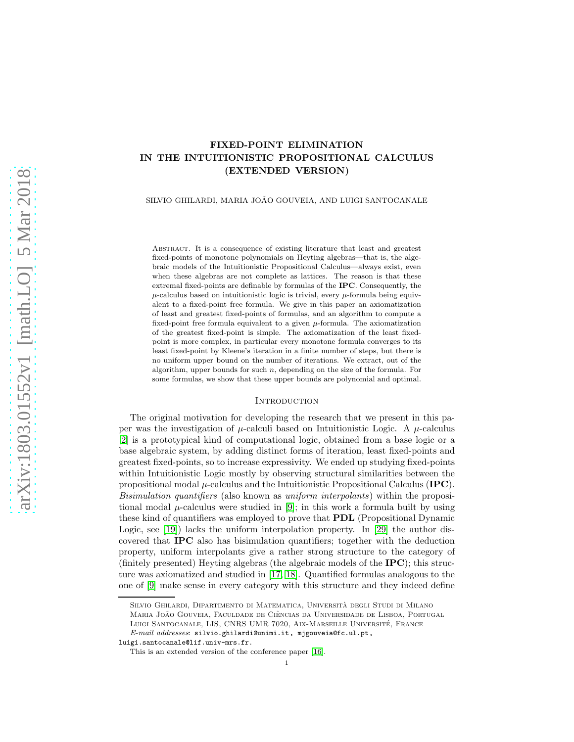# FIXED-POINT ELIMINATION IN THE INTUITIONISTIC PROPOSITIONAL CALCULUS (EXTENDED VERSION)

SILVIO GHILARDI, MARIA JOÃO GOUVEIA, AND LUIGI SANTOCANALE

ABSTRACT. It is a consequence of existing literature that least and greatest fixed-points of monotone polynomials on Heyting algebras—that is, the algebraic models of the Intuitionistic Propositional Calculus—always exist, even when these algebras are not complete as lattices. The reason is that these extremal fixed-points are definable by formulas of the IPC. Consequently, the  $\mu$ -calculus based on intuitionistic logic is trivial, every  $\mu$ -formula being equivalent to a fixed-point free formula. We give in this paper an axiomatization of least and greatest fixed-points of formulas, and an algorithm to compute a fixed-point free formula equivalent to a given  $\mu$ -formula. The axiomatization of the greatest fixed-point is simple. The axiomatization of the least fixedpoint is more complex, in particular every monotone formula converges to its least fixed-point by Kleene's iteration in a finite number of steps, but there is no uniform upper bound on the number of iterations. We extract, out of the algorithm, upper bounds for such  $n$ , depending on the size of the formula. For some formulas, we show that these upper bounds are polynomial and optimal.

# <span id="page-0-0"></span>**INTRODUCTION**

The original motivation for developing the research that we present in this paper was the investigation of  $\mu$ -calculi based on Intuitionistic Logic. A  $\mu$ -calculus [\[2\]](#page-36-0) is a prototypical kind of computational logic, obtained from a base logic or a base algebraic system, by adding distinct forms of iteration, least fixed-points and greatest fixed-points, so to increase expressivity. We ended up studying fixed-points within Intuitionistic Logic mostly by observing structural similarities between the propositional modal  $\mu$ -calculus and the Intuitionistic Propositional Calculus (IPC). *Bisimulation quantifiers* (also known as *uniform interpolants*) within the propositional modal  $\mu$ -calculus were studied in [\[9\]](#page-36-1); in this work a formula built by using these kind of quantifiers was employed to prove that PDL (Propositional Dynamic Logic, see [\[19\]](#page-37-0)) lacks the uniform interpolation property. In [\[29\]](#page-37-1) the author discovered that IPC also has bisimulation quantifiers; together with the deduction property, uniform interpolants give a rather strong structure to the category of (finitely presented) Heyting algebras (the algebraic models of the IPC); this structure was axiomatized and studied in [\[17,](#page-37-2) [18\]](#page-37-3). Quantified formulas analogous to the one of [\[9\]](#page-36-1) make sense in every category with this structure and they indeed define

Silvio Ghilardi, Dipartimento di Matematica, Universita degli Studi di Milano ` Maria João Gouveia, Faculdade de Ciências da Universidade de Lisboa, Portugal Luigi Santocanale, LIS, CNRS UMR 7020, Aix-Marseille Université, France *E-mail addresses*: silvio.ghilardi@unimi.it, mjgouveia@fc.ul.pt,

luigi.santocanale@lif.univ-mrs.fr.

This is an extended version of the conference paper [\[16\]](#page-37-4).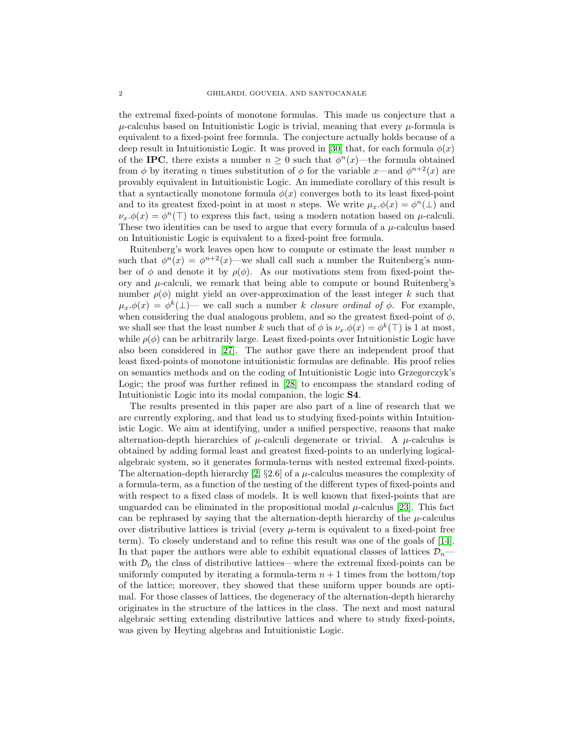the extremal fixed-points of monotone formulas. This made us conjecture that a  $\mu$ -calculus based on Intuitionistic Logic is trivial, meaning that every  $\mu$ -formula is equivalent to a fixed-point free formula. The conjecture actually holds because of a deep result in Intuitionistic Logic. It was proved in [\[30\]](#page-37-5) that, for each formula  $\phi(x)$ of the **IPC**, there exists a number  $n \geq 0$  such that  $\phi^{n}(x)$ —the formula obtained from  $\phi$  by iterating *n* times substitution of  $\phi$  for the variable x—and  $\phi^{n+2}(x)$  are provably equivalent in Intuitionistic Logic. An immediate corollary of this result is that a syntactically monotone formula  $\phi(x)$  converges both to its least fixed-point and to its greatest fixed-point in at most n steps. We write  $\mu_x.\phi(x) = \phi^n(\perp)$  and  $\nu_x.\phi(x) = \phi^n(\top)$  to express this fact, using a modern notation based on  $\mu$ -calculi. These two identities can be used to argue that every formula of a  $\mu$ -calculus based on Intuitionistic Logic is equivalent to a fixed-point free formula.

Ruitenberg's work leaves open how to compute or estimate the least number  $n$ such that  $\phi^{n}(x) = \phi^{n+2}(x)$ —we shall call such a number the Ruitenberg's number of  $\phi$  and denote it by  $\rho(\phi)$ . As our motivations stem from fixed-point theory and  $\mu$ -calculi, we remark that being able to compute or bound Ruitenberg's number  $\rho(\phi)$  might yield an over-approximation of the least integer k such that  $\mu_x.\phi(x) = \phi^k(\perp)$ — we call such a number k *closure ordinal of*  $\phi$ . For example, when considering the dual analogous problem, and so the greatest fixed-point of  $\phi$ , we shall see that the least number k such that of  $\phi$  is  $\nu_x.\phi(x) = \phi^k(\top)$  is 1 at most, while  $\rho(\phi)$  can be arbitrarily large. Least fixed-points over Intuitionistic Logic have also been considered in [\[27\]](#page-37-6). The author gave there an independent proof that least fixed-points of monotone intuitionistic formulas are definable. His proof relies on semantics methods and on the coding of Intuitionistic Logic into Grzegorczyk's Logic; the proof was further refined in [\[28\]](#page-37-7) to encompass the standard coding of Intuitionistic Logic into its modal companion, the logic S4.

The results presented in this paper are also part of a line of research that we are currently exploring, and that lead us to studying fixed-points within Intuitionistic Logic. We aim at identifying, under a unified perspective, reasons that make alternation-depth hierarchies of  $\mu$ -calculi degenerate or trivial. A  $\mu$ -calculus is obtained by adding formal least and greatest fixed-points to an underlying logicalalgebraic system, so it generates formula-terms with nested extremal fixed-points. The alternation-depth hierarchy  $[2, §2.6]$  of a  $\mu$ -calculus measures the complexity of a formula-term, as a function of the nesting of the different types of fixed-points and with respect to a fixed class of models. It is well known that fixed-points that are unguarded can be eliminated in the propositional modal  $\mu$ -calculus [\[23\]](#page-37-8). This fact can be rephrased by saying that the alternation-depth hierarchy of the  $\mu$ -calculus over distributive lattices is trivial (every  $\mu$ -term is equivalent to a fixed-point free term). To closely understand and to refine this result was one of the goals of [\[14\]](#page-36-2). In that paper the authors were able to exhibit equational classes of lattices  $\mathcal{D}_n$  with  $\mathcal{D}_0$  the class of distributive lattices—where the extremal fixed-points can be uniformly computed by iterating a formula-term  $n + 1$  times from the bottom/top of the lattice; moreover, they showed that these uniform upper bounds are optimal. For those classes of lattices, the degeneracy of the alternation-depth hierarchy originates in the structure of the lattices in the class. The next and most natural algebraic setting extending distributive lattices and where to study fixed-points, was given by Heyting algebras and Intuitionistic Logic.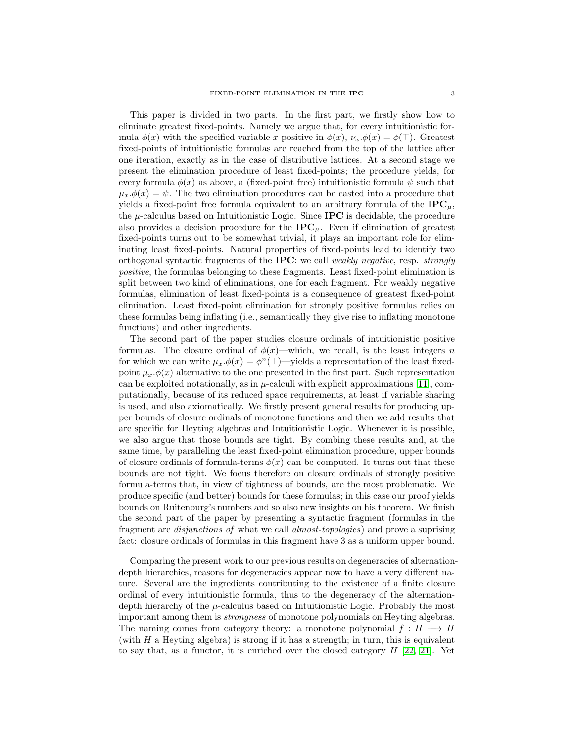This paper is divided in two parts. In the first part, we firstly show how to eliminate greatest fixed-points. Namely we argue that, for every intuitionistic formula  $\phi(x)$  with the specified variable x positive in  $\phi(x)$ ,  $\nu_x.\phi(x) = \phi(\top)$ . Greatest fixed-points of intuitionistic formulas are reached from the top of the lattice after one iteration, exactly as in the case of distributive lattices. At a second stage we present the elimination procedure of least fixed-points; the procedure yields, for every formula  $\phi(x)$  as above, a (fixed-point free) intuitionistic formula  $\psi$  such that  $\mu_x \phi(x) = \psi$ . The two elimination procedures can be casted into a procedure that yields a fixed-point free formula equivalent to an arbitrary formula of the  $\text{IPC}_{\mu}$ , the  $\mu$ -calculus based on Intuitionistic Logic. Since **IPC** is decidable, the procedure also provides a decision procedure for the  $\text{IPC}_{\mu}$ . Even if elimination of greatest fixed-points turns out to be somewhat trivial, it plays an important role for eliminating least fixed-points. Natural properties of fixed-points lead to identify two orthogonal syntactic fragments of the IPC: we call *weakly negative*, resp. *strongly positive*, the formulas belonging to these fragments. Least fixed-point elimination is split between two kind of eliminations, one for each fragment. For weakly negative formulas, elimination of least fixed-points is a consequence of greatest fixed-point elimination. Least fixed-point elimination for strongly positive formulas relies on these formulas being inflating (i.e., semantically they give rise to inflating monotone functions) and other ingredients.

The second part of the paper studies closure ordinals of intuitionistic positive formulas. The closure ordinal of  $\phi(x)$ —which, we recall, is the least integers n for which we can write  $\mu_x \phi(x) = \phi^n(\perp)$ —yields a representation of the least fixedpoint  $\mu_x.\phi(x)$  alternative to the one presented in the first part. Such representation can be exploited notationally, as in  $\mu$ -calculi with explicit approximations [\[11\]](#page-36-3), computationally, because of its reduced space requirements, at least if variable sharing is used, and also axiomatically. We firstly present general results for producing upper bounds of closure ordinals of monotone functions and then we add results that are specific for Heyting algebras and Intuitionistic Logic. Whenever it is possible, we also argue that those bounds are tight. By combing these results and, at the same time, by paralleling the least fixed-point elimination procedure, upper bounds of closure ordinals of formula-terms  $\phi(x)$  can be computed. It turns out that these bounds are not tight. We focus therefore on closure ordinals of strongly positive formula-terms that, in view of tightness of bounds, are the most problematic. We produce specific (and better) bounds for these formulas; in this case our proof yields bounds on Ruitenburg's numbers and so also new insights on his theorem. We finish the second part of the paper by presenting a syntactic fragment (formulas in the fragment are *disjunctions of* what we call *almost-topologies*) and prove a suprising fact: closure ordinals of formulas in this fragment have 3 as a uniform upper bound.

Comparing the present work to our previous results on degeneracies of alternationdepth hierarchies, reasons for degeneracies appear now to have a very different nature. Several are the ingredients contributing to the existence of a finite closure ordinal of every intuitionistic formula, thus to the degeneracy of the alternationdepth hierarchy of the  $\mu$ -calculus based on Intuitionistic Logic. Probably the most important among them is *strongness* of monotone polynomials on Heyting algebras. The naming comes from category theory: a monotone polynomial  $f : H \longrightarrow H$ (with  $H$  a Heyting algebra) is strong if it has a strength; in turn, this is equivalent to say that, as a functor, it is enriched over the closed category  $H$  [\[22,](#page-37-9) [21\]](#page-37-10). Yet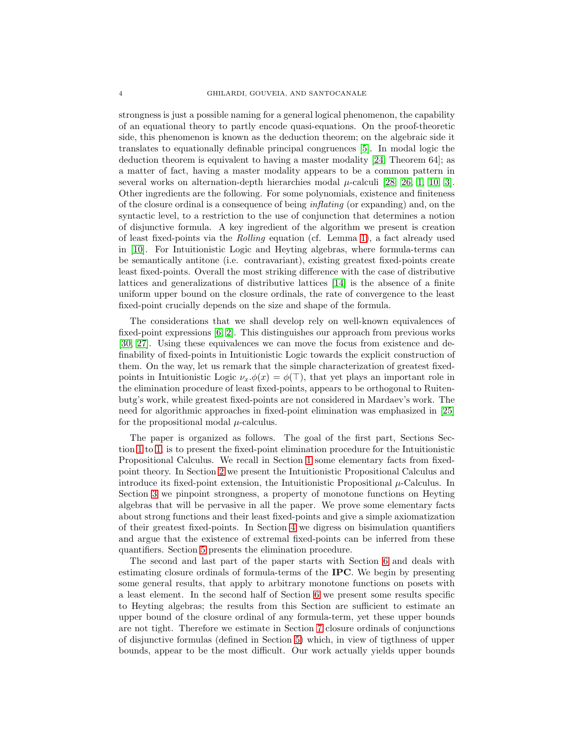strongness is just a possible naming for a general logical phenomenon, the capability of an equational theory to partly encode quasi-equations. On the proof-theoretic side, this phenomenon is known as the deduction theorem; on the algebraic side it translates to equationally definable principal congruences [\[5\]](#page-36-4). In modal logic the deduction theorem is equivalent to having a master modality [\[24,](#page-37-11) Theorem 64]; as a matter of fact, having a master modality appears to be a common pattern in several works on alternation-depth hierarchies modal  $\mu$ -calculi [\[28,](#page-37-7) [26,](#page-37-12) [1,](#page-36-5) [10,](#page-36-6) [3\]](#page-36-7). Other ingredients are the following. For some polynomials, existence and finiteness of the closure ordinal is a consequence of being *inflating* (or expanding) and, on the syntactic level, to a restriction to the use of conjunction that determines a notion of disjunctive formula. A key ingredient of the algorithm we present is creation of least fixed-points via the *Rolling* equation (cf. Lemma [1\)](#page-5-0), a fact already used in [\[10\]](#page-36-6). For Intuitionistic Logic and Heyting algebras, where formula-terms can be semantically antitone (i.e. contravariant), existing greatest fixed-points create least fixed-points. Overall the most striking difference with the case of distributive lattices and generalizations of distributive lattices [\[14\]](#page-36-2) is the absence of a finite uniform upper bound on the closure ordinals, the rate of convergence to the least fixed-point crucially depends on the size and shape of the formula.

The considerations that we shall develop rely on well-known equivalences of fixed-point expressions [\[6,](#page-36-8) [2\]](#page-36-0). This distinguishes our approach from previous works [\[30,](#page-37-5) [27\]](#page-37-6). Using these equivalences we can move the focus from existence and definability of fixed-points in Intuitionistic Logic towards the explicit construction of them. On the way, let us remark that the simple characterization of greatest fixedpoints in Intuitionistic Logic  $\nu_x.\phi(x) = \phi(\top)$ , that yet plays an important role in the elimination procedure of least fixed-points, appears to be orthogonal to Ruitenbutg's work, while greatest fixed-points are not considered in Mardaev's work. The need for algorithmic approaches in fixed-point elimination was emphasized in [\[25\]](#page-37-13) for the propositional modal  $\mu$ -calculus.

The paper is organized as follows. The goal of the first part, Sections Section [1](#page-5-1) to [1,](#page-5-1) is to present the fixed-point elimination procedure for the Intuitionistic Propositional Calculus. We recall in Section [1](#page-5-1) some elementary facts from fixedpoint theory. In Section [2](#page-6-0) we present the Intuitionistic Propositional Calculus and introduce its fixed-point extension, the Intuitionistic Propositional  $\mu$ -Calculus. In Section [3](#page-9-0) we pinpoint strongness, a property of monotone functions on Heyting algebras that will be pervasive in all the paper. We prove some elementary facts about strong functions and their least fixed-points and give a simple axiomatization of their greatest fixed-points. In Section [4](#page-10-0) we digress on bisimulation quantifiers and argue that the existence of extremal fixed-points can be inferred from these quantifiers. Section [5](#page-12-0) presents the elimination procedure.

The second and last part of the paper starts with Section [6](#page-17-0) and deals with estimating closure ordinals of formula-terms of the IPC. We begin by presenting some general results, that apply to arbitrary monotone functions on posets with a least element. In the second half of Section [6](#page-17-0) we present some results specific to Heyting algebras; the results from this Section are sufficient to estimate an upper bound of the closure ordinal of any formula-term, yet these upper bounds are not tight. Therefore we estimate in Section [7](#page-24-0) closure ordinals of conjunctions of disjunctive formulas (defined in Section [5\)](#page-12-0) which, in view of tigthness of upper bounds, appear to be the most difficult. Our work actually yields upper bounds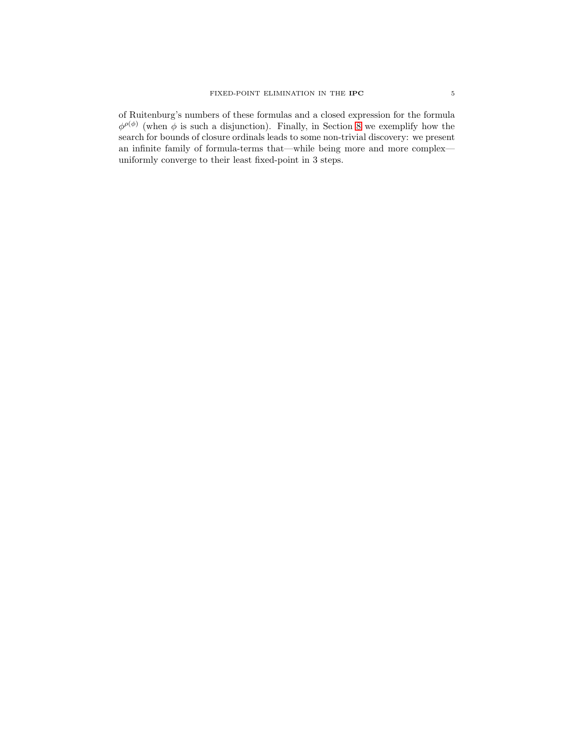of Ruitenburg's numbers of these formulas and a closed expression for the formula  $\phi^{\rho(\phi)}$  (when  $\phi$  is such a disjunction). Finally, in Section [8](#page-32-0) we exemplify how the search for bounds of closure ordinals leads to some non-trivial discovery: we present an infinite family of formula-terms that—while being more and more complex uniformly converge to their least fixed-point in 3 steps.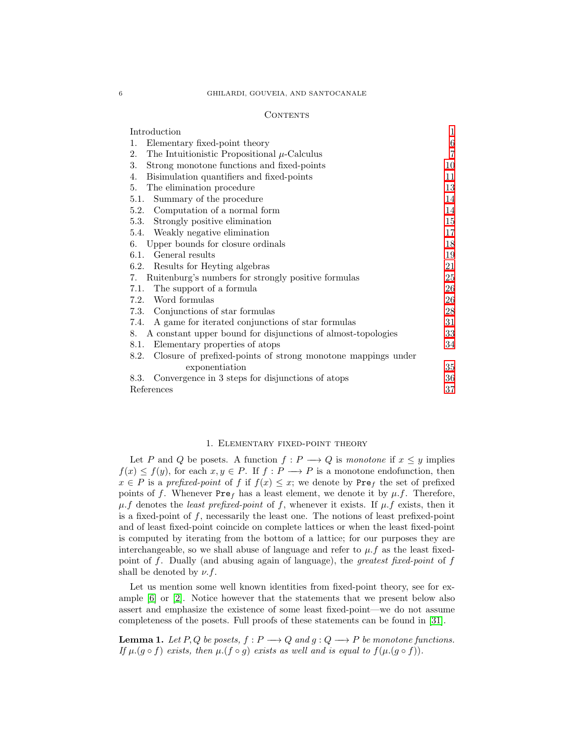### 6 GHILARDI, GOUVEIA, AND SANTOCANALE

#### **CONTENTS**

| Introduction                                                         | 1              |
|----------------------------------------------------------------------|----------------|
| Elementary fixed-point theory<br>1.                                  | 6              |
| The Intuitionistic Propositional $\mu$ -Calculus<br>2.               | $\overline{7}$ |
| 3.<br>Strong monotone functions and fixed-points                     | 10             |
| Bisimulation quantifiers and fixed-points<br>4.                      | 11             |
| The elimination procedure<br>5.                                      | 13             |
| Summary of the procedure<br>5.1.                                     | 14             |
| Computation of a normal form<br>5.2.                                 | 14             |
| 5.3. Strongly positive elimination                                   | 15             |
| 5.4. Weakly negative elimination                                     | 17             |
| Upper bounds for closure ordinals<br>6.                              | 18             |
| General results<br>6.1.                                              | 19             |
| 6.2.<br>Results for Heyting algebras                                 | 21             |
| Ruitenburg's numbers for strongly positive formulas<br>7.            | 25             |
| The support of a formula<br>7.1.                                     | 26             |
| Word formulas<br>7.2.                                                | 26             |
| 7.3. Conjunctions of star formulas                                   | 28             |
| A game for iterated conjunctions of star formulas<br>7.4.            | 31             |
| A constant upper bound for disjunctions of almost-topologies<br>8.   | 33             |
| Elementary properties of atops<br>8.1.                               | 34             |
| Closure of prefixed-points of strong monotone mappings under<br>8.2. |                |
| exponentiation                                                       | 35             |
| Convergence in 3 steps for disjunctions of atops<br>8.3.             | 36             |
| References                                                           | 37             |

## 1. Elementary fixed-point theory

<span id="page-5-1"></span>Let P and Q be posets. A function  $f: P \longrightarrow Q$  is *monotone* if  $x \leq y$  implies  $f(x) \leq f(y)$ , for each  $x, y \in P$ . If  $f : P \longrightarrow P$  is a monotone endofunction, then  $x \in P$  is a *prefixed-point* of f if  $f(x) \leq x$ ; we denote by Pref the set of prefixed points of f. Whenever  $\text{Pre}_f$  has a least element, we denote it by  $\mu.f$ . Therefore,  $\mu.f$  denotes the *least prefixed-point* of f, whenever it exists. If  $\mu.f$  exists, then it is a fixed-point of f, necessarily the least one. The notions of least prefixed-point and of least fixed-point coincide on complete lattices or when the least fixed-point is computed by iterating from the bottom of a lattice; for our purposes they are interchangeable, so we shall abuse of language and refer to  $\mu.f$  as the least fixedpoint of f. Dually (and abusing again of language), the *greatest fixed-point* of f shall be denoted by  $\nu.f$ .

Let us mention some well known identities from fixed-point theory, see for example [\[6\]](#page-36-8) or [\[2\]](#page-36-0). Notice however that the statements that we present below also assert and emphasize the existence of some least fixed-point—we do not assume completeness of the posets. Full proofs of these statements can be found in [\[31\]](#page-37-14).

<span id="page-5-0"></span>**Lemma 1.** Let P, Q be posets,  $f : P \longrightarrow Q$  and  $g : Q \longrightarrow P$  be monotone functions. *If*  $\mu$ .( $g \circ f$ ) *exists, then*  $\mu$ .( $f \circ g$ ) *exists as well and is equal to*  $f(\mu$ .( $g \circ f)$ ).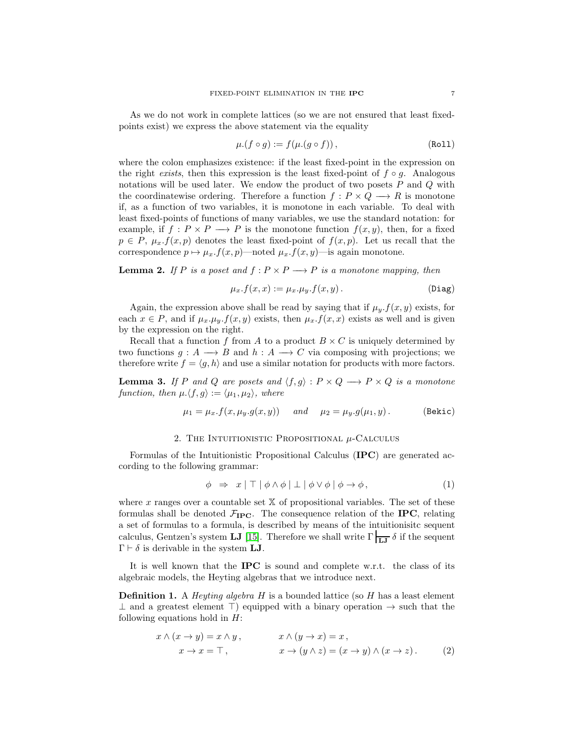As we do not work in complete lattices (so we are not ensured that least fixedpoints exist) we express the above statement via the equality

<span id="page-6-4"></span>
$$
\mu.(f \circ g) := f(\mu.(g \circ f)), \tag{Roll}
$$

where the colon emphasizes existence: if the least fixed-point in the expression on the right *exists*, then this expression is the least fixed-point of  $f \circ g$ . Analogous notations will be used later. We endow the product of two posets  $P$  and  $Q$  with the coordinatewise ordering. Therefore a function  $f : P \times Q \longrightarrow R$  is monotone if, as a function of two variables, it is monotone in each variable. To deal with least fixed-points of functions of many variables, we use the standard notation: for example, if  $f : P \times P \longrightarrow P$  is the monotone function  $f(x, y)$ , then, for a fixed  $p \in P$ ,  $\mu_x.f(x,p)$  denotes the least fixed-point of  $f(x,p)$ . Let us recall that the correspondence  $p \mapsto \mu_x.f(x, p)$ —noted  $\mu_x.f(x, y)$ —is again monotone.

**Lemma 2.** *If* P *is a poset and*  $f : P \times P \longrightarrow P$  *is a monotone mapping, then* 

<span id="page-6-6"></span><span id="page-6-2"></span>
$$
\mu_x.f(x,x) := \mu_x.\mu_y.f(x,y). \tag{Diag}
$$

Again, the expression above shall be read by saying that if  $\mu_y$ ,  $f(x, y)$  exists, for each  $x \in P$ , and if  $\mu_x \mu_y \cdot f(x, y)$  exists, then  $\mu_x \cdot f(x, x)$  exists as well and is given by the expression on the right.

Recall that a function f from A to a product  $B \times C$  is uniquely determined by two functions  $g : A \longrightarrow B$  and  $h : A \longrightarrow C$  via composing with projections; we therefore write  $f = \langle g, h \rangle$  and use a similar notation for products with more factors.

<span id="page-6-5"></span>**Lemma 3.** *If* P and Q are posets and  $\langle f, g \rangle : P \times Q \longrightarrow P \times Q$  is a monotone *function, then*  $\mu.\langle f, g \rangle := \langle \mu_1, \mu_2 \rangle$ *, where* 

$$
\mu_1 = \mu_x \cdot f(x, \mu_y \cdot g(x, y)) \quad \text{and} \quad \mu_2 = \mu_y \cdot g(\mu_1, y). \tag{Bekic}
$$

# 2. THE INTUITIONISTIC PROPOSITIONAL  $\mu$ -Calculus

<span id="page-6-0"></span>Formulas of the Intuitionistic Propositional Calculus (IPC) are generated according to the following grammar:

<span id="page-6-1"></span>
$$
\phi \Rightarrow x \mid \top \mid \phi \land \phi \mid \bot \mid \phi \lor \phi \mid \phi \to \phi,
$$
\n<sup>(1)</sup>

where x ranges over a countable set  $X$  of propositional variables. The set of these formulas shall be denoted  $\mathcal{F}_{\text{IPC}}$ . The consequence relation of the **IPC**, relating a set of formulas to a formula, is described by means of the intuitionisitc sequent calculus, Gentzen's system LJ [\[15\]](#page-36-10). Therefore we shall write  $\Gamma$  LJ  $\delta$  if the sequent  $\Gamma \vdash \delta$  is derivable in the system **LJ**.

It is well known that the **IPC** is sound and complete w.r.t. the class of its algebraic models, the Heyting algebras that we introduce next.

**Definition 1.** A *Heyting algebra* H is a bounded lattice (so H has a least element  $\perp$  and a greatest element  $\perp$ ) equipped with a binary operation  $\rightarrow$  such that the following equations hold in  $H$ :

<span id="page-6-3"></span>
$$
x \wedge (x \to y) = x \wedge y, \qquad x \wedge (y \to x) = x, \n x \to x = \top, \qquad x \to (y \wedge z) = (x \to y) \wedge (x \to z).
$$
 (2)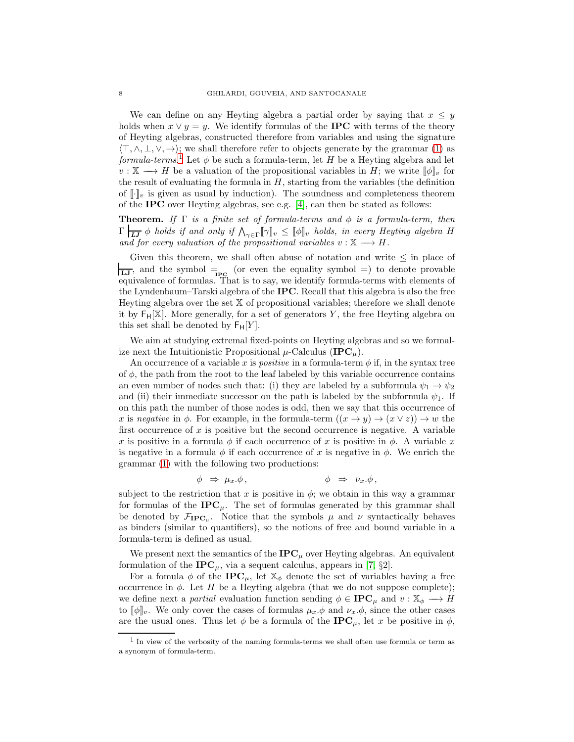We can define on any Heyting algebra a partial order by saying that  $x \leq y$ holds when  $x \vee y = y$ . We identify formulas of the **IPC** with terms of the theory of Heyting algebras, constructed therefore from variables and using the signature  $\langle \top, \wedge, \bot, \vee, \rightarrow \rangle$ ; we shall therefore refer to objects generate by the grammar [\(1\)](#page-6-1) as  $formula-terms.$ <sup>[1](#page-7-0)</sup> Let  $\phi$  be such a formula-term, let H be a Heyting algebra and let  $v : \mathbb{X} \longrightarrow H$  be a valuation of the propositional variables in H; we write  $\llbracket \phi \rrbracket_v$  for the result of evaluating the formula in  $H$ , starting from the variables (the definition of  $\llbracket \cdot \rrbracket_v$  is given as usual by induction). The soundness and completeness theorem of the IPC over Heyting algebras, see e.g. [\[4\]](#page-36-11), can then be stated as follows:

**Theorem.** *If*  $\Gamma$  *is a finite set of formula-terms and*  $\phi$  *is a formula-term, then*  $\Gamma\mid_{\overline{LJ}}\phi$  *holds if and only if*  $\bigwedge_{\gamma\in\Gamma}[\![\gamma]\!]_v \leq [\![\phi]\!]_v$  *holds, in every Heyting algebra H and for every valuation of the propositional variables*  $v : \mathbb{X} \longrightarrow H$ .

Given this theorem, we shall often abuse of notation and write  $\leq$  in place of  $\overline{LJ}$ , and the symbol  $\equiv$ <sub>IPC</sub> (or even the equality symbol  $\equiv$ ) to denote provable equivalence of formulas. That is to say, we identify formula-terms with elements of the Lyndenbaum–Tarski algebra of the IPC. Recall that this algebra is also the free Heyting algebra over the set X of propositional variables; therefore we shall denote it by  $F_H[X]$ . More generally, for a set of generators Y, the free Heyting algebra on this set shall be denoted by  $F_H[Y]$ .

We aim at studying extremal fixed-points on Heyting algebras and so we formalize next the Intuitionistic Propositional  $\mu$ -Calculus (**IPC** $_{\mu}$ ).

An occurrence of a variable x is *positive* in a formula-term  $\phi$  if, in the syntax tree of  $\phi$ , the path from the root to the leaf labeled by this variable occurrence contains an even number of nodes such that: (i) they are labeled by a subformula  $\psi_1 \rightarrow \psi_2$ and (ii) their immediate successor on the path is labeled by the subformula  $\psi_1$ . If on this path the number of those nodes is odd, then we say that this occurrence of x is *negative* in  $\phi$ . For example, in the formula-term  $((x \rightarrow y) \rightarrow (x \vee z)) \rightarrow w$  the first occurrence of x is positive but the second occurrence is negative. A variable x is positive in a formula  $\phi$  if each occurrence of x is positive in  $\phi$ . A variable x is negative in a formula  $\phi$  if each occurrence of x is negative in  $\phi$ . We enrich the grammar [\(1\)](#page-6-1) with the following two productions:

$$
\phi \Rightarrow \mu_x.\phi\,, \qquad \phi \Rightarrow \nu_x.\phi\,,
$$

subject to the restriction that x is positive in  $\phi$ ; we obtain in this way a grammar for formulas of the  $IPC_\mu$ . The set of formulas generated by this grammar shall be denoted by  $\mathcal{F}_{\text{IPC}_\mu}$ . Notice that the symbols  $\mu$  and  $\nu$  syntactically behaves as binders (similar to quantifiers), so the notions of free and bound variable in a formula-term is defined as usual.

We present next the semantics of the  $\text{IPC}_{\mu}$  over Heyting algebras. An equivalent formulation of the  $\text{IPC}_{\mu}$ , via a sequent calculus, appears in [\[7,](#page-36-12) §2].

For a fomula  $\phi$  of the **IPC**<sub> $\mu$ </sub>, let  $\mathbb{X}_{\phi}$  denote the set of variables having a free occurrence in  $\phi$ . Let H be a Heyting algebra (that we do not suppose complete); we define next a *partial* evaluation function sending  $\phi \in \mathbf{IPC}_\mu$  and  $v : \mathbb{X}_\phi \longrightarrow H$ to  $\llbracket \phi \rrbracket_v$ . We only cover the cases of formulas  $\mu_x \phi$  and  $\nu_x \phi$ , since the other cases are the usual ones. Thus let  $\phi$  be a formula of the **IPC**<sub> $\mu$ </sub>, let x be positive in  $\phi$ ,

<span id="page-7-0"></span><sup>&</sup>lt;sup>1</sup> In view of the verbosity of the naming formula-terms we shall often use formula or term as a synonym of formula-term.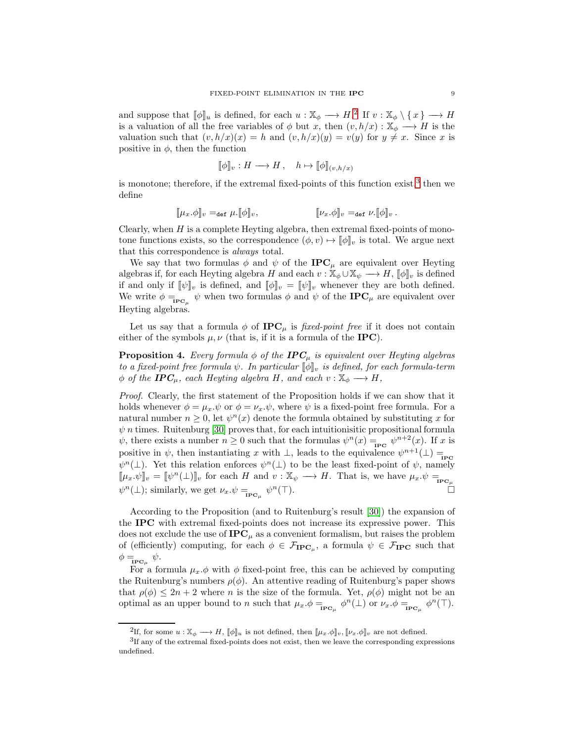and suppose that  $[\![\phi]\!]_u$  is defined, for each  $u : \mathbb{X}_{\phi} \longrightarrow H$ .<sup>[2](#page-8-0)</sup> If  $v : \mathbb{X}_{\phi} \setminus \{x\} \longrightarrow H$ is a valuation of all the free variables of  $\phi$  but x, then  $(v, h/x) : \mathbb{X}_{\phi} \longrightarrow H$  is the valuation such that  $(v, h/x)(x) = h$  and  $(v, h/x)(y) = v(y)$  for  $y \neq x$ . Since x is positive in  $\phi$ , then the function

$$
[\![\phi]\!]_v : H \longrightarrow H \,, \quad h \mapsto [\![\phi]\!]_{(v,h/x)}
$$

is monotone; therefore, if the extremal fixed-points of this function exist,<sup>[3](#page-8-1)</sup> then we define

$$
[\![\mu_x.\phi]\!]_v =_{\texttt{def}} \mu . [\![\phi]\!]_v, \qquad \qquad [\![\nu_x.\phi]\!]_v =_{\texttt{def}} \nu . [\![\phi]\!]_v \, .
$$

Clearly, when  $H$  is a complete Heyting algebra, then extremal fixed-points of monotone functions exists, so the correspondence  $(\phi, v) \mapsto \llbracket \phi \rrbracket_v$  is total. We argue next that this correspondence is *always* total.

We say that two formulas  $\phi$  and  $\psi$  of the **IPC**<sub> $\mu$ </sub> are equivalent over Heyting algebras if, for each Heyting algebra H and each  $v : \mathbb{X}_{\phi} \cup \mathbb{X}_{\psi} \longrightarrow H$ ,  $\llbracket \phi \rrbracket_v$  is defined if and only if  $[\![\psi]\!]_v$  is defined, and  $[\![\phi]\!]_v = [\![\psi]\!]_v$  whenever they are both defined. We write  $\phi = \mu_{\mathbf{PC}_{\mu}} \psi$  when two formulas  $\phi$  and  $\psi$  of the  $\mathbf{IPC}_{\mu}$  are equivalent over Heyting algebras.

Let us say that a formula  $\phi$  of **IPC**<sub> $\mu$ </sub> is *fixed-point free* if it does not contain either of the symbols  $\mu, \nu$  (that is, if it is a formula of the **IPC**).

<span id="page-8-2"></span>**Proposition 4.** *Every formula*  $\phi$  *of the IPC<sub>µ</sub> is equivalent over Heyting algebras to a fixed-point free formula*  $\psi$ *. In particular*  $[\![\phi]\!]_v$  *is defined, for each formula-term*  $\phi$  *of the* **IPC**<sub> $\mu$ </sub>, each Heyting algebra H, and each  $v : \mathbb{X}_{\phi} \longrightarrow H$ ,

*Proof.* Clearly, the first statement of the Proposition holds if we can show that it holds whenever  $\phi = \mu_x \psi$  or  $\phi = \nu_x \psi$ , where  $\psi$  is a fixed-point free formula. For a natural number  $n \geq 0$ , let  $\psi^{n}(x)$  denote the formula obtained by substituting x for  $\psi$  n times. Ruitenburg [\[30\]](#page-37-5) proves that, for each intuitionisitic propositional formula  $\psi$ , there exists a number  $n \geq 0$  such that the formulas  $\psi^{n}(x) =$ <sub>IPC</sub>  $\psi^{n+2}(x)$ . If x is positive in  $\psi$ , then instantiating x with  $\bot$ , leads to the equivalence  $\psi^{n+1}(\bot) =$  $\psi^{n}(\perp)$ . Yet this relation enforces  $\psi^{n}(\perp)$  to be the least fixed-point of  $\psi$ , namely  $[\![\mu_x.\psi]\!]_v = [\![\psi^n(\bot)]\!]_v$  for each H and  $v : \mathbb{X}_{\psi} \longrightarrow H$ . That is, we have  $\mu_x.\psi =_{\mathbf{IPC}_{\mu}}$  $\psi^n(\perp)$ ; similarly, we get  $\nu_x.\psi =_{\mathbf{P} \mathbf{C}_\mu} \psi$  $n(\top).$ 

According to the Proposition (and to Ruitenburg's result [\[30\]](#page-37-5)) the expansion of the IPC with extremal fixed-points does not increase its expressive power. This does not exclude the use of  $\text{IPC}_{\mu}$  as a convenient formalism, but raises the problem of (efficiently) computing, for each  $\phi \in \mathcal{F}_{\text{IPC}_\mu}$ , a formula  $\psi \in \mathcal{F}_{\text{IPC}}$  such that  $\phi =_{_{\mathbf{IPC}_\mu}} \psi.$ 

For a formula  $\mu_x$ . $\phi$  with  $\phi$  fixed-point free, this can be achieved by computing the Ruitenburg's numbers  $\rho(\phi)$ . An attentive reading of Ruitenburg's paper shows that  $\rho(\phi) \leq 2n + 2$  where *n* is the size of the formula. Yet,  $\rho(\phi)$  might not be an optimal as an upper bound to n such that  $\mu_x \phi =_{_{\mathbf{IPC}_\mu}} \phi^n(\bot)$  or  $\nu_x \phi =_{_{\mathbf{IPC}_\mu}} \phi^n(\top)$ .

<span id="page-8-0"></span><sup>&</sup>lt;sup>2</sup>If, for some  $u: \mathbb{X}_{\phi} \longrightarrow H$ ,  $[\![\phi]\!]_u$  is not defined, then  $[\![\mu_x, \phi]\!]_v$ ,  $[\![\nu_x, \phi]\!]_v$  are not defined.

<span id="page-8-1"></span> ${}^{3}$ If any of the extremal fixed-points does not exist, then we leave the corresponding expressions undefined.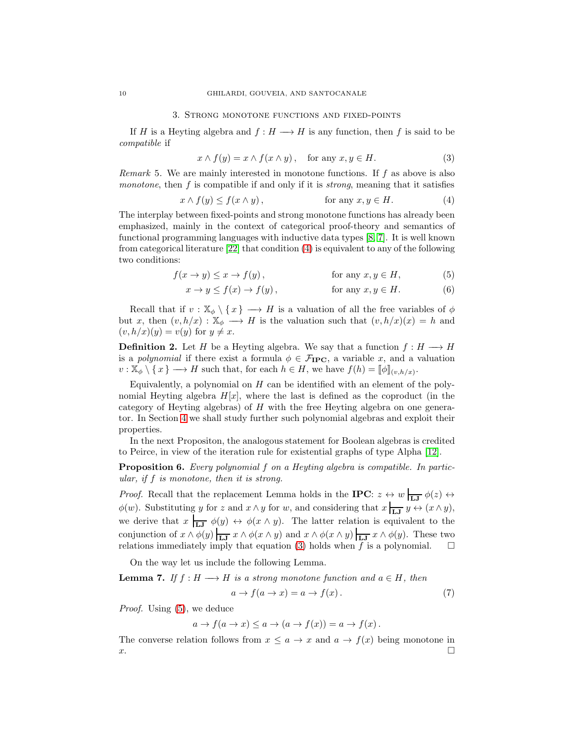#### 3. Strong monotone functions and fixed-points

<span id="page-9-0"></span>If H is a Heyting algebra and  $f : H \longrightarrow H$  is any function, then f is said to be *compatible* if

<span id="page-9-2"></span><span id="page-9-1"></span>
$$
x \wedge f(y) = x \wedge f(x \wedge y), \quad \text{for any } x, y \in H. \tag{3}
$$

*Remark* 5*.* We are mainly interested in monotone functions. If f as above is also *monotone*, then f is compatible if and only if it is *strong*, meaning that it satisfies

$$
x \wedge f(y) \le f(x \wedge y), \qquad \text{for any } x, y \in H. \tag{4}
$$

The interplay between fixed-points and strong monotone functions has already been emphasized, mainly in the context of categorical proof-theory and semantics of functional programming languages with inductive data types [\[8,](#page-36-13) [7\]](#page-36-12). It is well known from categorical literature [\[22\]](#page-37-9) that condition [\(4\)](#page-9-1) is equivalent to any of the following two conditions:

$$
f(x \to y) \le x \to f(y), \qquad \text{for any } x, y \in H,
$$
 (5)

<span id="page-9-3"></span>
$$
x \to y \le f(x) \to f(y), \qquad \text{for any } x, y \in H. \tag{6}
$$

Recall that if  $v : \mathbb{X}_{\phi} \setminus \{x\} \longrightarrow H$  is a valuation of all the free variables of  $\phi$ but x, then  $(v, h/x) : \mathbb{X}_{\phi} \longrightarrow H$  is the valuation such that  $(v, h/x)(x) = h$  and  $(v, h/x)(y) = v(y)$  for  $y \neq x$ .

<span id="page-9-5"></span>**Definition 2.** Let H be a Heyting algebra. We say that a function  $f : H \longrightarrow H$ is a *polynomial* if there exist a formula  $\phi \in \mathcal{F}_{\text{IPC}}$ , a variable x, and a valuation  $v: \mathbb{X}_{\phi} \setminus \{x\} \longrightarrow H$  such that, for each  $h \in H$ , we have  $f(h) = [p]_{(v,h/x)}$ .

Equivalently, a polynomial on  $H$  can be identified with an element of the polynomial Heyting algebra  $H[x]$ , where the last is defined as the coproduct (in the category of Heyting algebras) of H with the free Heyting algebra on one generator. In Section [4](#page-10-0) we shall study further such polynomial algebras and exploit their properties.

In the next Propositon, the analogous statement for Boolean algebras is credited to Peirce, in view of the iteration rule for existential graphs of type Alpha [\[12\]](#page-36-14).

<span id="page-9-6"></span>Proposition 6. *Every polynomial* f *on a Heyting algebra is compatible. In particular, if* f *is monotone, then it is strong.*

*Proof.* Recall that the replacement Lemma holds in the **IPC**:  $z \leftrightarrow w$   $\overline{L}$   $\phi(z) \leftrightarrow$  $\phi(w)$ . Substituting y for z and  $x \wedge y$  for w, and considering that  $x \mid_{\mathbf{LJ}} y \leftrightarrow (x \wedge y)$ , we derive that  $x \mid_{\overline{L}J} \phi(y) \leftrightarrow \phi(x \wedge y)$ . The latter relation is equivalent to the conjunction of  $x \wedge \phi(y)$ <sub>LJ</sub>  $x \wedge \phi(x \wedge y)$  and  $x \wedge \phi(x \wedge y)$ <sub>LJ</sub>  $x \wedge \phi(y)$ . These two relations immediately imply that equation [\(3\)](#page-9-2) holds when  $\overline{f}$  is a polynomial.  $\square$ 

On the way let us include the following Lemma.

<span id="page-9-7"></span>**Lemma 7.** If  $f : H \longrightarrow H$  *is a strong monotone function and*  $a \in H$ *, then* 

<span id="page-9-4"></span>
$$
a \to f(a \to x) = a \to f(x). \tag{7}
$$

*Proof.* Using [\(5\)](#page-9-3), we deduce

$$
a \to f(a \to x) \le a \to (a \to f(x)) = a \to f(x).
$$

The converse relation follows from  $x \le a \to x$  and  $a \to f(x)$  being monotone in  $x.$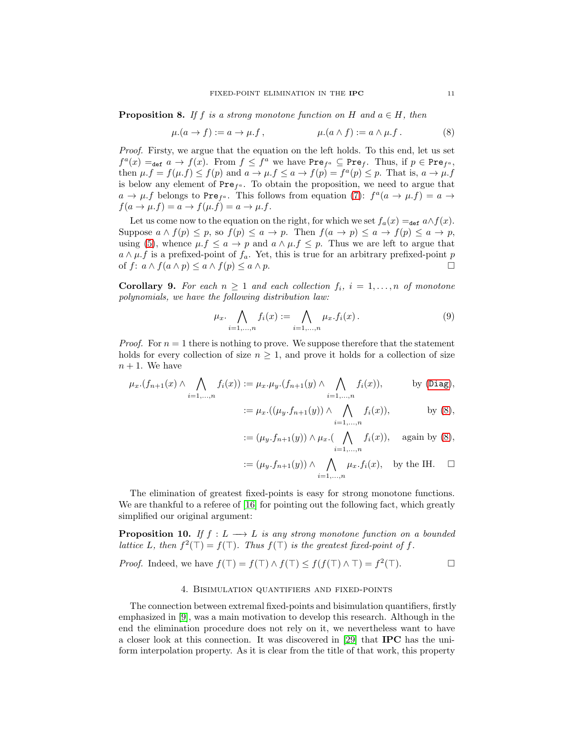<span id="page-10-4"></span>**Proposition 8.** *If*  $f$  *is a strong monotone function on*  $H$  *and*  $a \in H$ *, then* 

<span id="page-10-1"></span>
$$
\mu.(a \to f) := a \to \mu.f, \qquad \qquad \mu.(a \land f) := a \land \mu.f. \qquad (8)
$$

*Proof.* Firsty, we argue that the equation on the left holds. To this end, let us set  $f^a(x) =_{def} a \to f(x)$ . From  $f \leq f^a$  we have Pre<sub>f<sup>a</sub></sup>  $\subseteq$  Pre<sub>f</sub>. Thus, if  $p \in Pre_{f^a}$ ,</sub> then  $\mu.f = f(\mu.f) \leq f(p)$  and  $a \to \mu.f \leq a \to f(p) = f^a(p) \leq p$ . That is,  $a \to \mu.f$ is below any element of  $Pre<sub>f<sup>a</sup></sub>$ . To obtain the proposition, we need to argue that  $a \to \mu.f$  belongs to Pre<sub>f<sup>*a*</sup></sub>. This follows from equation [\(7\)](#page-9-4):  $f^a(a \to \mu.f) = a \to a$  $f(a \to \mu.f) = a \to f(\mu.f) = a \to \mu.f.$ 

Let us come now to the equation on the right, for which we set  $f_a(x) = \det a \wedge f(x)$ . Suppose  $a \wedge f(p) \leq p$ , so  $f(p) \leq a \rightarrow p$ . Then  $f(a \rightarrow p) \leq a \rightarrow f(p) \leq a \rightarrow p$ , using [\(5\)](#page-9-3), whence  $\mu.f \leq a \rightarrow p$  and  $a \wedge \mu.f \leq p$ . Thus we are left to argue that  $a \wedge \mu.f$  is a prefixed-point of  $f_a$ . Yet, this is true for an arbitrary prefixed-point p of  $f: a \wedge f(a \wedge p) \leq a \wedge f(p) \leq a \wedge p$ .

<span id="page-10-3"></span>**Corollary 9.** For each  $n \geq 1$  and each collection  $f_i$ ,  $i = 1, \ldots, n$  of monotone *polynomials, we have the following distribution law:*

$$
\mu_x \cdot \bigwedge_{i=1,...,n} f_i(x) := \bigwedge_{i=1,...,n} \mu_x . f_i(x) . \tag{9}
$$

*Proof.* For  $n = 1$  there is nothing to prove. We suppose therefore that the statement holds for every collection of size  $n \geq 1$ , and prove it holds for a collection of size  $n + 1$ . We have

$$
\mu_x \cdot (f_{n+1}(x) \wedge \bigwedge_{i=1,\dots,n} f_i(x)) := \mu_x \cdot \mu_y \cdot (f_{n+1}(y) \wedge \bigwedge_{i=1,\dots,n} f_i(x)), \quad \text{by (Diag)},
$$

<span id="page-10-5"></span>
$$
:= \mu_x.((\mu_y.f_{n+1}(y)) \wedge \bigwedge_{i=1,\dots,n} f_i(x)), \qquad \text{by (8)},
$$

$$
:= (\mu_y.f_{n+1}(y)) \wedge \mu_x.(\bigwedge_{i=1,\dots,n} f_i(x)), \text{ again by (8)},
$$

$$
:= (\mu_y.f_{n+1}(y)) \wedge \bigwedge_{i=1,...,n} \mu_x.f_i(x), \text{ by the IH. } \square
$$

The elimination of greatest fixed-points is easy for strong monotone functions. We are thankful to a referee of [\[16\]](#page-37-4) for pointing out the following fact, which greatly simplified our original argument:

<span id="page-10-2"></span>**Proposition 10.** *If*  $f : L \longrightarrow L$  *is any strong monotone function on a bounded lattice* L, then  $f^2(\top) = f(\top)$ *. Thus*  $f(\top)$  *is the greatest fixed-point of* f.

<span id="page-10-0"></span>*Proof.* Indeed, we have 
$$
f(\top) = f(\top) \wedge f(\top) \leq f(f(\top) \wedge \top) = f^2(\top)
$$
.

# 4. Bisimulation quantifiers and fixed-points

The connection between extremal fixed-points and bisimulation quantifiers, firstly emphasized in [\[9\]](#page-36-1), was a main motivation to develop this research. Although in the end the elimination procedure does not rely on it, we nevertheless want to have a closer look at this connection. It was discovered in [\[29\]](#page-37-1) that IPC has the uniform interpolation property. As it is clear from the title of that work, this property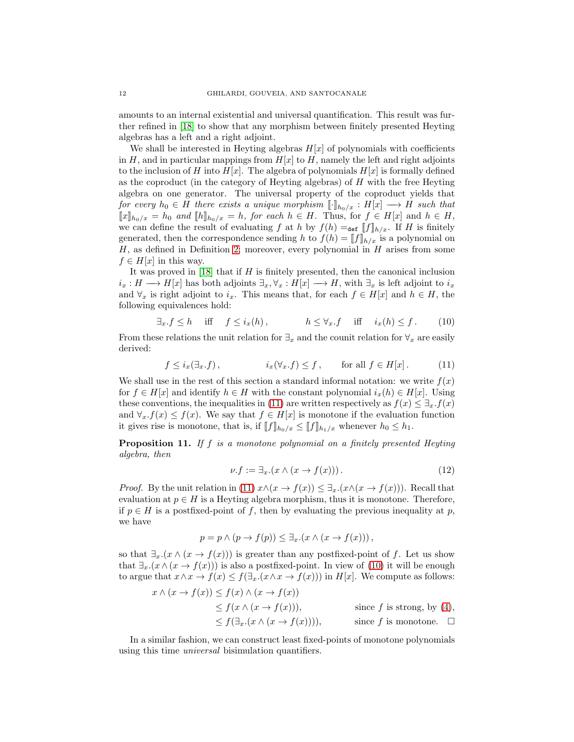amounts to an internal existential and universal quantification. This result was further refined in [\[18\]](#page-37-3) to show that any morphism between finitely presented Heyting algebras has a left and a right adjoint.

We shall be interested in Heyting algebras  $H[x]$  of polynomials with coefficients in H, and in particular mappings from  $H[x]$  to H, namely the left and right adjoints to the inclusion of H into  $H[x]$ . The algebra of polynomials  $H[x]$  is formally defined as the coproduct (in the category of Heyting algebras) of  $H$  with the free Heyting algebra on one generator. The universal property of the coproduct yields that *for every*  $h_0 \in H$  *there exists a unique morphism*  $\llbracket \cdot \rrbracket_{h_0/x} : H[x] \longrightarrow H$  *such that*  $[\![x]\!]_{h_0/x} = h_0$  and  $[\![h]\!]_{h_0/x} = h$ , for each  $h \in H$ . Thus, for  $f \in H[x]$  and  $h \in H$ , we can define the result of evaluating f at h by  $f(h) =_{def} [f]_{h/x}$ . If H is finitely generated, then the correspondence sending h to  $f(h) = ||f||_{h/x}$  is a polynomial on  $H$ , as defined in Definition [2;](#page-9-5) moreover, every polynomial in  $H$  arises from some  $f \in H[x]$  in this way.

It was proved in  $[18]$  that if H is finitely presented, then the canonical inclusion  $i_x : H \longrightarrow H[x]$  has both adjoints  $\exists_x, \forall_x : H[x] \longrightarrow H$ , with  $\exists_x$  is left adjoint to  $i_x$ and  $\forall_x$  is right adjoint to  $i_x$ . This means that, for each  $f \in H[x]$  and  $h \in H$ , the following equivalences hold:

$$
\exists_x . f \le h \quad \text{iff} \quad f \le i_x(h), \qquad h \le \forall_x . f \quad \text{iff} \quad i_x(h) \le f. \tag{10}
$$

From these relations the unit relation for  $\exists_x$  and the counit relation for  $\forall_x$  are easily derived:

$$
f \le i_x(\exists_x f), \qquad i_x(\forall_x f) \le f, \qquad \text{for all } f \in H[x]. \tag{11}
$$

We shall use in the rest of this section a standard informal notation: we write  $f(x)$ for  $f \in H[x]$  and identify  $h \in H$  with the constant polynomial  $i_x(h) \in H[x]$ . Using these conventions, the inequalities in [\(11\)](#page-11-0) are written respectively as  $f(x) \leq \exists_x f(x)$ and  $\forall_x f(x) \leq f(x)$ . We say that  $f \in H[x]$  is monotone if the evaluation function it gives rise is monotone, that is, if  $[\![f]\!]_{h_0/x} \leq [\![f]\!]_{h_1/x}$  whenever  $h_0 \leq h_1$ .

Proposition 11. *If* f *is a monotone polynomial on a finitely presented Heyting algebra, then*

<span id="page-11-1"></span><span id="page-11-0"></span>
$$
\nu.f := \exists_x . (x \land (x \to f(x))). \tag{12}
$$

*Proof.* By the unit relation in [\(11\)](#page-11-0)  $x \wedge (x \rightarrow f(x)) \leq \exists_x \cdot (x \wedge (x \rightarrow f(x)))$ . Recall that evaluation at  $p \in H$  is a Heyting algebra morphism, thus it is monotone. Therefore, if  $p \in H$  is a postfixed-point of f, then by evaluating the previous inequality at p, we have

$$
p = p \land (p \to f(p)) \leq \exists_x . (x \land (x \to f(x))),
$$

so that  $\exists_x \ (x \land (x \to f(x)))$  is greater than any postfixed-point of f. Let us show that  $\exists_x \,(x \wedge (x \to f(x)))$  is also a postfixed-point. In view of [\(10\)](#page-11-1) it will be enough to argue that  $x \wedge x \to f(x) \leq f(\exists_x \ldotp (x \wedge x \to f(x)))$  in  $H[x]$ . We compute as follows:

$$
x \wedge (x \to f(x)) \le f(x) \wedge (x \to f(x))
$$
  
\n
$$
\le f(x \wedge (x \to f(x))),
$$
 since f is strong, by (4),  
\n
$$
\le f(\exists_x.(x \wedge (x \to f(x))))
$$
, since f is monotone.  $\square$ 

In a similar fashion, we can construct least fixed-points of monotone polynomials using this time *universal* bisimulation quantifiers.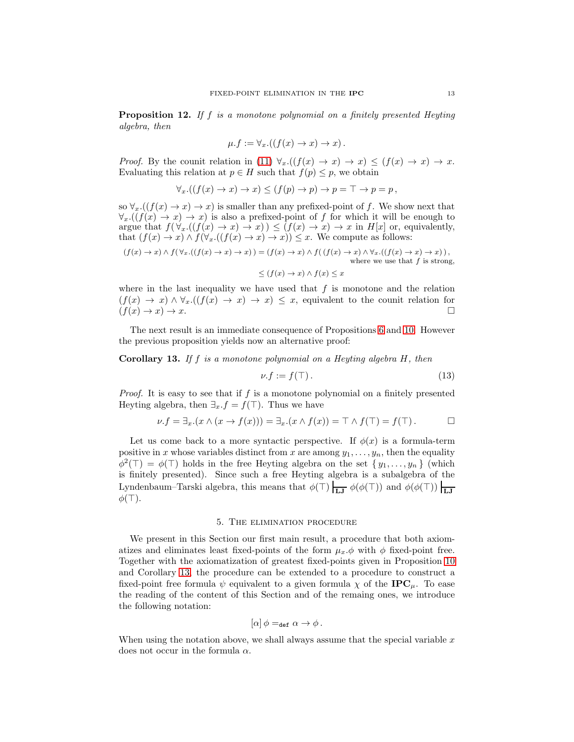Proposition 12. *If* f *is a monotone polynomial on a finitely presented Heyting algebra, then*

$$
\mu.f := \forall_x . ((f(x) \to x) \to x).
$$

*Proof.* By the counit relation in [\(11\)](#page-11-0)  $\forall x \cdot ((f(x) \rightarrow x) \rightarrow x) \leq (f(x) \rightarrow x) \rightarrow x$ . Evaluating this relation at  $p \in H$  such that  $f(p) \leq p$ , we obtain

$$
\forall_x \left( (f(x) \to x) \to x \right) \le (f(p) \to p) \to p = \top \to p = p,
$$

so  $\forall_x \ (f(x) \rightarrow x) \rightarrow x$  is smaller than any prefixed-point of f. We show next that  $\forall x.((f(x) \rightarrow x) \rightarrow x)$  is also a prefixed-point of f for which it will be enough to argue that  $f(\forall_x ((f(x) \to x) \to x)) \leq (f(x) \to x) \to x$  in  $H[x]$  or, equivalently, that  $(f(x) \to x) \land f(\forall_x \cdot ((f(x) \to x) \to x)) \leq x$ . We compute as follows:

$$
(f(x) \to x) \land f(\forall x \cdot ((f(x) \to x) \to x)) = (f(x) \to x) \land f((f(x) \to x) \land \forall x \cdot ((f(x) \to x) \to x)),
$$
  
where we use that f is strong,  

$$
\leq (f(x) \to x) \land f(x) \leq x
$$

where in the last inequality we have used that  $f$  is monotone and the relation  $(f(x) \to x) \wedge \forall_x ((f(x) \to x) \to x) \leq x$ , equivalent to the counit relation for  $(f(x) \to x) \to x.$ 

The next result is an immediate consequence of Propositions [6](#page-9-6) and [10.](#page-10-2) However the previous proposition yields now an alternative proof:

<span id="page-12-1"></span>Corollary 13. *If* f *is a monotone polynomial on a Heyting algebra* H*, then*

<span id="page-12-2"></span>
$$
\nu.f := f(\top). \tag{13}
$$

*Proof.* It is easy to see that if f is a monotone polynomial on a finitely presented Heyting algebra, then  $\exists_x.f = f(\top)$ . Thus we have

$$
\nu.f = \exists_x . (x \land (x \to f(x))) = \exists_x . (x \land f(x)) = \top \land f(\top) = f(\top). \square
$$

Let us come back to a more syntactic perspective. If  $\phi(x)$  is a formula-term positive in x whose variables distinct from x are among  $y_1, \ldots, y_n$ , then the equality  $\phi^2(\top) = \phi(\top)$  holds in the free Heyting algebra on the set  $\{y_1, \ldots, y_n\}$  (which is finitely presented). Since such a free Heyting algebra is a subalgebra of the Lyndenbaum–Tarski algebra, this means that  $\phi(\top)$   $\frac{1}{L} \phi(\phi(\top))$  and  $\phi(\phi(\top))$   $\frac{1}{L}$  $\phi(\top)$ .

## 5. The elimination procedure

<span id="page-12-0"></span>We present in this Section our first main result, a procedure that both axiomatizes and eliminates least fixed-points of the form  $\mu_x$ . $\phi$  with  $\phi$  fixed-point free. Together with the axiomatization of greatest fixed-points given in Proposition [10](#page-10-2) and Corollary [13,](#page-12-1) the procedure can be extended to a procedure to construct a fixed-point free formula  $\psi$  equivalent to a given formula  $\chi$  of the **IPC**<sub> $\mu$ </sub>. To ease the reading of the content of this Section and of the remaing ones, we introduce the following notation:

$$
[\alpha] \phi =_{\text{def}} \alpha \to \phi.
$$

When using the notation above, we shall always assume that the special variable  $x$ does not occur in the formula  $\alpha$ .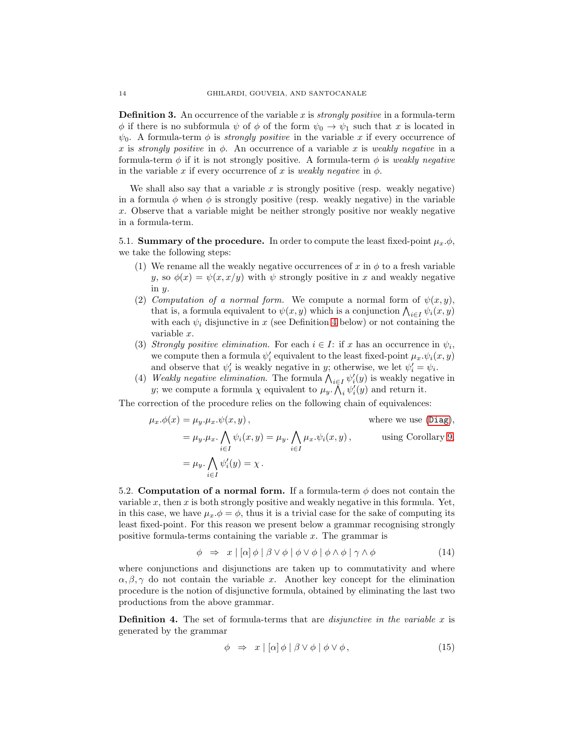Definition 3. An occurrence of the variable x is *strongly positive* in a formula-term  $\phi$  if there is no subformula  $\psi$  of  $\phi$  of the form  $\psi_0 \to \psi_1$  such that x is located in  $\psi_0$ . A formula-term  $\phi$  is *strongly positive* in the variable x if every occurrence of x is *strongly positive* in  $\phi$ . An occurrence of a variable x is *weakly negative* in a formula-term  $\phi$  if it is not strongly positive. A formula-term  $\phi$  is *weakly negative* in the variable x if every occurrence of x is *weakly negative* in  $\phi$ .

We shall also say that a variable  $x$  is strongly positive (resp. weakly negative) in a formula  $\phi$  when  $\phi$  is strongly positive (resp. weakly negative) in the variable x. Observe that a variable might be neither strongly positive nor weakly negative in a formula-term.

<span id="page-13-0"></span>5.1. Summary of the procedure. In order to compute the least fixed-point  $\mu_x.\phi$ , we take the following steps:

- (1) We rename all the weakly negative occurrences of x in  $\phi$  to a fresh variable y, so  $\phi(x) = \psi(x, x/y)$  with  $\psi$  strongly positive in x and weakly negative in y.
- (2) *Computation of a normal form.* We compute a normal form of  $\psi(x, y)$ , that is, a formula equivalent to  $\psi(x, y)$  which is a conjunction  $\bigwedge_{i \in I} \psi_i(x, y)$ with each  $\psi_i$  disjunctive in x (see Definition [4](#page-13-2) below) or not containing the variable x.
- (3) *Strongly positive elimination*. For each  $i \in I$ : if x has an occurrence in  $\psi_i$ , we compute then a formula  $\psi'_i$  equivalent to the least fixed-point  $\mu_x.\psi_i(x, y)$ and observe that  $\psi'_i$  is weakly negative in y; otherwise, we let  $\psi'_i = \psi_i$ .
- (4) *Weakly negative elimination*. The formula  $\bigwedge_{i \in I} \psi'_i(y)$  is weakly negative in y; we compute a formula  $\chi$  equivalent to  $\mu_y$ .  $\bar{\wedge}_i \psi_i'(y)$  and return it.

The correction of the procedure relies on the following chain of equivalences:

$$
\mu_x.\phi(x) = \mu_y.\mu_x.\psi(x, y), \qquad \text{where we use (Diag)},
$$
  
\n
$$
= \mu_y.\mu_x. \bigwedge_{i \in I} \psi_i(x, y) = \mu_y. \bigwedge_{i \in I} \mu_x. \psi_i(x, y), \qquad \text{using Corollary 9},
$$
  
\n
$$
= \mu_y. \bigwedge_{i \in I} \psi'_i(y) = \chi.
$$

<span id="page-13-1"></span>5.2. Computation of a normal form. If a formula-term  $\phi$  does not contain the variable  $x$ , then  $x$  is both strongly positive and weakly negative in this formula. Yet, in this case, we have  $\mu_x \phi = \phi$ , thus it is a trivial case for the sake of computing its least fixed-point. For this reason we present below a grammar recognising strongly positive formula-terms containing the variable  $x$ . The grammar is

$$
\phi \Rightarrow x \mid [\alpha] \phi \mid \beta \vee \phi \mid \phi \vee \phi \mid \phi \wedge \phi \mid \gamma \wedge \phi \tag{14}
$$

where conjunctions and disjunctions are taken up to commutativity and where  $\alpha, \beta, \gamma$  do not contain the variable x. Another key concept for the elimination procedure is the notion of disjunctive formula, obtained by eliminating the last two productions from the above grammar.

<span id="page-13-2"></span>Definition 4. The set of formula-terms that are *disjunctive in the variable* x is generated by the grammar

<span id="page-13-3"></span>
$$
\phi \Rightarrow x \mid [\alpha] \phi \mid \beta \vee \phi \mid \phi \vee \phi, \tag{15}
$$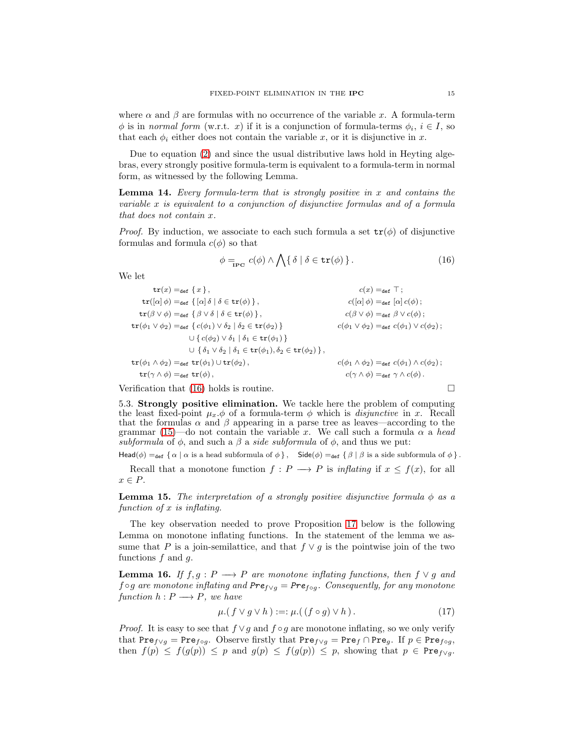where  $\alpha$  and  $\beta$  are formulas with no occurrence of the variable x. A formula-term  $\phi$  is in *normal form* (w.r.t. x) if it is a conjunction of formula-terms  $\phi_i$ ,  $i \in I$ , so that each  $\phi_i$  either does not contain the variable x, or it is disjunctive in x.

Due to equation [\(2\)](#page-6-3) and since the usual distributive laws hold in Heyting algebras, every strongly positive formula-term is equivalent to a formula-term in normal form, as witnessed by the following Lemma.

<span id="page-14-4"></span>Lemma 14. *Every formula-term that is strongly positive in* x *and contains the variable* x *is equivalent to a conjunction of disjunctive formulas and of a formula that does not contain* x*.*

*Proof.* By induction, we associate to each such formula a set  $tr(\phi)$  of disjunctive formulas and formula  $c(\phi)$  so that

<span id="page-14-1"></span>
$$
\phi =_{\text{IPC}} c(\phi) \wedge \bigwedge \{ \delta \mid \delta \in \text{tr}(\phi) \}.
$$
 (16)

We let

 $tr(x) =_{def} \{ x \},$   $c(x) =_{def} \top;$  $tr([\alpha] \phi) =_{def} {\{ \alpha \} \delta \mid \delta \in tr(\phi) \},$   $c([\alpha] \phi) =_{def} [\alpha] c(\phi) ;$  $tr(\beta \vee \phi) =_{def} \{\beta \vee \delta \mid \delta \in tr(\phi)\},$   $c(\beta \vee \phi) =_{def} \beta \vee c(\phi);$  $tr(\phi_1 \vee \phi_2) =_{def} \{ c(\phi_1) \vee \delta_2 \mid \delta_2 \in tr(\phi_2) \}$   $c(\phi_1 \vee \phi_2) =_{def} c(\phi_1) \vee c(\phi_2);$  $\cup \{c(\phi_2) \vee \delta_1 \mid \delta_1 \in \mathsf{tr}(\phi_1)\}\$  $\cup$  { $\delta_1 \vee \delta_2$  |  $\delta_1 \in \mathsf{tr}(\phi_1), \delta_2 \in \mathsf{tr}(\phi_2)$  },  $tr(\phi_1 \wedge \phi_2) =_{def} tr(\phi_1) \cup tr(\phi_2),$   $c(\phi_1 \wedge \phi_2) =_{def} c(\phi_1) \wedge c(\phi_2);$  $tr(\gamma \wedge \phi) =_{def} tr(\phi),$   $c(\gamma \wedge \phi) =_{def} \gamma \wedge c(\phi).$ 

<span id="page-14-0"></span>Verification that [\(16\)](#page-14-1) holds is routine.  $\Box$ 

5.3. Strongly positive elimination. We tackle here the problem of computing the least fixed-point  $\mu_x.\phi$  of a formula-term  $\phi$  which is *disjunctive* in x. Recall that the formulas  $\alpha$  and  $\beta$  appearing in a parse tree as leaves—according to the grammar [\(15\)](#page-13-3)—do not contain the variable x. We call such a formula  $\alpha$  a *head subformula* of  $\phi$ , and such a  $\beta$  a *side subformula* of  $\phi$ , and thus we put:

Head( $\phi$ ) = def {  $\alpha \mid \alpha$  is a head subformula of  $\phi$ }, Side( $\phi$ ) = def {  $\beta \mid \beta$  is a side subformula of  $\phi$ }.

Recall that a monotone function  $f : P \longrightarrow P$  is *inflating* if  $x \leq f(x)$ , for all  $x \in P$ .

**Lemma 15.** The interpretation of a strongly positive disjunctive formula  $\phi$  as a *function of* x *is inflating.*

The key observation needed to prove Proposition [17](#page-15-0) below is the following Lemma on monotone inflating functions. In the statement of the lemma we assume that P is a join-semilattice, and that  $f \vee g$  is the pointwise join of the two functions  $f$  and  $q$ .

<span id="page-14-3"></span>**Lemma 16.** *If*  $f, g : P \longrightarrow P$  *are monotone inflating functions, then*  $f \vee g$  *and* f∘g are monotone inflating and  $Pre_{f\vee g} = Pre_{f\circ g}$ . Consequently, for any monotone  $function h : P \longrightarrow P$ *, we have* 

<span id="page-14-2"></span>
$$
\mu.(f \lor g \lor h) :=: \mu.((f \circ g) \lor h). \tag{17}
$$

*Proof.* It is easy to see that  $f \vee g$  and  $f \circ g$  are monotone inflating, so we only verify that Pre<sub>f∨g</sub> = Pre<sub>f∘g</sub>. Observe firstly that Pre<sub>f∨g</sub> = Pre<sub>f</sub> ∩ Pre<sub>g</sub>. If  $p \in Pre_{f \circ q}$ , then  $f(p) \leq f(g(p)) \leq p$  and  $g(p) \leq f(g(p)) \leq p$ , showing that  $p \in Pre_{f \vee q}$ .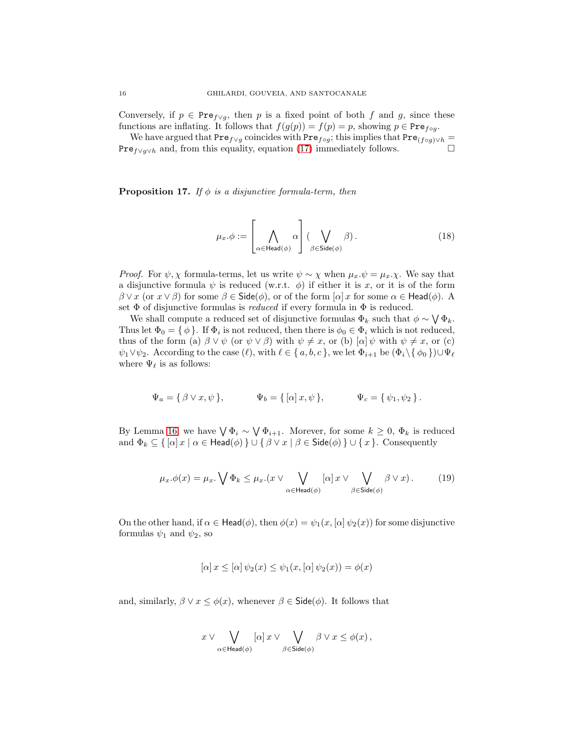Conversely, if  $p \in Pre_{f\vee g}$ , then p is a fixed point of both f and g, since these functions are inflating. It follows that  $f(g(p)) = f(p) = p$ , showing  $p \in Pre<sub>f \circ g</sub>$ .

We have argued that Pre $_{f\vee g}$  coincides with Pre $_{f\circ g}$ ; this implies that Pre $_{(f\circ g)\vee h}$  = Pre $_{f\vee g\vee h}$  and, from this equality, equation [\(17\)](#page-14-2) immediately follows.  $□$ 

<span id="page-15-0"></span>**Proposition 17.** *If*  $\phi$  *is a disjunctive formula-term, then* 

<span id="page-15-2"></span>
$$
\mu_x.\phi := \left[\bigwedge_{\alpha \in \text{Head}(\phi)} \alpha\right] \left(\bigvee_{\beta \in \text{Side}(\phi)} \beta\right). \tag{18}
$$

*Proof.* For  $\psi, \chi$  formula-terms, let us write  $\psi \sim \chi$  when  $\mu_x \psi = \mu_x \chi$ . We say that a disjunctive formula  $\psi$  is reduced (w.r.t.  $\phi$ ) if either it is x, or it is of the form  $\beta \vee x$  (or  $x \vee \beta$ ) for some  $\beta \in \mathsf{Side}(\phi)$ , or of the form  $[\alpha]$  x for some  $\alpha \in \mathsf{Head}(\phi)$ . A set Φ of disjunctive formulas is *reduced* if every formula in Φ is reduced.

We shall compute a reduced set of disjunctive formulas  $\Phi_k$  such that  $\phi \sim \bigvee \Phi_k$ . Thus let  $\Phi_0 = \{ \phi \}$ . If  $\Phi_i$  is not reduced, then there is  $\phi_0 \in \Phi_i$  which is not reduced, thus of the form (a)  $\beta \vee \psi$  (or  $\psi \vee \beta$ ) with  $\psi \neq x$ , or (b)  $[\alpha] \psi$  with  $\psi \neq x$ , or (c)  $\psi_1 \vee \psi_2$ . According to the case  $(\ell)$ , with  $\ell \in \{a, b, c\}$ , we let  $\Phi_{i+1}$  be  $(\Phi_i \setminus \{\phi_0\}) \cup \Psi_{\ell}$ where  $\Psi_{\ell}$  is as follows:

$$
\Psi_a = \{ \beta \vee x, \psi \},
$$
\n $\Psi_b = \{ [\alpha] x, \psi \},$ \n $\Psi_c = \{ \psi_1, \psi_2 \}.$ 

By Lemma [16,](#page-14-3) we have  $\bigvee \Phi_i \sim \bigvee \Phi_{i+1}$ . Morever, for some  $k \geq 0$ ,  $\Phi_k$  is reduced and  $\Phi_k \subseteq \{ [\alpha] x \mid \alpha \in \text{Head}(\phi) \} \cup \{ \beta \vee x \mid \beta \in \text{Side}(\phi) \} \cup \{ x \}.$  Consequently

$$
\mu_x \cdot \phi(x) = \mu_x \cdot \bigvee \Phi_k \le \mu_x \cdot (x \vee \bigvee_{\alpha \in \text{Head}(\phi)} [\alpha] \cdot x \vee \bigvee_{\beta \in \text{Side}(\phi)} \beta \vee x). \tag{19}
$$

On the other hand, if  $\alpha \in \text{Head}(\phi)$ , then  $\phi(x) = \psi_1(x, [\alpha] \psi_2(x))$  for some disjunctive formulas  $\psi_1$  and  $\psi_2$ , so

<span id="page-15-1"></span>
$$
[\alpha] x \leq [\alpha] \psi_2(x) \leq \psi_1(x, [\alpha] \psi_2(x)) = \phi(x)
$$

and, similarly,  $\beta \vee x \leq \phi(x)$ , whenever  $\beta \in \mathsf{Side}(\phi)$ . It follows that

$$
x \vee \bigvee_{\alpha \in \text{Head}(\phi)} [\alpha] \, x \vee \bigvee_{\beta \in \text{Side}(\phi)} \beta \vee x \leq \phi(x) \, ,
$$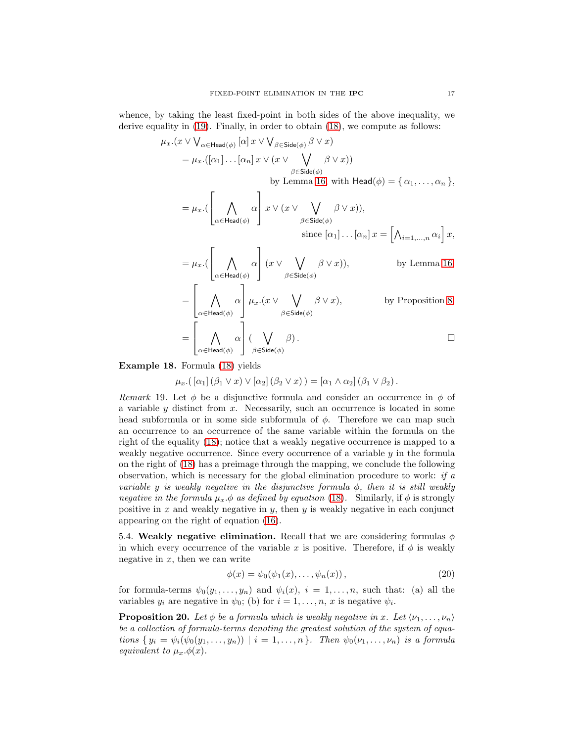whence, by taking the least fixed-point in both sides of the above inequality, we derive equality in [\(19\)](#page-15-1). Finally, in order to obtain [\(18\)](#page-15-2), we compute as follows:

$$
\mu_x.(x \vee \bigvee_{\alpha \in \text{Head}(\phi)} [\alpha] \, x \vee \bigvee_{\beta \in \text{Side}(\phi)} \beta \vee x)
$$
\n
$$
= \mu_x.([\alpha_1] \dots [\alpha_n] \, x \vee (x \vee \bigvee_{\beta \in \text{Side}(\phi)} \beta \vee x))
$$
\nby Lemma 16, with Head( $\phi$ ) = { $\alpha_1, \dots, \alpha_n$ },

$$
= \mu_x \cdot (\left[\bigwedge_{\alpha \in \text{Head}(\phi)} \alpha\right] x \vee (x \vee \bigvee_{\beta \in \text{Side}(\phi)} \beta \vee x)),
$$
  
\n
$$
= \mu_x \cdot (\left[\bigwedge_{\alpha \in \text{Head}(\phi)} \alpha\right] (x \vee \bigvee_{\beta \in \text{Side}(\phi)} \beta \vee x)), \qquad \text{by Lemma 16,}
$$
  
\n
$$
= \left[\bigwedge_{\alpha \in \text{Head}(\phi)} \alpha\right] \mu_x \cdot (x \vee \bigvee_{\beta \in \text{Side}(\phi)} \beta \vee x), \qquad \text{by Proposition 8,}
$$
  
\n
$$
= \left[\bigwedge_{\alpha \in \text{Head}(\phi)} \alpha\right] (\bigvee_{\beta \in \text{Side}(\phi)} \beta).
$$

=  $\begin{array}{c} \begin{array}{c} \end{array} \end{array}$  $\alpha \in \mathsf{Head}(\phi)$  $\alpha$  (  $\vee$  $β ∈$ Side $(φ)$  $\beta$ ).

Example 18. Formula [\(18\)](#page-15-2) yields

$$
\mu_x \cdot (\alpha_1] (\beta_1 \vee x) \vee [\alpha_2] (\beta_2 \vee x)) = [\alpha_1 \wedge \alpha_2] (\beta_1 \vee \beta_2).
$$

*Remark* 19. Let  $\phi$  be a disjunctive formula and consider an occurrence in  $\phi$  of a variable  $y$  distinct from  $x$ . Necessarily, such an occurrence is located in some head subformula or in some side subformula of  $\phi$ . Therefore we can map such an occurrence to an occurrence of the same variable within the formula on the right of the equality [\(18\)](#page-15-2); notice that a weakly negative occurrence is mapped to a weakly negative occurrence. Since every occurrence of a variable y in the formula on the right of [\(18\)](#page-15-2) has a preimage through the mapping, we conclude the following observation, which is necessary for the global elimination procedure to work: *if a variable* y *is weakly negative in the disjunctive formula* φ*, then it is still weakly negative in the formula*  $\mu_x \phi$  *as defined by equation* [\(18\)](#page-15-2). Similarly, if  $\phi$  is strongly positive in x and weakly negative in y, then  $y$  is weakly negative in each conjunct appearing on the right of equation [\(16\)](#page-14-1).

<span id="page-16-0"></span>5.4. Weakly negative elimination. Recall that we are considering formulas  $\phi$ in which every occurrence of the variable x is positive. Therefore, if  $\phi$  is weakly negative in  $x$ , then we can write

<span id="page-16-2"></span>
$$
\phi(x) = \psi_0(\psi_1(x), \dots, \psi_n(x)), \qquad (20)
$$

for formula-terms  $\psi_0(y_1,\ldots,y_n)$  and  $\psi_i(x), i = 1,\ldots,n$ , such that: (a) all the variables  $y_i$  are negative in  $\psi_0$ ; (b) for  $i = 1, \ldots, n$ , x is negative  $\psi_i$ .

<span id="page-16-1"></span>**Proposition 20.** Let  $\phi$  be a formula which is weakly negative in x. Let  $\langle \nu_1, \ldots, \nu_n \rangle$ *be a collection of formula-terms denoting the greatest solution of the system of equations*  $\{y_i = \psi_i(\psi_0(y_1, \ldots, y_n)) \mid i = 1, \ldots, n\}$ *. Then*  $\psi_0(\nu_1, \ldots, \nu_n)$  *is a formula equivalent to*  $\mu_x.\phi(x)$ *.*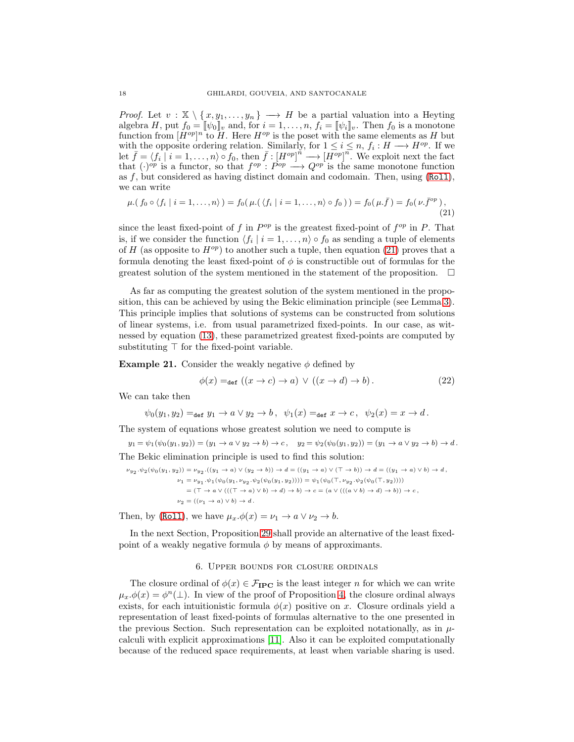*Proof.* Let  $v : \mathbb{X} \setminus \{x, y_1, \ldots, y_n\} \longrightarrow H$  be a partial valuation into a Heyting algebra H, put  $f_0 = [\![\psi_0]\!]_v$  and, for  $i = 1, \ldots, n$ ,  $f_i = [\![\psi_i]\!]_v$ . Then  $f_0$  is a monotone function from  $[H^{op}]^n$  to H. Here  $H^{op}$  is the poset with the same elements as H but with the opposite ordering relation. Similarly, for  $1 \leq i \leq n$ ,  $f_i : H \longrightarrow H^{op}$ . If we let  $\bar{f} = \langle f_i | i = 1, \ldots, n \rangle \circ f_0$ , then  $\bar{f} : [H^{op}]^n \longrightarrow [H^{op}]^n$ . We exploit next the fact that  $(\cdot)^{op}$  is a functor, so that  $f^{op}: P^{op} \longrightarrow Q^{op}$  is the same monotone function as  $f$ , but considered as having distinct domain and codomain. Then, using  $(Ro11)$ , we can write

$$
\mu.\left(f_0 \circ \langle f_i \mid i=1,\ldots,n\rangle\right) = f_0\left(\mu.\left(\langle f_i \mid i=1,\ldots,n\rangle \circ f_0\right)\right) = f_0\left(\mu.\bar{f}\right) = f_0\left(\nu.\bar{f}^{op}\right),\tag{21}
$$

since the least fixed-point of f in  $P^{op}$  is the greatest fixed-point of  $f^{op}$  in P. That is, if we consider the function  $\langle f_i | i = 1, \ldots, n \rangle \circ f_0$  as sending a tuple of elements of H (as opposite to  $H^{op}$ ) to another such a tuple, then equation [\(21\)](#page-17-1) proves that a formula denoting the least fixed-point of  $\phi$  is constructible out of formulas for the greatest solution of the system mentioned in the statement of the proposition.  $\Box$ 

As far as computing the greatest solution of the system mentioned in the proposition, this can be achieved by using the Bekic elimination principle (see Lemma [3\)](#page-6-5). This principle implies that solutions of systems can be constructed from solutions of linear systems, i.e. from usual parametrized fixed-points. In our case, as witnessed by equation [\(13\)](#page-12-2), these parametrized greatest fixed-points are computed by substituting  $\top$  for the fixed-point variable.

<span id="page-17-2"></span>**Example 21.** Consider the weakly negative  $\phi$  defined by

<span id="page-17-1"></span>
$$
\phi(x) =_{\text{def}} ((x \to c) \to a) \lor ((x \to d) \to b).
$$
\n(22)

We can take then

$$
\psi_0(y_1, y_2) =_{\text{def}} y_1 \to a \lor y_2 \to b, \quad \psi_1(x) =_{\text{def}} x \to c, \quad \psi_2(x) = x \to d.
$$

The system of equations whose greatest solution we need to compute is

 $y_1 = \psi_1(\psi_0(y_1, y_2)) = (y_1 \to a \lor y_2 \to b) \to c$ ,  $y_2 = \psi_2(\psi_0(y_1, y_2)) = (y_1 \to a \lor y_2 \to b) \to d$ . The Bekic elimination principle is used to find this solution:

$$
\nu_{y_2}.\psi_2(\psi_0(y_1, y_2)) = \nu_{y_2}.\left((y_1 \to a) \vee (y_2 \to b)\right) \to d = \left((y_1 \to a) \vee (\top \to b)\right) \to d = \left((y_1 \to a) \vee b\right) \to d,
$$
  
\n
$$
\nu_1 = \nu_{y_1}.\psi_1(\psi_0(y_1, \nu_{y_2}.\psi_2(\psi_0(y_1, y_2)))) = \psi_1(\psi_0(\top, \nu_{y_2}.\psi_2(\psi_0(\top, y_2))))
$$
  
\n
$$
= (\top \to a \vee (((\top \to a) \vee b) \to d) \to b) \to c = (a \vee (((a \vee b) \to d) \to b)) \to c,
$$
  
\n
$$
\nu_2 = ((\nu_1 \to a) \vee b) \to d.
$$

Then, by ([Roll](#page-6-4)), we have  $\mu_x.\phi(x) = \nu_1 \rightarrow a \vee \nu_2 \rightarrow b$ .

<span id="page-17-0"></span>In the next Section, Proposition [29](#page-21-0) shall provide an alternative of the least fixedpoint of a weakly negative formula  $\phi$  by means of approximants.

# 6. Upper bounds for closure ordinals

The closure ordinal of  $\phi(x) \in \mathcal{F}_{\text{IPC}}$  is the least integer *n* for which we can write  $\mu_x.\phi(x) = \phi^n(\perp)$ . In view of the proof of Proposition [4,](#page-8-2) the closure ordinal always exists, for each intuitionistic formula  $\phi(x)$  positive on x. Closure ordinals yield a representation of least fixed-points of formulas alternative to the one presented in the previous Section. Such representation can be exploited notationally, as in  $\mu$ calculi with explicit approximations [\[11\]](#page-36-3). Also it can be exploited computationally because of the reduced space requirements, at least when variable sharing is used.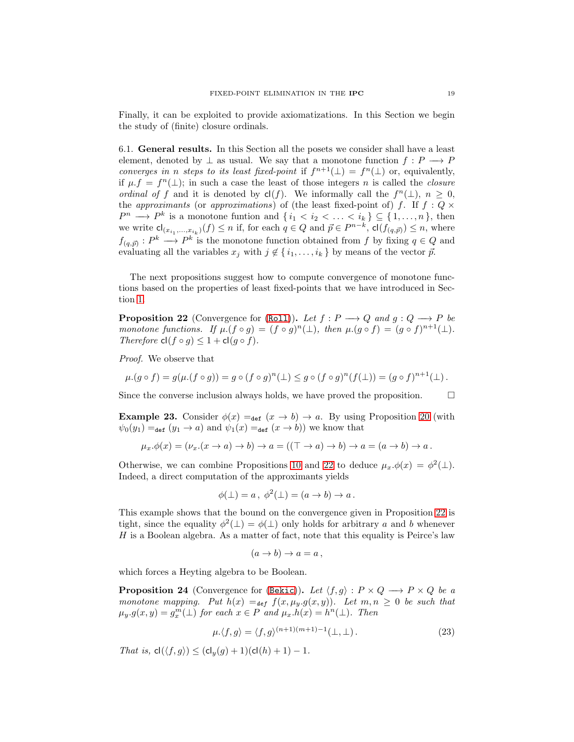Finally, it can be exploited to provide axiomatizations. In this Section we begin the study of (finite) closure ordinals.

<span id="page-18-0"></span>6.1. General results. In this Section all the posets we consider shall have a least element, denoted by  $\perp$  as usual. We say that a monotone function  $f: P \longrightarrow P$ *converges in n steps to its least fixed-point* if  $f^{n+1}(\perp) = f^{n}(\perp)$  or, equivalently, if  $\mu.f = f^{n}(\perp)$ ; in such a case the least of those integers *n* is called the *closure ordinal of* f and it is denoted by  $cl(f)$ . We informally call the  $f^{n}(\perp)$ ,  $n \geq 0$ , the *approximants* (or *approximations*) of (the least fixed-point of) f. If  $f : Q \times$  $P^n \longrightarrow P^k$  is a monotone funtion and  $\{i_1 < i_2 < \ldots < i_k\} \subseteq \{1, \ldots, n\}$ , then we write  $\mathsf{cl}_{(x_{i_1},...,x_{i_k})}(f) \leq n$  if, for each  $q \in Q$  and  $\vec{p} \in P^{n-k}$ ,  $\mathsf{cl}(f_{(q,\vec{p})}) \leq n$ , where  $f_{(q,\vec{p})}: P^k \longrightarrow P^k$  is the monotone function obtained from f by fixing  $q \in Q$  and evaluating all the variables  $x_j$  with  $j \notin \{i_1, \ldots, i_k\}$  by means of the vector  $\vec{p}$ .

The next propositions suggest how to compute convergence of monotone functions based on the properties of least fixed-points that we have introduced in Section [1.](#page-5-1)

<span id="page-18-1"></span>**Proposition 22** (Convergence for ([Roll](#page-6-4))). Let  $f : P \longrightarrow Q$  and  $g : Q \longrightarrow P$  be *monotone functions.* If  $\mu$ .( $f \circ g$ ) = ( $f \circ g$ )<sup>n</sup>( $\perp$ ), then  $\mu$ .( $g \circ f$ ) = ( $g \circ f$ )<sup>n+1</sup>( $\perp$ ). *Therefore*  $cl(f \circ g) \leq 1 + cl(g \circ f)$ *.* 

*Proof.* We observe that

$$
\mu.(g \circ f) = g(\mu.(f \circ g)) = g \circ (f \circ g)^n(\bot) \leq g \circ (f \circ g)^n(f(\bot)) = (g \circ f)^{n+1}(\bot).
$$

Since the converse inclusion always holds, we have proved the proposition.  $\Box$ 

**Example 23.** Consider  $\phi(x) =_{def} (x \to b) \to a$ . By using Proposition [20](#page-16-1) (with  $\psi_0(y_1) =_{\text{def}} (y_1 \to a)$  and  $\psi_1(x) =_{\text{def}} (x \to b)$  we know that

$$
\mu_x.\phi(x) = (\nu_x.(x \to a) \to b) \to a = ((\top \to a) \to b) \to a = (a \to b) \to a.
$$

Otherwise, we can combine Propositions [10](#page-10-2) and [22](#page-18-1) to deduce  $\mu_x.\phi(x) = \phi^2(\perp)$ . Indeed, a direct computation of the approximants yields

$$
\phi(\bot) = a \,, \, \phi^2(\bot) = (a \to b) \to a \,.
$$

This example shows that the bound on the convergence given in Proposition [22](#page-18-1) is tight, since the equality  $\phi^2(\perp) = \phi(\perp)$  only holds for arbitrary a and b whenever  $H$  is a Boolean algebra. As a matter of fact, note that this equality is Peirce's law

<span id="page-18-3"></span>
$$
(a \to b) \to a = a \,,
$$

which forces a Heyting algebra to be Boolean.

<span id="page-18-2"></span>**Proposition 24** (Convergence for ([Bekic](#page-6-6))). Let  $\langle f, g \rangle : P \times Q \longrightarrow P \times Q$  be a *monotone mapping.* Put  $h(x) =_{def} f(x, \mu_y.g(x, y))$ . Let  $m, n \geq 0$  be such that  $\mu_y \cdot g(x, y) = g_x^m(\perp)$  for each  $x \in P$  and  $\mu_x \cdot h(x) = h^n(\perp)$ . Then

$$
\mu \langle f, g \rangle = \langle f, g \rangle^{(n+1)(m+1)-1}(\bot, \bot). \tag{23}
$$

*That is,*  $cl(\langle f, g \rangle) \leq (cl_u(g) + 1)(cl(h) + 1) - 1.$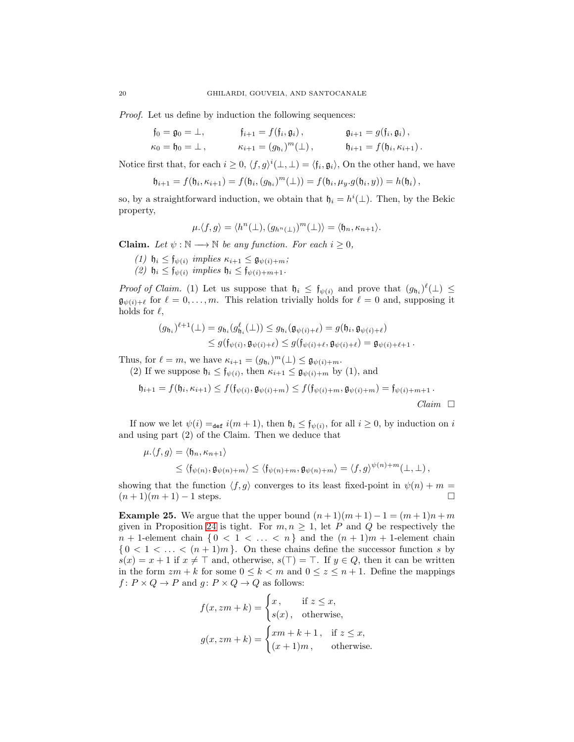*Proof.* Let us define by induction the following sequences:

$$
\begin{aligned}\n\mathfrak{f}_0 &= \mathfrak{g}_0 = \bot, & \mathfrak{f}_{i+1} &= f(\mathfrak{f}_i, \mathfrak{g}_i), & \mathfrak{g}_{i+1} &= g(\mathfrak{f}_i, \mathfrak{g}_i), \\
\kappa_0 &= \mathfrak{h}_0 = \bot, & \kappa_{i+1} &= (g_{\mathfrak{h}_i})^m(\bot), & \mathfrak{h}_{i+1} &= f(\mathfrak{h}_i, \kappa_{i+1}).\n\end{aligned}
$$

Notice first that, for each  $i \geq 0$ ,  $\langle f, g \rangle^i(\perp, \perp) = \langle f_i, \mathfrak{g}_i \rangle$ , On the other hand, we have

$$
\mathfrak{h}_{i+1} = f(\mathfrak{h}_i, \kappa_{i+1}) = f(\mathfrak{h}_i, (g_{\mathfrak{h}_i})^m(\bot)) = f(\mathfrak{h}_i, \mu_y. g(\mathfrak{h}_i, y)) = h(\mathfrak{h}_i),
$$

so, by a straightforward induction, we obtain that  $\mathfrak{h}_i = h^i(\perp)$ . Then, by the Bekic property,

$$
\mu \langle f, g \rangle = \langle h^n(\bot), (g_{h^n(\bot)})^m(\bot) \rangle = \langle \mathfrak{h}_n, \kappa_{n+1} \rangle.
$$

Claim. Let  $\psi$  :  $\mathbb{N}$  →  $\mathbb{N}$  *be any function. For each*  $i \geq 0$ *,* 

 $(1)$   $\mathfrak{h}_i \leq \mathfrak{f}_{\psi(i)}$  *implies*  $\kappa_{i+1} \leq \mathfrak{g}_{\psi(i)+m}$ *;* 

 $(2)$   $\mathfrak{h}_i \leq \mathfrak{f}_{\psi(i)}$  *implies*  $\mathfrak{h}_i \leq \mathfrak{f}_{\psi(i)+m+1}$ *.* 

*Proof of Claim.* (1) Let us suppose that  $\mathfrak{h}_i \leq \mathfrak{f}_{\psi(i)}$  and prove that  $(g_{\mathfrak{h}_i})^{\ell}(\perp) \leq$  $\mathfrak{g}_{\psi(i)+\ell}$  for  $\ell=0,\ldots,m$ . This relation trivially holds for  $\ell=0$  and, supposing it holds for  $\ell$ ,

$$
(g_{\mathfrak{h}_i})^{\ell+1}(\bot) = g_{\mathfrak{h}_i}(g_{\mathfrak{h}_i}^{\ell}(\bot)) \leq g_{\mathfrak{h}_i}(\mathfrak{g}_{\psi(i)+\ell}) = g(\mathfrak{h}_i, \mathfrak{g}_{\psi(i)+\ell})
$$
  

$$
\leq g(\mathfrak{f}_{\psi(i)}, \mathfrak{g}_{\psi(i)+\ell}) \leq g(\mathfrak{f}_{\psi(i)+\ell}, \mathfrak{g}_{\psi(i)+\ell}) = \mathfrak{g}_{\psi(i)+\ell+1}.
$$

Thus, for  $\ell = m$ , we have  $\kappa_{i+1} = (g_{\mathfrak{h}_i})^m(\bot) \leq \mathfrak{g}_{\psi(i)+m}$ .

(2) If we suppose  $\mathfrak{h}_i \leq \mathfrak{f}_{\psi(i)}$ , then  $\kappa_{i+1} \leq \mathfrak{g}_{\psi(i)+m}$  by (1), and

$$
\mathfrak{h}_{i+1} = f(\mathfrak{h}_i, \kappa_{i+1}) \le f(\mathfrak{f}_{\psi(i)}, \mathfrak{g}_{\psi(i)+m}) \le f(\mathfrak{f}_{\psi(i)+m}, \mathfrak{g}_{\psi(i)+m}) = \mathfrak{f}_{\psi(i)+m+1}.
$$

*Claim*

If now we let  $\psi(i) =_{\text{def}} i(m+1)$ , then  $\mathfrak{h}_i \leq \mathfrak{f}_{\psi(i)}$ , for all  $i \geq 0$ , by induction on i and using part (2) of the Claim. Then we deduce that

$$
\mu \langle f, g \rangle = \langle \mathfrak{h}_n, \kappa_{n+1} \rangle
$$
  
\$\leq \langle \mathfrak{f}\_{\psi(n)}, \mathfrak{g}\_{\psi(n)+m} \rangle \leq \langle \mathfrak{f}\_{\psi(n)+m}, \mathfrak{g}\_{\psi(n)+m} \rangle = \langle f, g \rangle^{\psi(n)+m}(\perp, \perp),\$

showing that the function  $\langle f, g \rangle$  converges to its least fixed-point in  $\psi(n) + m =$  $(n+1)(m+1) - 1$  steps.

**Example 25.** We argue that the upper bound  $(n+1)(m+1)-1=(m+1)n+m$ given in Proposition [24](#page-18-2) is tight. For  $m, n \geq 1$ , let P and Q be respectively the  $n + 1$ -element chain  $\{0 \leq 1 \leq \ldots \leq n\}$  and the  $(n + 1)m + 1$ -element chain  ${0 < 1 < ... < (n+1)m}$ . On these chains define the successor function s by  $s(x) = x + 1$  if  $x \neq \top$  and, otherwise,  $s(\top) = \top$ . If  $y \in Q$ , then it can be written in the form  $zm + k$  for some  $0 \leq k < m$  and  $0 \leq z \leq n + 1$ . Define the mappings  $f: P \times Q \to P$  and  $g: P \times Q \to Q$  as follows:

$$
f(x, zm + k) = \begin{cases} x, & \text{if } z \leq x, \\ s(x), & \text{otherwise,} \end{cases}
$$

$$
g(x, zm + k) = \begin{cases} xm + k + 1, & \text{if } z \leq x, \\ (x + 1)m, & \text{otherwise.} \end{cases}
$$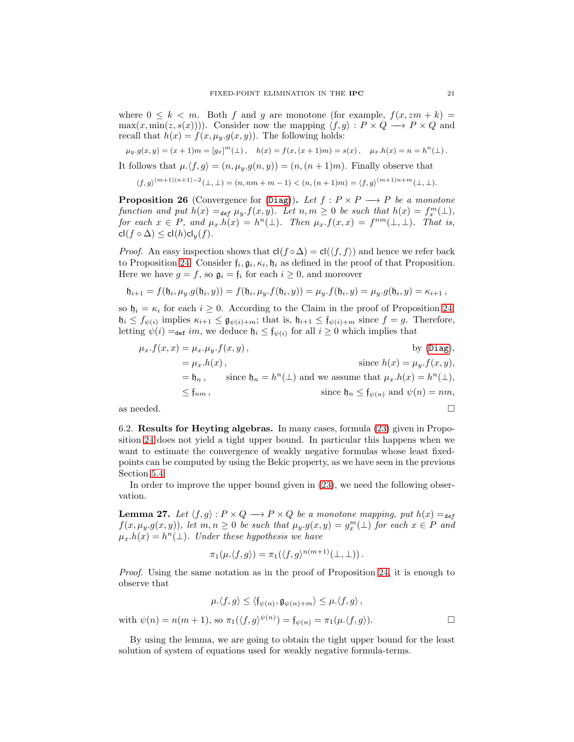where  $0 \leq k \leq m$ . Both f and g are monotone (for example,  $f(x, zm + k) =$  $\max(x, \min(z, s(x)))$ . Consider now the mapping  $\langle f, g \rangle : P \times Q \longrightarrow P \times Q$  and recall that  $h(x) = f(x, \mu_y \cdot g(x, y))$ . The following holds:

 $\mu_y \cdot g(x, y) = (x + 1)m = [g_x]^m(\perp), \quad h(x) = f(x, (x + 1)m) = s(x), \quad \mu_x \cdot h(x) = n = h^n(\perp).$ 

It follows that  $\mu.\langle f, g \rangle = (n, \mu_y.g(n, y)) = (n,(n+1)m)$ . Finally observe that

$$
\langle f,g \rangle^{(m+1)(n+1)-2}(\bot,\bot) = (n, nm+m-1) < (n, (n+1)m) = \langle f,g \rangle^{(m+1)n+m}(\bot,\bot).
$$

**Proposition 26** (Convergence for ([Diag](#page-6-2))). Let  $f : P \times P \longrightarrow P$  be a monotone *function and put*  $h(x) =_{def} \mu_y \cdot f(x, y)$ *. Let*  $n, m \geq 0$  *be such that*  $h(x) = f_x^m(\perp)$ *, for each*  $x \in P$ , and  $\mu_x \cdot h(x) = h^n(\perp)$ . Then  $\mu_x \cdot f(x, x) = f^{nm}(\perp, \perp)$ . That is,  $cl(f \circ \Delta) \leq cl(h)cl_y(f)$ .

*Proof.* An easy inspection shows that  $cl(f \circ \Delta) = cl(\langle f, f \rangle)$  and hence we refer back to Proposition [24.](#page-18-2) Consider  $f_i$ ,  $g_i$ ,  $\kappa_i$ ,  $\mathfrak{h}_i$  as defined in the proof of that Proposition. Here we have  $g = f$ , so  $\mathfrak{g}_i = \mathfrak{f}_i$  for each  $i \geq 0$ , and moreover

$$
\mathfrak{h}_{i+1} = f(\mathfrak{h}_i, \mu_y. g(\mathfrak{h}_i, y)) = f(\mathfrak{h}_i, \mu_y. f(\mathfrak{h}_i, y)) = \mu_y. f(\mathfrak{h}_i, y) = \mu_y. g(\mathfrak{h}_i, y) = \kappa_{i+1},
$$

so  $\mathfrak{h}_i = \kappa_i$  for each  $i \geq 0$ . According to the Claim in the proof of Proposition [24,](#page-18-2)  $\mathfrak{h}_i \leq f_{\psi(i)}$  implies  $\kappa_{i+1} \leq \mathfrak{g}_{\psi(i)+m}$ ; that is,  $\mathfrak{h}_{i+1} \leq \mathfrak{f}_{\psi(i)+m}$  since  $f = g$ . Therefore, letting  $\psi(i) =_{\text{def}} im$ , we deduce  $\mathfrak{h}_i \leq \mathfrak{f}_{\psi(i)}$  for all  $i \geq 0$  which implies that

$$
\mu_x.f(x, x) = \mu_x.\mu_y.f(x, y),
$$
by (Diag),  
\n
$$
= \mu_x.h(x),
$$
since  $h_n = h^n(\bot)$  and we assume that  $\mu_x.h(x) = h^n(\bot)$ ,  
\n
$$
\leq f_{nm},
$$
since  $h_n = h^n(\bot)$  and we assume that  $\mu_x.h(x) = h^n(\bot)$ ,  
\nsince  $h_n \leq f_{\psi(n)}$  and  $\psi(n) = nm$ ,  
\nas needed.

<span id="page-20-0"></span>

6.2. Results for Heyting algebras. In many cases, formula [\(23\)](#page-18-3) given in Proposition [24](#page-18-2) does not yield a tight upper bound. In particular this happens when we want to estimate the convergence of weakly negative formulas whose least fixedpoints can be computed by using the Bekic property, as we have seen in the previous Section [5.4.](#page-16-0)

In order to improve the upper bound given in [\(23\)](#page-18-3), we need the following observation.

<span id="page-20-1"></span>**Lemma 27.** *Let*  $\langle f, g \rangle : P \times Q \longrightarrow P \times Q$  *be a monotone mapping, put*  $h(x) =_{def}$  $f(x, \mu_y.g(x, y))$ , let  $m, n \geq 0$  be such that  $\mu_y.g(x, y) = g_x^m(\perp)$  for each  $x \in P$  and  $\mu_x.h(x) = h^n(\perp)$ . Under these hypothesis we have

$$
\pi_1(\mu.\langle f,g \rangle) = \pi_1(\langle f,g \rangle^{n(m+1)}(\bot,\bot)).
$$

*Proof.* Using the same notation as in the proof of Proposition [24,](#page-18-2) it is enough to observe that

$$
\mu.\langle f, g \rangle \le \langle \mathfrak{f}_{\psi(n)}, \mathfrak{g}_{\psi(n)+m} \rangle \le \mu.\langle f, g \rangle,
$$
  
with  $\psi(n) = n(m+1)$ , so  $\pi_1(\langle f, g \rangle^{\psi(n)}) = \mathfrak{f}_{\psi(n)} = \pi_1(\mu.\langle f, g \rangle)$ .

By using the lemma, we are going to obtain the tight upper bound for the least solution of system of equations used for weakly negative formula-terms.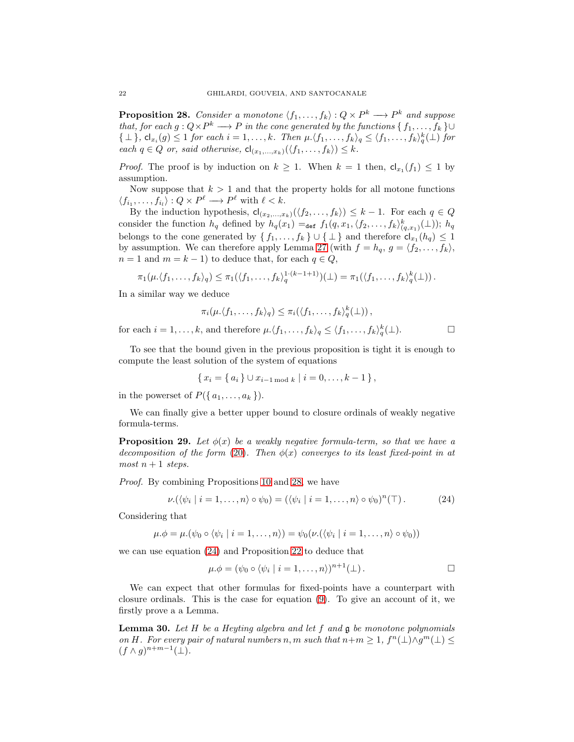<span id="page-21-1"></span>**Proposition 28.** *Consider a monotone*  $\langle f_1, \ldots, f_k \rangle : Q \times P^k \longrightarrow P^k$  *and suppose that, for each*  $g: Q \times P^k \longrightarrow P$  *in the cone generated by the functions*  $\{f_1, \ldots, f_k\} \cup$  $\{\perp\}, \mathsf{cl}_{x_i}(g) \leq 1$  *for each*  $i = 1, \ldots, k$ *. Then*  $\mu \cdot \langle f_1, \ldots, f_k \rangle_q \leq \langle f_1, \ldots, f_k \rangle_q^k(\perp)$  *for each*  $q \in Q$  *or, said otherwise,*  $cl_{(x_1,...,x_k)}(\langle f_1,..., f_k \rangle) \leq k$ .

*Proof.* The proof is by induction on  $k \geq 1$ . When  $k = 1$  then,  $cl_{x_1}(f_1) \leq 1$  by assumption.

Now suppose that  $k > 1$  and that the property holds for all motone functions  $\langle f_{i_1}, \ldots, f_{i_l} \rangle : Q \times P^{\ell} \longrightarrow P^{\ell}$  with  $\ell < k$ .

By the induction hypothesis,  $\mathsf{cl}_{(x_2,...,x_k)}(\langle f_2,..., f_k \rangle) \leq k - 1$ . For each  $q \in Q$ consider the function  $h_q$  defined by  $h_q(x_1) =_{\text{def}} f_1(q, x_1, \langle f_2, \ldots, f_k \rangle_{(q, x_1)}^k(\perp)); h_q$ belongs to the cone generated by  $\{f_1, \ldots, f_k\} \cup \{\perp\}$  and therefore  $\mathsf{cl}_{x_1}(h_q) \leq 1$ by assumption. We can therefore apply Lemma [27](#page-20-1) (with  $f = h_q, g = \langle f_2, \ldots, f_k \rangle$ ,  $n = 1$  and  $m = k - 1$ ) to deduce that, for each  $q \in Q$ ,

$$
\pi_1(\mu \cdot \langle f_1,\ldots,f_k\rangle_q)\leq \pi_1(\langle f_1,\ldots,f_k\rangle_q^{1\cdot(k-1+1)})(\bot)=\pi_1(\langle f_1,\ldots,f_k\rangle_q^k(\bot)).
$$

In a similar way we deduce

$$
\pi_i(\mu \cdot \langle f_1,\ldots,f_k\rangle_q)\leq \pi_i(\langle f_1,\ldots,f_k\rangle_q^k(\perp)),
$$

for each  $i = 1, ..., k$ , and therefore  $\mu \langle f_1, ..., f_k \rangle_q \leq \langle f_1, ..., f_k \rangle_q^k(\perp)$ .

To see that the bound given in the previous proposition is tight it is enough to compute the least solution of the system of equations

$$
\{x_i = \{a_i\} \cup x_{i-1 \bmod k} \mid i = 0, \ldots, k-1\},\
$$

in the powerset of  $P({a_1, \ldots, a_k})$ .

We can finally give a better upper bound to closure ordinals of weakly negative formula-terms.

<span id="page-21-0"></span>**Proposition 29.** Let  $\phi(x)$  be a weakly negative formula-term, so that we have a *decomposition of the form* [\(20\)](#page-16-2)*. Then*  $\phi(x)$  *converges to its least fixed-point in at*  $most\ n+1\ steps.$ 

*Proof.* By combining Propositions [10](#page-10-2) and [28,](#page-21-1) we have

$$
\nu.(\langle \psi_i \mid i=1,\ldots,n \rangle \circ \psi_0) = (\langle \psi_i \mid i=1,\ldots,n \rangle \circ \psi_0)^n(\top). \tag{24}
$$

Considering that

$$
\mu.\phi = \mu.(\psi_0 \circ \langle \psi_i \mid i = 1,\ldots,n \rangle) = \psi_0(\nu.(\langle \psi_i \mid i = 1,\ldots,n \rangle \circ \psi_0))
$$

we can use equation [\(24\)](#page-21-2) and Proposition [22](#page-18-1) to deduce that

<span id="page-21-2"></span>
$$
\mu.\phi = (\psi_0 \circ \langle \psi_i \mid i = 1,\ldots,n \rangle)^{n+1}(\bot).
$$

We can expect that other formulas for fixed-points have a counterpart with closure ordinals. This is the case for equation [\(9\)](#page-10-5). To give an account of it, we firstly prove a a Lemma.

<span id="page-21-3"></span>Lemma 30. *Let* H *be a Heyting algebra and let* f *and* g *be monotone polynomials on* H. For every pair of natural numbers n, m such that  $n+m \geq 1$ ,  $f^{n}(\perp) \wedge g^{m}(\perp) \leq$  $(f \wedge g)^{n+m-1}(\perp)$ .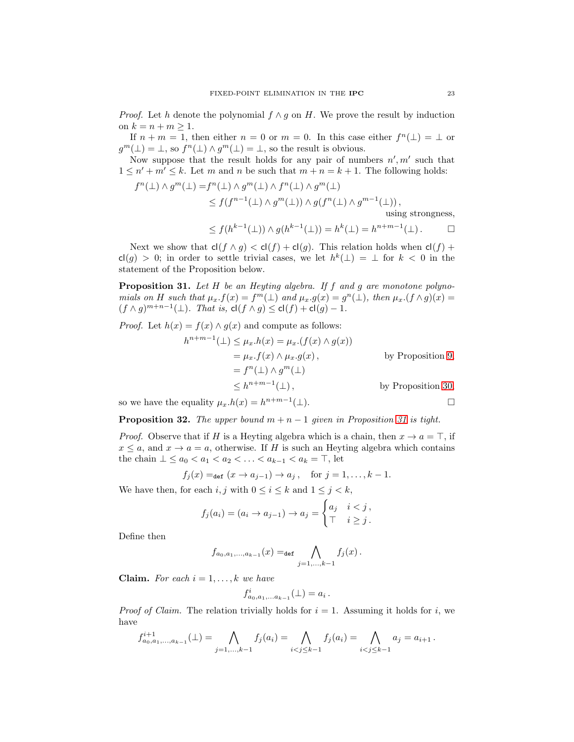*Proof.* Let h denote the polynomial  $f \wedge g$  on H. We prove the result by induction on  $k = n + m \geq 1$ .

If  $n + m = 1$ , then either  $n = 0$  or  $m = 0$ . In this case either  $f^{n}(\perp) = \perp$  or  $g^m(\perp) = \perp$ , so  $f^n(\perp) \wedge g^m(\perp) = \perp$ , so the result is obvious.

Now suppose that the result holds for any pair of numbers  $n', m'$  such that  $1 \leq n' + m' \leq k$ . Let m and n be such that  $m + n = k + 1$ . The following holds:

$$
f^{n}(\bot) \wedge g^{m}(\bot) = f^{n}(\bot) \wedge g^{m}(\bot) \wedge f^{n}(\bot) \wedge g^{m}(\bot)
$$
  
\n
$$
\leq f(f^{n-1}(\bot) \wedge g^{m}(\bot)) \wedge g(f^{n}(\bot) \wedge g^{m-1}(\bot)),
$$
  
\nusing strongest  
\n
$$
\leq f(h^{k-1}(\bot)) \wedge g(h^{k-1}(\bot)) = h^{k}(\bot) = h^{n+m-1}(\bot).
$$

Next we show that  $\text{cl}(f \wedge g) < \text{cl}(f) + \text{cl}(g)$ . This relation holds when  $\text{cl}(f)$  +  $\mathsf{cl}(g) > 0$ ; in order to settle trivial cases, we let  $h^k(\perp) = \perp$  for  $k < 0$  in the statement of the Proposition below.

<span id="page-22-0"></span>Proposition 31. *Let* H *be an Heyting algebra. If* f *and* g *are monotone polynomials on H such that*  $\mu_x \cdot f(x) = f^m(\perp)$  *and*  $\mu_x \cdot g(x) = g^n(\perp)$ *, then*  $\mu_x \cdot (f \wedge g)(x) =$  $(f \wedge g)^{m+n-1}(\perp)$ *. That is,*  $\text{cl}(f \wedge g) \leq \text{cl}(f) + \text{cl}(g) - 1$ *.* 

*Proof.* Let  $h(x) = f(x) \wedge g(x)$  and compute as follows:

$$
h^{n+m-1}(\bot) \le \mu_x . h(x) = \mu_x . (f(x) \wedge g(x))
$$
  
=  $\mu_x . f(x) \wedge \mu_x . g(x),$  by Proposition 9,  
=  $f^n(\bot) \wedge g^m(\bot)$   
 $\le h^{n+m-1}(\bot),$  by Proposition 30,

so we have the equality  $\mu_x.h(x) = h^{n+m-1}$ (⊥).

**Proposition 32.** *The upper bound*  $m + n - 1$  *given in Proposition [31](#page-22-0) is tight.* 

*Proof.* Observe that if H is a Heyting algebra which is a chain, then  $x \to a = \top$ , if  $x \le a$ , and  $x \to a = a$ , otherwise. If H is such an Heyting algebra which contains the chain  $\bot \le a_0 < a_1 < a_2 < \ldots < a_{k-1} < a_k = \top$ , let

$$
f_j(x) =_{def} (x \to a_{j-1}) \to a_j
$$
, for  $j = 1, ..., k - 1$ .

We have then, for each  $i, j$  with  $0 \le i \le k$  and  $1 \le j < k$ ,

$$
f_j(a_i) = (a_i \to a_{j-1}) \to a_j = \begin{cases} a_j & i < j, \\ \top & i \ge j. \end{cases}
$$

Define then

$$
f_{a_0,a_1,...,a_{k-1}}(x) =_{\text{def}} \bigwedge_{j=1,...,k-1} f_j(x).
$$

**Claim.** For each  $i = 1, \ldots, k$  we have

$$
f_{a_0,a_1,...a_{k-1}}^i(\bot) = a_i.
$$

*Proof of Claim.* The relation trivially holds for  $i = 1$ . Assuming it holds for i, we have

$$
f_{a_0,a_1,\dots,a_{k-1}}^{i+1}(\bot) = \bigwedge_{j=1,\dots,k-1} f_j(a_i) = \bigwedge_{i < j \leq k-1} f_j(a_i) = \bigwedge_{i < j \leq k-1} a_j = a_{i+1} \, .
$$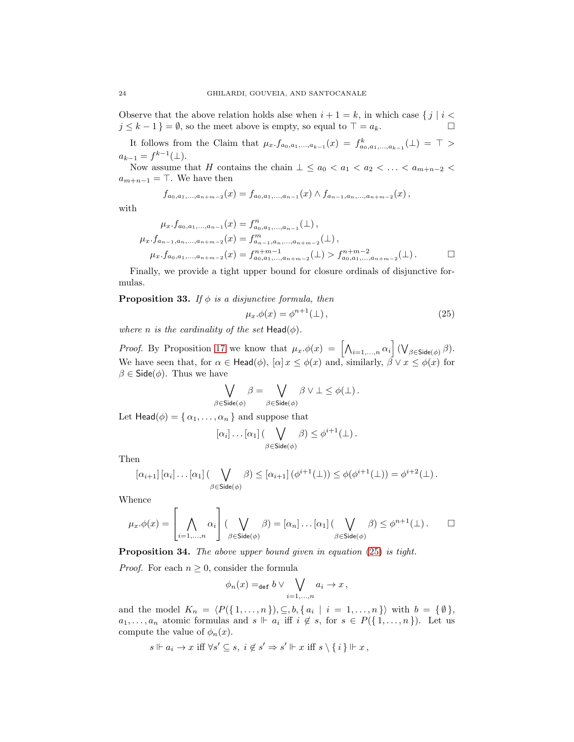Observe that the above relation holds alse when  $i + 1 = k$ , in which case  $\{j \mid i <$  $j \leq k - 1$ } =  $\emptyset$ , so the meet above is empty, so equal to  $\top = a_k$ .

It follows from the Claim that  $\mu_x.f_{a_0,a_1,...,a_{k-1}}(x) = f_{a_0,a_1,...,a_{k-1}}^k(\perp) = \top$  $a_{k-1} = f^{k-1}(\perp).$ 

Now assume that H contains the chain  $\bot \leq a_0 < a_1 < a_2 < \ldots < a_{m+n-2} < a_2$  $a_{m+n-1} = \top$ . We have then

$$
f_{a_0,a_1,...,a_{n+m-2}}(x) = f_{a_0,a_1,...,a_{n-1}}(x) \wedge f_{a_{n-1},a_n,...,a_{n+m-2}}(x),
$$

with

$$
\mu_x \cdot f_{a_0, a_1, \dots, a_{n-1}}(x) = f_{a_0, a_1, \dots, a_{n-1}}^n(\bot),
$$
  
\n
$$
\mu_x \cdot f_{a_{n-1}, a_n, \dots, a_{n+m-2}}(x) = f_{a_{n-1}, a_n, \dots, a_{n+m-2}}^{n}(\bot),
$$
  
\n
$$
\mu_x \cdot f_{a_0, a_1, \dots, a_{n+m-2}}(x) = f_{a_0, a_1, \dots, a_{n+m-2}}^{n+m-1}(\bot) > f_{a_0, a_1, \dots, a_{n+m-2}}^{n+m-2}(\bot).
$$

Finally, we provide a tight upper bound for closure ordinals of disjunctive formulas.

**Proposition 33.** *If*  $\phi$  *is a disjunctive formula, then* 

<span id="page-23-0"></span>
$$
\mu_x \cdot \phi(x) = \phi^{n+1}(\perp),\tag{25}
$$

*where n is the cardinality of the set* Head $(\phi)$ *.* 

*Proof.* By Proposition [17](#page-15-0) we know that  $\mu_x \cdot \phi(x) = \left[ \bigwedge_{i=1,\dots,n} \alpha_i \right] (\bigvee_{\beta \in \mathsf{Side}(\phi)} \beta).$ We have seen that, for  $\alpha \in \text{Head}(\phi)$ ,  $[\alpha] x \leq \phi(x)$  and, similarly,  $\beta \vee x \leq \phi(x)$  for  $\beta \in \mathsf{Side}(\phi)$ . Thus we have

$$
\bigvee_{\beta \in \mathsf{Side}(\phi)} \beta = \bigvee_{\beta \in \mathsf{Side}(\phi)} \beta \vee \bot \leq \phi(\bot).
$$

Let  $\text{Head}(\phi) = \{ \alpha_1, \ldots, \alpha_n \}$  and suppose that

$$
[\alpha_i] \dots [\alpha_1] \left( \bigvee_{\beta \in \mathsf{Side}(\phi)} \beta \right) \leq \phi^{i+1}(\bot).
$$

Then

$$
[\alpha_{i+1}][\alpha_i] \dots [\alpha_1] \left(\bigvee_{\beta \in \mathsf{Side}(\phi)} \beta\right) \leq [\alpha_{i+1}]\left(\phi^{i+1}(\bot)\right) \leq \phi(\phi^{i+1}(\bot)) = \phi^{i+2}(\bot).
$$

Whence

$$
\mu_x.\phi(x) = \left[\bigwedge_{i=1,\dots,n} \alpha_i\right] \left(\bigvee_{\beta \in \mathsf{Side}(\phi)} \beta\right) = [\alpha_n] \dots [\alpha_1] \left(\bigvee_{\beta \in \mathsf{Side}(\phi)} \beta\right) \leq \phi^{n+1}(\bot). \qquad \Box
$$

Proposition 34. *The above upper bound given in equation* [\(25\)](#page-23-0) *is tight.*

*Proof.* For each  $n \geq 0$ , consider the formula

$$
\phi_n(x) =_{\text{def}} b \vee \bigvee_{i=1,\dots,n} a_i \to x,
$$

and the model  $K_n = \langle P({1, ..., n}), \subseteq, b, \{ a_i \mid i = 1, ..., n \} \rangle$  with  $b = {\emptyset},$  $a_1, \ldots, a_n$  atomic formulas and  $s \Vdash a_i$  iff  $i \notin s$ , for  $s \in P(\{1, \ldots, n\})$ . Let us compute the value of  $\phi_n(x)$ .

$$
s \Vdash a_i \to x \text{ iff } \forall s' \subseteq s, \ i \notin s' \Rightarrow s' \Vdash x \text{ iff } s \setminus \{i\} \Vdash x,
$$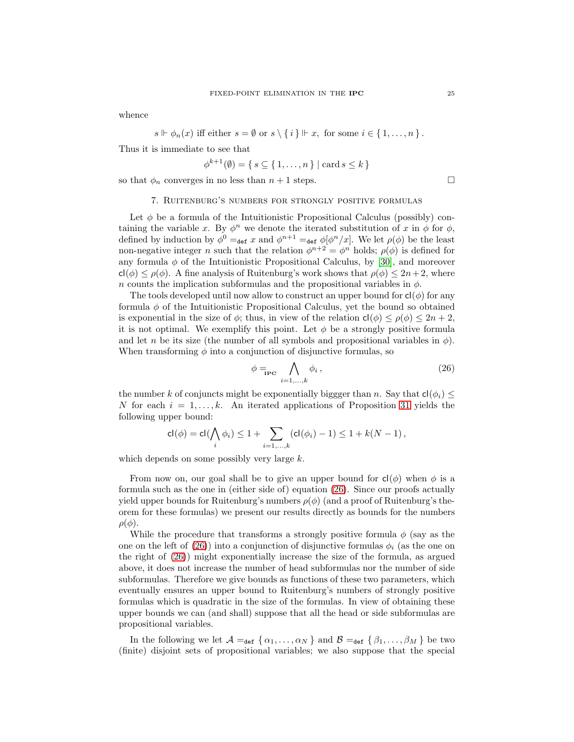whence

 $s \Vdash \phi_n(x)$  iff either  $s = \emptyset$  or  $s \setminus \{i\} \Vdash x$ , for some  $i \in \{1, ..., n\}$ .

Thus it is immediate to see that

$$
\phi^{k+1}(\emptyset) = \{ s \subseteq \{ 1, \ldots, n \} \mid \text{card } s \le k \}
$$

<span id="page-24-0"></span>so that  $\phi_n$  converges in no less than  $n+1$  steps.

# 7. Ruitenburg's numbers for strongly positive formulas

Let  $\phi$  be a formula of the Intuitionistic Propositional Calculus (possibly) containing the variable x. By  $\phi^n$  we denote the iterated substitution of x in  $\phi$  for  $\phi$ , defined by induction by  $\phi^0 =_{def} x$  and  $\phi^{n+1} =_{def} \phi[\phi^n/x]$ . We let  $\rho(\phi)$  be the least non-negative integer *n* such that the relation  $\phi^{n+2} = \phi^n$  holds;  $\rho(\phi)$  is defined for any formula  $\phi$  of the Intuitionistic Propositional Calculus, by [\[30\]](#page-37-5), and moreover  $cl(\phi) \leq \rho(\phi)$ . A fine analysis of Ruitenburg's work shows that  $\rho(\phi) \leq 2n+2$ , where n counts the implication subformulas and the propositional variables in  $\phi$ .

The tools developed until now allow to construct an upper bound for  $c\vert\phi\rangle$  for any formula  $\phi$  of the Intuitionistic Propositional Calculus, yet the bound so obtained is exponential in the size of  $\phi$ ; thus, in view of the relation  $\mathsf{cl}(\phi) \leq \rho(\phi) \leq 2n+2$ , it is not optimal. We exemplify this point. Let  $\phi$  be a strongly positive formula and let n be its size (the number of all symbols and propositional variables in  $\phi$ ). When transforming  $\phi$  into a conjunction of disjunctive formulas, so

$$
\phi = \bigwedge_{i=1,\dots,k} \phi_i \,,\tag{26}
$$

the number k of conjuncts might be exponentially biggger than n. Say that  $\mathsf{cl}(\phi_i) \leq$ N for each  $i = 1, \ldots, k$ . An iterated applications of Proposition [31](#page-22-0) yields the following upper bound:

$$
\mathsf{cl}(\phi)=\mathsf{cl}(\bigwedge_i\phi_i)\leq 1+\sum_{i=1,...,k}(\mathsf{cl}(\phi_i)-1)\leq 1+k(N-1)\,,
$$

which depends on some possibly very large k.

From now on, our goal shall be to give an upper bound for  $cl(\phi)$  when  $\phi$  is a formula such as the one in (either side of) equation [\(26\)](#page-24-1). Since our proofs actually yield upper bounds for Ruitenburg's numbers  $\rho(\phi)$  (and a proof of Ruitenburg's theorem for these formulas) we present our results directly as bounds for the numbers  $\rho(\phi)$ .

While the procedure that transforms a strongly positive formula  $\phi$  (say as the one on the left of [\(26\)](#page-24-1)) into a conjunction of disjunctive formulas  $\phi_i$  (as the one on the right of [\(26\)](#page-24-1)) might exponentially increase the size of the formula, as argued above, it does not increase the number of head subformulas nor the number of side subformulas. Therefore we give bounds as functions of these two parameters, which eventually ensures an upper bound to Ruitenburg's numbers of strongly positive formulas which is quadratic in the size of the formulas. In view of obtaining these upper bounds we can (and shall) suppose that all the head or side subformulas are propositional variables.

In the following we let  $\mathcal{A} =_{def} {\alpha_1, \ldots, \alpha_N}$  and  $\mathcal{B} =_{def} {\beta_1, \ldots, \beta_M}$  be two (finite) disjoint sets of propositional variables; we also suppose that the special

<span id="page-24-1"></span>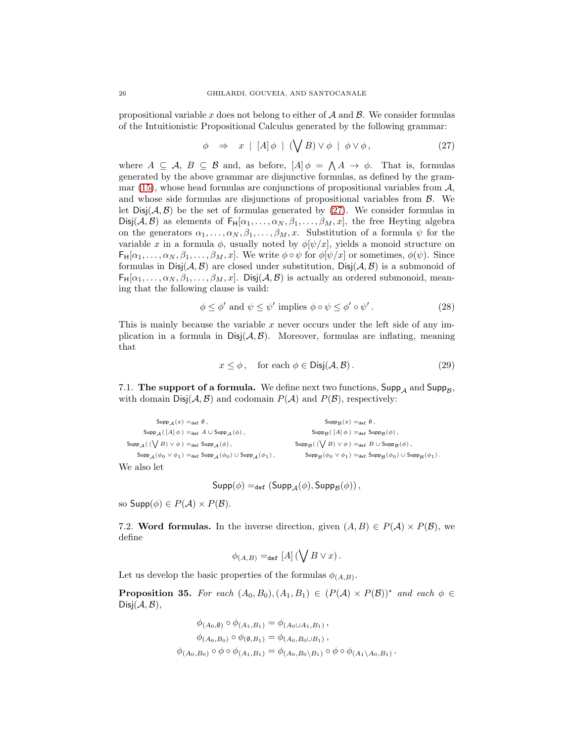propositional variable x does not belong to either of  $A$  and  $B$ . We consider formulas of the Intuitionistic Propositional Calculus generated by the following grammar:

<span id="page-25-2"></span>
$$
\phi \quad \Rightarrow \quad x \mid [A] \phi \mid (\bigvee B) \vee \phi \mid \phi \vee \phi, \tag{27}
$$

where  $A \subseteq \mathcal{A}, B \subseteq \mathcal{B}$  and, as before,  $[A]\phi = \bigwedge A \to \phi$ . That is, formulas generated by the above grammar are disjunctive formulas, as defined by the gram-mar [\(15\)](#page-13-3), whose head formulas are conjunctions of propositional variables from  $A$ , and whose side formulas are disjunctions of propositional variables from  $\beta$ . We let  $Disj(A, B)$  be the set of formulas generated by [\(27\)](#page-25-2). We consider formulas in  $Disj(A, B)$  as elements of  $F_H[\alpha_1, \ldots, \alpha_N, \beta_1, \ldots, \beta_M, x]$ , the free Heyting algebra on the generators  $\alpha_1, \ldots, \alpha_N, \beta_1, \ldots, \beta_M, x$ . Substitution of a formula  $\psi$  for the variable x in a formula  $\phi$ , usually noted by  $\phi[\psi/x]$ , yields a monoid structure on  $F_H[\alpha_1,\ldots,\alpha_N,\beta_1,\ldots,\beta_M,x]$ . We write  $\phi \circ \psi$  for  $\phi[\psi/x]$  or sometimes,  $\phi(\psi)$ . Since formulas in  $Disj(A, B)$  are closed under substitution,  $Disj(A, B)$  is a submonoid of  $F_H[\alpha_1,\ldots,\alpha_N,\beta_1,\ldots,\beta_M,x]$ . Disj $(A,\mathcal{B})$  is actually an ordered submonoid, meaning that the following clause is vaild:

$$
\phi \le \phi' \text{ and } \psi \le \psi' \text{ implies } \phi \circ \psi \le \phi' \circ \psi'. \tag{28}
$$

This is mainly because the variable  $x$  never occurs under the left side of any implication in a formula in  $Disj(A, B)$ . Moreover, formulas are inflating, meaning that

<span id="page-25-4"></span><span id="page-25-3"></span>
$$
x \le \phi, \quad \text{for each } \phi \in \text{Disj}(\mathcal{A}, \mathcal{B}). \tag{29}
$$

<span id="page-25-0"></span>7.1. The support of a formula. We define next two functions,  $\mathsf{Supp}_A$  and  $\mathsf{Supp}_B$ , with domain  $\text{Disj}(\mathcal{A}, \mathcal{B})$  and codomain  $P(\mathcal{A})$  and  $P(\mathcal{B})$ , respectively:

| $\mathsf{Supp}_{\mathcal{A}}(x) =_{\text{def}} \emptyset$ ,                                                                                      | $\mathsf{Supp}_{\mathcal{B}}(x) =_{\text{def}} \emptyset$ ,                                                                                    |
|--------------------------------------------------------------------------------------------------------------------------------------------------|------------------------------------------------------------------------------------------------------------------------------------------------|
| $\operatorname{Supp}_{\mathcal{A}}([A] \phi) =_{\operatorname{def}} A \cup \operatorname{Supp}_{\mathcal{A}}(\phi)$ ,                            | $\mathsf{Supp}_{\mathcal{B}}([A] \phi) =_{\text{def}} \mathsf{Supp}_{\mathcal{B}}(\phi)$ ,                                                     |
| $\mathsf{Supp}_\mathcal{A}((\bigvee B)\vee\phi)=_{\mathsf{def}}\mathsf{Supp}_\mathcal{A}(\phi),$                                                 | $\mathsf{Supp}_{\mathcal{B}}((\bigvee B)\vee\phi)=_{\text{def}}B\cup\mathsf{Supp}_{\mathcal{B}}(\phi),$                                        |
| $\mathsf{Supp}_{\mathcal{A}}(\phi_0 \vee \phi_1) =_{\mathsf{def}} \mathsf{Supp}_{\mathcal{A}}(\phi_0) \cup \mathsf{Supp}_{\mathcal{A}}(\phi_1),$ | $\mathsf{Supp}_{\mathcal{B}}(\phi_0 \vee \phi_1) =_{\text{def}} \mathsf{Supp}_{\mathcal{B}}(\phi_0) \cup \mathsf{Supp}_{\mathcal{B}}(\phi_1).$ |
| $V_{\odot}$ algebra $1_{\odot}$ +                                                                                                                |                                                                                                                                                |

We also let

$$
\mathsf{Supp}(\phi) =_{\mathsf{def}} (\mathsf{Supp}_{\mathcal{A}}(\phi), \mathsf{Supp}_{\mathcal{B}}(\phi)),
$$

so  $\mathsf{Supp}(\phi) \in P(\mathcal{A}) \times P(\mathcal{B})$ .

<span id="page-25-1"></span>7.2. Word formulas. In the inverse direction, given  $(A, B) \in P(A) \times P(B)$ , we define

$$
\phi_{(A,B)} =_{\text{def}} [A] (\bigvee B \vee x).
$$

Let us develop the basic properties of the formulas  $\phi_{(A,B)}$ .

<span id="page-25-5"></span>**Proposition 35.** For each  $(A_0, B_0), (A_1, B_1) \in (P(\mathcal{A}) \times P(\mathcal{B}))^*$  and each  $\phi \in$  $Disi(A, B)$ ,

$$
\phi_{(A_0, \emptyset)} \circ \phi_{(A_1, B_1)} = \phi_{(A_0 \cup A_1, B_1)},
$$
  
\n
$$
\phi_{(A_0, B_0)} \circ \phi_{(\emptyset, B_1)} = \phi_{(A_0, B_0 \cup B_1)},
$$
  
\n
$$
\phi_{(A_0, B_0)} \circ \phi \circ \phi_{(A_1, B_1)} = \phi_{(A_0, B_0 \setminus B_1)} \circ \phi \circ \phi_{(A_1 \setminus A_0, B_1)}.
$$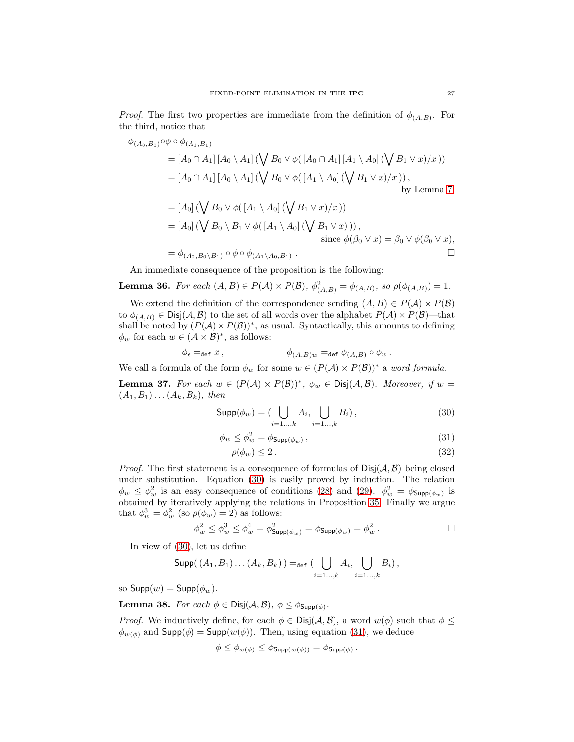*Proof.* The first two properties are immediate from the definition of  $\phi_{(A,B)}$ . For the third, notice that

$$
\phi_{(A_0, B_0)} \circ \phi \circ \phi_{(A_1, B_1)}
$$
\n
$$
= [A_0 \cap A_1] [A_0 \setminus A_1] (\bigvee B_0 \vee \phi([A_0 \cap A_1] [A_1 \setminus A_0] (\bigvee B_1 \vee x)/x))
$$
\n
$$
= [A_0 \cap A_1] [A_0 \setminus A_1] (\bigvee B_0 \vee \phi([A_1 \setminus A_0] (\bigvee B_1 \vee x)/x)),
$$
\nby Lemma 7,  
\n
$$
= [A_0] (\bigvee B_0 \vee \phi([A_1 \setminus A_0] (\bigvee B_1 \vee x)/x))
$$
\n
$$
= [A_0] (\bigvee B_0 \setminus B_1 \vee \phi([A_1 \setminus A_0] (\bigvee B_1 \vee x))),
$$
\n
$$
\text{since } \phi(\beta_0 \vee x) = \beta_0 \vee \phi(\beta_0 \vee x),
$$

$$
= \phi_{(A_0,B_0\setminus B_1)} \circ \phi \circ \phi_{(A_1\setminus A_0,B_1)} \ .
$$

An immediate consequence of the proposition is the following:

**Lemma 36.** *For each*  $(A, B) \in P(A) \times P(B)$ ,  $\phi^2_{(A, B)} = \phi_{(A, B)}$ , so  $\rho(\phi_{(A, B)}) = 1$ .

We extend the definition of the correspondence sending  $(A, B) \in P(A) \times P(B)$ to  $\phi_{(A,B)} \in \text{Disj}(\mathcal{A}, \mathcal{B})$  to the set of all words over the alphabet  $P(\mathcal{A}) \times P(\mathcal{B})$ —that shall be noted by  $(P(\mathcal{A}) \times P(\mathcal{B}))^*$ , as usual. Syntactically, this amounts to defining  $\phi_w$  for each  $w \in (\mathcal{A} \times \mathcal{B})^*$ , as follows:

$$
\phi_{\epsilon} =_{\text{def}} x, \qquad \phi_{(A,B)w} =_{\text{def}} \phi_{(A,B)} \circ \phi_w.
$$

We call a formula of the form  $\phi_w$  for some  $w \in (P(\mathcal{A}) \times P(\mathcal{B}))^*$  a *word formula*.

**Lemma 37.** *For each*  $w \in (P(\mathcal{A}) \times P(\mathcal{B}))^*$ ,  $\phi_w \in \text{Disj}(\mathcal{A}, \mathcal{B})$ *. Moreover, if*  $w =$  $(A_1, B_1) \ldots (A_k, B_k)$ *, then* 

$$
\text{Supp}(\phi_w) = \left(\bigcup_{i=1...,k} A_i, \bigcup_{i=1...,k} B_i\right),\tag{30}
$$

$$
\phi_w \le \phi_w^2 = \phi_{\text{Supp}(\phi_w)}\,,\tag{31}
$$

<span id="page-26-1"></span><span id="page-26-0"></span>
$$
\rho(\phi_w) \le 2. \tag{32}
$$

*Proof.* The first statement is a consequence of formulas of  $Disj(A, B)$  being closed under substitution. Equation [\(30\)](#page-26-0) is easily proved by induction. The relation  $\phi_w \leq \phi_w^2$  is an easy consequence of conditions [\(28\)](#page-25-3) and [\(29\)](#page-25-4).  $\phi_w^2 = \phi_{\text{Supp}(\phi_w)}$  is obtained by iteratively applying the relations in Proposition [35.](#page-25-5) Finally we argue that  $\phi_w^3 = \phi_w^2$  (so  $\rho(\phi_w) = 2$ ) as follows:

$$
\phi_w^2 \le \phi_w^3 \le \phi_w^4 = \phi_{\text{Supp}(\phi_w)}^2 = \phi_{\text{Supp}(\phi_w)} = \phi_w^2.
$$

In view of [\(30\)](#page-26-0), let us define

$$
\mathsf{Supp}((A_1,B_1)\dots(A_k,B_k)) =_{\mathsf{def}} (\bigcup_{i=1\dots,k} A_i, \bigcup_{i=1\dots,k} B_i),
$$

so  $\mathsf{Supp}(w) = \mathsf{Supp}(\phi_w)$ .

Lemma 38. *For each*  $\phi \in \text{Disj}(\mathcal{A}, \mathcal{B}), \ \phi \leq \phi_{\text{Supp}(\phi)}$ .

*Proof.* We inductively define, for each  $\phi \in \text{Disj}(\mathcal{A}, \mathcal{B})$ , a word  $w(\phi)$  such that  $\phi \leq$  $\phi_{w(\phi)}$  and  $\mathsf{Supp}(\phi) = \mathsf{Supp}(w(\phi))$ . Then, using equation [\(31\)](#page-26-1), we deduce

$$
\phi \leq \phi_{w(\phi)} \leq \phi_{\mathsf{Supp}(w(\phi))} = \phi_{\mathsf{Supp}(\phi)}.
$$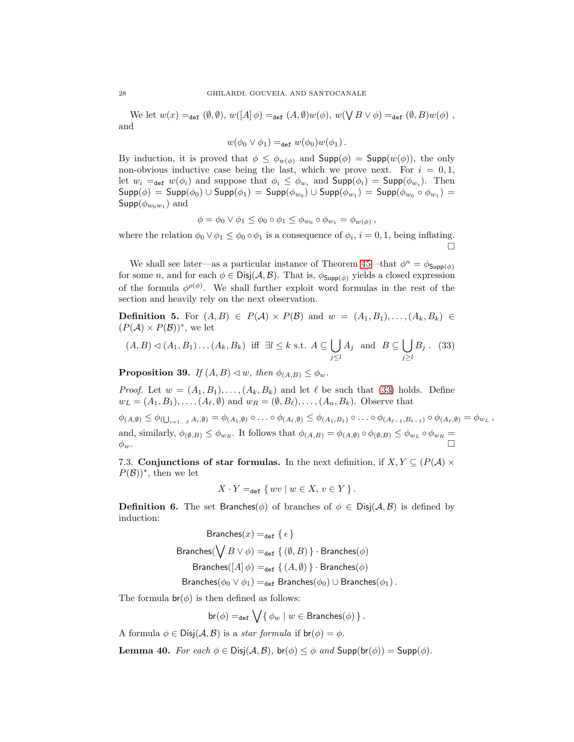We let  $w(x) =_{def} (\emptyset, \emptyset), w([A] \phi) =_{def} (A, \emptyset)w(\phi), w(\bigvee B \vee \phi) =_{def} (\emptyset, B)w(\phi)$ , and

$$
w(\phi_0 \vee \phi_1) =_{\text{def}} w(\phi_0)w(\phi_1).
$$

By induction, it is proved that  $\phi \leq \phi_{w(\phi)}$  and  $\mathsf{Supp}(\phi) = \mathsf{Supp}(w(\phi))$ , the only non-obvious inductive case being the last, which we prove next. For  $i = 0, 1$ , let  $w_i =_{def} w(\phi_i)$  and suppose that  $\phi_i \leq \phi_{w_i}$  and  $\mathsf{Supp}(\phi_i) = \mathsf{Supp}(\phi_{w_i})$ . Then  $\mathsf{Supp}(\phi) \,=\, \mathsf{Supp}(\phi_0) \cup \mathsf{Supp}(\phi_1) \,=\, \mathsf{Supp}(\phi_{w_0}) \cup \mathsf{Supp}(\phi_{w_1}) \,=\, \mathsf{Supp}(\phi_{w_0} \circ \phi_{w_1}) \,=\,$  $\mathsf{Supp}(\phi_{w_0w_1})$  and

$$
\phi = \phi_0 \vee \phi_1 \le \phi_0 \circ \phi_1 \le \phi_{w_0} \circ \phi_{w_1} = \phi_{w(\phi)},
$$

where the relation  $\phi_0 \vee \phi_1 \leq \phi_0 \circ \phi_1$  is a consequence of  $\phi_i$ ,  $i = 0, 1$ , being inflating. П

We shall see later—as a particular instance of Theorem [45—](#page-31-0)that  $\phi^n = \phi_{\text{Supp}(\phi)}$ for some n, and for each  $\phi \in \text{Disj}(\mathcal{A}, \mathcal{B})$ . That is,  $\phi_{\text{Supp}(\phi)}$  yields a closed expression of the formula  $\phi^{\rho(\phi)}$ . We shall further exploit word formulas in the rest of the section and heavily rely on the next observation.

**Definition 5.** For  $(A, B) \in P(A) \times P(B)$  and  $w = (A_1, B_1), \ldots, (A_k, B_k) \in$  $(P(\mathcal{A}) \times P(\mathcal{B}))^*$ , we let

$$
(A, B) \lhd (A_1, B_1) \ldots (A_k, B_k)
$$
 iff  $\exists l \leq k$  s.t.  $A \subseteq \bigcup_{j \leq l} A_j$  and  $B \subseteq \bigcup_{j \geq l} B_j$ . (33)

<span id="page-27-2"></span>**Proposition 39.** *If*  $(A, B) \triangleleft w$ *, then*  $\phi_{(A, B)} \leq \phi_w$ *.* 

*Proof.* Let  $w = (A_1, B_1), \ldots, (A_k, B_k)$  and let  $\ell$  be such that [\(33\)](#page-27-1) holds. Define  $w_L = (A_1, B_1), \ldots, (A_\ell, \emptyset)$  and  $w_R = (\emptyset, B_\ell), \ldots, (A_n, B_k)$ . Observe that

 $\phi_{(A,\emptyset)} \leq \phi_{(\bigcup_{i=1...l} A_i,\emptyset)} = \phi_{(A_1,\emptyset)} \circ \ldots \circ \phi_{(A_{\ell},\emptyset)} \leq \phi_{(A_1,B_1)} \circ \ldots \circ \phi_{(A_{\ell-1},B_{\ell-1})} \circ \phi_{(A_{\ell},\emptyset)} = \phi_{w_L},$ and, similarly,  $\phi_{(\emptyset,B)} \leq \phi_{w_R}$ . It follows that  $\phi_{(A,B)} = \phi_{(A,\emptyset)} \circ \phi_{(\emptyset,B)} \leq \phi_{w_L} \circ \phi_{w_R} =$  $\phi_w$ .

<span id="page-27-0"></span>7.3. Conjunctions of star formulas. In the next definition, if  $X, Y \subseteq (P(A) \times$  $P(\mathcal{B})^*$ , then we let

<span id="page-27-1"></span>
$$
X \cdot Y =_{\text{def}} \{ wv \mid w \in X, v \in Y \}.
$$

**Definition 6.** The set Branches( $\phi$ ) of branches of  $\phi \in \text{Disj}(\mathcal{A}, \mathcal{B})$  is defined by induction:

$$
\begin{aligned} \text{Branches}(x) &=_{\text{def}} \{ \epsilon \} \\ \text{Branches}(\bigvee B \vee \phi) &=_{\text{def}} \{ (\emptyset, B) \} \cdot \text{Branches}(\phi) \\ \text{Branches}([A] \phi) &=_{\text{def}} \{ (A, \emptyset) \} \cdot \text{Branches}(\phi) \\ \text{Branches}(\phi_0 \vee \phi_1) &=_{\text{def}} \text{ Branches}(\phi_0) \cup \text{Branches}(\phi_1) \,. \end{aligned}
$$

The formula  $\mathsf{br}(\phi)$  is then defined as follows:

 $\mathsf{br}(\phi) =_{\mathtt{def}} \bigvee \set{\phi_w | w \in \mathsf{Branches}(\phi)}.$ 

A formula  $\phi \in \text{Disj}(\mathcal{A}, \mathcal{B})$  is a *star formula* if  $\text{br}(\phi) = \phi$ .

**Lemma 40.** *For each*  $\phi \in \text{Disj}(\mathcal{A}, \mathcal{B})$ ,  $\text{br}(\phi) \leq \phi$  *and*  $\text{Supp}(\text{br}(\phi)) = \text{Supp}(\phi)$ *.*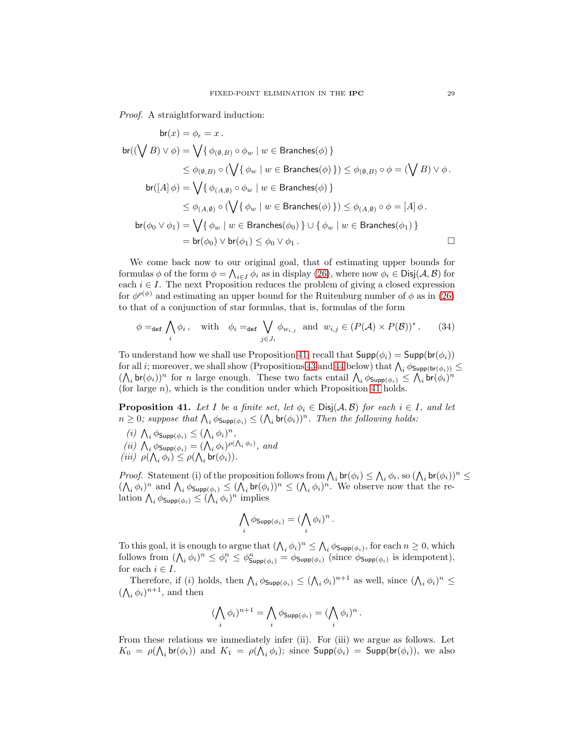*Proof.* A straightforward induction:

$$
\mathsf{br}(x) = \phi_{\epsilon} = x.
$$
\n
$$
\mathsf{br}((\bigvee B) \vee \phi) = \bigvee \{ \phi_{(\emptyset, B)} \circ \phi_w \mid w \in \text{Branches}(\phi) \}
$$
\n
$$
\leq \phi_{(\emptyset, B)} \circ (\bigvee \{ \phi_w \mid w \in \text{Branches}(\phi) \}) \leq \phi_{(\emptyset, B)} \circ \phi = (\bigvee B) \vee \phi.
$$
\n
$$
\mathsf{br}([A] \phi) = \bigvee \{ \phi_{(A, \emptyset)} \circ \phi_w \mid w \in \text{Branches}(\phi) \}
$$
\n
$$
\leq \phi_{(A, \emptyset)} \circ (\bigvee \{ \phi_w \mid w \in \text{Branches}(\phi) \}) \leq \phi_{(A, \emptyset)} \circ \phi = [A] \phi.
$$
\n
$$
\mathsf{br}(\phi_0 \vee \phi_1) = \bigvee \{ \phi_w \mid w \in \text{Branches}(\phi_0) \} \cup \{ \phi_w \mid w \in \text{Branches}(\phi_1) \}
$$
\n
$$
= \mathsf{br}(\phi_0) \vee \mathsf{br}(\phi_1) \leq \phi_0 \vee \phi_1.
$$

We come back now to our original goal, that of estimating upper bounds for formulas  $\phi$  of the form  $\phi = \bigwedge_{i \in I} \phi_i$  as in display [\(26\)](#page-24-1), where now  $\phi_i \in \text{Disj}(\mathcal{A}, \mathcal{B})$  for each  $i \in I$ . The next Proposition reduces the problem of giving a closed expression for  $\phi^{\rho(\phi)}$  and estimating an upper bound for the Ruitenburg number of  $\phi$  as in [\(26\)](#page-24-1) to that of a conjunction of star formulas, that is, formulas of the form

$$
\phi =_{\text{def}} \bigwedge_i \phi_i, \quad \text{with} \quad \phi_i =_{\text{def}} \bigvee_{j \in J_i} \phi_{w_{i,j}} \text{ and } w_{i,j} \in (P(\mathcal{A}) \times P(\mathcal{B}))^*.
$$
 (34)

To understand how we shall use Proposition [41,](#page-28-0) recall that  $\mathsf{Supp}(\phi_i) = \mathsf{Supp}(\mathsf{br}(\phi_i))$ for all *i*; moreover, we shall show (Propositions [43](#page-30-1) and [44](#page-31-1) below) that  $\bigwedge_i \phi_{\mathsf{Supp}(\mathsf{br}(\phi_i))} \leq$  $(\bigwedge_i \mathsf{br}(\phi_i))^n$  for n large enough. These two facts entail  $\bigwedge_i \phi_{\mathsf{Supp}(\phi_i)} \leq \bigwedge_i \mathsf{br}(\phi_i)^n$ (for large  $n$ ), which is the condition under which Proposition [41](#page-28-0) holds.

<span id="page-28-0"></span>**Proposition 41.** Let I be a finite set, let  $\phi_i \in \text{Disj}(\mathcal{A}, \mathcal{B})$  for each  $i \in I$ , and let  $n \geq 0$ ; suppose that  $\bigwedge_i \phi_{\text{Supp}(\phi_i)} \leq (\bigwedge_i \text{br}(\phi_i))^n$ . Then the following holds:

- $(i)$   $\bigwedge_i \phi_{\mathsf{Supp}(\phi_i)} \leq (\bigwedge_i \phi_i)^n,$
- $(iii)$   $\bigwedge_i \phi_{\mathsf{Supp}(\phi_i)} = (\bigwedge_i \phi_i)^{\rho(\bigwedge_i \phi_i)},$  and
- (*iii*)  $\rho(\bigwedge_i \phi_i) \leq \rho(\bigwedge_i \mathsf{br}(\phi_i)).$

*Proof.* Statement (i) of the proposition follows from  $\bigwedge_i$  br $(\phi_i) \leq \bigwedge_i \phi_i$ , so  $(\bigwedge_i$  br $(\phi_i))^n \leq$  $(\bigwedge_i \phi_i)^n$  and  $\bigwedge_i \phi_{\text{Supp}(\phi_i)} \leq (\bigwedge_i \text{br}(\phi_i))^n \leq (\bigwedge_i \phi_i)^n$ . We observe now that the relation  $\bigwedge_i \phi_{\mathsf{Supp}(\phi_i)} \leq (\bigwedge_i \phi_i)^n$  implies

<span id="page-28-1"></span>
$$
\bigwedge_i \phi_{\mathsf{Supp}(\phi_i)} = (\bigwedge_i \phi_i)^n.
$$

To this goal, it is enough to argue that  $(\bigwedge_i \phi_i)^n \leq \bigwedge_i \phi_{\text{Supp}(\phi_i)}$ , for each  $n \geq 0$ , which follows from  $(\bigwedge_i \phi_i)^n \leq \phi_i^n \leq \phi_{\mathsf{Supp}(\phi_i)}^n = \phi_{\mathsf{Supp}(\phi_i)}$  (since  $\phi_{\mathsf{Supp}(\phi_i)}$  is idempotent), for each  $i \in I$ .

Therefore, if (*i*) holds, then  $\bigwedge_i \phi_{\text{Supp}(\phi_i)} \leq (\bigwedge_i \phi_i)^{n+1}$  as well, since  $(\bigwedge_i \phi_i)^n \leq$  $(\bigwedge_i \phi_i)^{n+1}$ , and then

$$
(\bigwedge_i \phi_i)^{n+1} = \bigwedge_i \phi_{\mathsf{Supp}(\phi_i)} = (\bigwedge_i \phi_i)^n.
$$

From these relations we immediately infer (ii). For (iii) we argue as follows. Let  $K_0 = \rho(\bigwedge_i \mathsf{br}(\phi_i))$  and  $K_1 = \rho(\bigwedge_i \phi_i)$ ; since  $\mathsf{Supp}(\phi_i) = \mathsf{Supp}(\mathsf{br}(\phi_i))$ , we also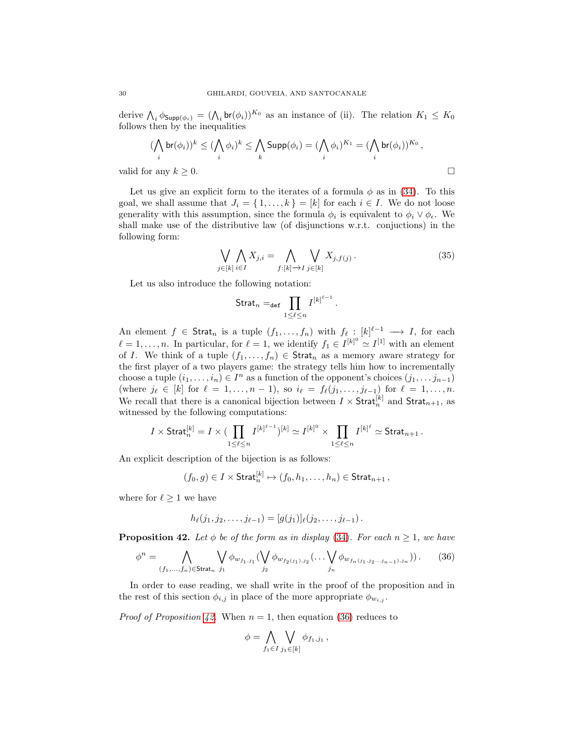derive  $\bigwedge_i \phi_{\mathsf{Supp}(\phi_i)} = (\bigwedge_i \mathsf{br}(\phi_i))^{K_0}$  as an instance of (ii). The relation  $K_1 \leq K_0$ follows then by the inequalities

$$
(\bigwedge_i \text{br}(\phi_i))^k \leq (\bigwedge_i \phi_i)^k \leq \bigwedge_k \text{Supp}(\phi_i) = (\bigwedge_i \phi_i)^{K_1} = (\bigwedge_i \text{br}(\phi_i))^{K_0},
$$
for any  $k > 0$ 

valid for any  $k \geq 0$ .

Let us give an explicit form to the iterates of a formula  $\phi$  as in [\(34\)](#page-28-1). To this goal, we shall assume that  $J_i = \{1, \ldots, k\} = [k]$  for each  $i \in I$ . We do not loose generality with this assumption, since the formula  $\phi_i$  is equivalent to  $\phi_i \vee \phi_{\epsilon}$ . We shall make use of the distributive law (of disjunctions w.r.t. conjuctions) in the following form:

$$
\bigvee_{j\in[k]}\bigwedge_{i\in I}X_{j,i} = \bigwedge_{f:[k]\to I}\bigvee_{j\in[k]}X_{j,f(j)}.
$$
\n(35)

Let us also introduce the following notation:

<span id="page-29-2"></span>
$$
\mathsf{Strat}_n =_{\mathsf{def}} \prod_{1 \leq \ell \leq n} I^{[k]^{\ell-1}}.
$$

An element  $f \in \mathsf{Strat}_n$  is a tuple  $(f_1, \ldots, f_n)$  with  $f_\ell : [k]^{\ell-1} \longrightarrow I$ , for each  $\ell = 1, \ldots, n$ . In particular, for  $\ell = 1$ , we identify  $f_1 \in I^{[k]^0} \simeq I^{[1]}$  with an element of I. We think of a tuple  $(f_1, \ldots, f_n) \in \mathsf{Strat}_n$  as a memory aware strategy for the first player of a two players game: the strategy tells him how to incrementally choose a tuple  $(i_1, \ldots, i_n) \in I^n$  as a function of the opponent's choices  $(j_1, \ldots, j_{n-1})$ (where  $j_{\ell} \in [k]$  for  $\ell = 1, \ldots, n-1$ ), so  $i_{\ell} = f_{\ell}(j_1, \ldots, j_{\ell-1})$  for  $\ell = 1, \ldots, n$ . We recall that there is a canonical bijection between  $I \times \text{Strat}_{n}^{[k]}$  and  $\text{Strat}_{n+1}$ , as witnessed by the following computations:

$$
I \times \mathsf{Strat}_n^{[k]} = I \times (\prod_{1 \leq \ell \leq n} I^{[k]^{\ell-1}})^{[k]} \simeq I^{[k]^0} \times \prod_{1 \leq \ell \leq n} I^{[k]^{\ell}} \simeq \mathsf{Strat}_{n+1} \, .
$$

An explicit description of the bijection is as follows:

$$
(f_0,g)\in I\times\mathsf{Strat}_n^{[k]}\mapsto (f_0,h_1,\ldots,h_n)\in\mathsf{Strat}_{n+1}\,,
$$

where for  $\ell \geq 1$  we have

$$
h_{\ell}(j_1, j_2, \ldots, j_{\ell-1}) = [g(j_1)]_{\ell}(j_2, \ldots, j_{\ell-1}).
$$

<span id="page-29-0"></span>**Proposition 42.** Let  $\phi$  be of the form as in display [\(34\)](#page-28-1). For each  $n \geq 1$ , we have

$$
\phi^{n} = \bigwedge_{(f_{1},...,f_{n}) \in \text{Strat}_{n}} \bigvee_{j_{1}} \phi_{w_{f_{1},j_{1}}}(\bigvee_{j_{2}} \phi_{w_{f_{2}(j_{1}),j_{2}}}(\dots \bigvee_{j_{n}} \phi_{w_{f_{n}(j_{1},j_{2}...j_{n-1}),j_{n}}})).
$$
 (36)

In order to ease reading, we shall write in the proof of the proposition and in the rest of this section  $\phi_{i,j}$  in place of the more appropriate  $\phi_{w_{i,j}}$ .

*Proof of Proposition [42.](#page-29-0)* When  $n = 1$ , then equation [\(36\)](#page-29-1) reduces to

<span id="page-29-1"></span>
$$
\phi = \bigwedge_{f_1 \in I} \bigvee_{j_1 \in [k]} \phi_{f_1,j_1} ,
$$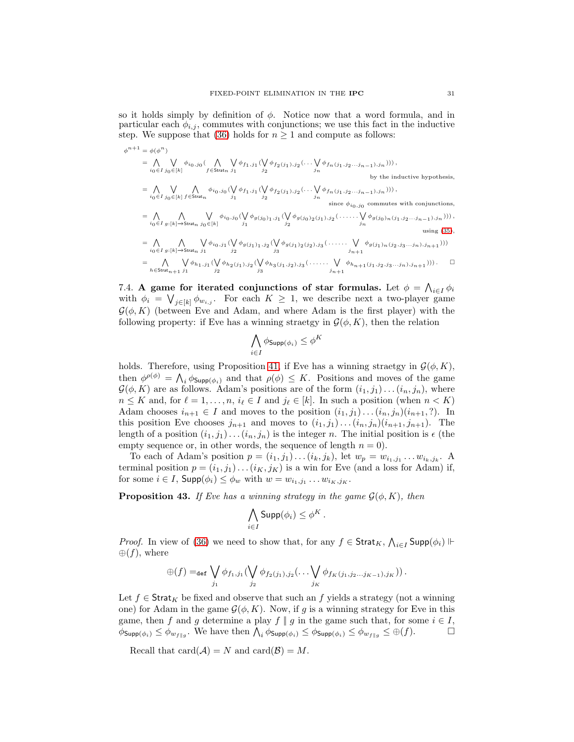step. We suppose that [\(36\)](#page-29-1) holds for  $n \geq 1$  and compute as follows:

$$
\begin{split} \phi^{n+1} &= \phi(\phi^n) \\ &= \bigwedge_{i_0 \in I} \bigvee_{j_0 \in [k]} \phi_{i_0,j_0} (\bigwedge_{f \in \text{Strat}_n} \bigvee_{j_1} \phi_{f_1,j_1} (\bigvee_{f \not \in f_2(j_1),j_2} (\dots \bigvee_{j_n} \phi_{f_n(j_1,j_2\dots j_{n-1}),j_n}))) \, , \\ & \qquad \qquad \text{by the inductive hypothesis,} \\ &= \bigwedge_{i_0 \in I} \bigvee_{j_0 \in [k]} \bigwedge_{f \in \text{Strat}_n} \phi_{i_0,j_0} (\bigvee_{j_1} \phi_{f_1,j_1} (\bigvee_{j_2} \phi_{f_2(j_1),j_2} (\dots \bigvee_{j_n} \phi_{f_n(j_1,j_2\dots j_{n-1}),j_n}))) \, , \\ & \qquad \qquad \text{since } \phi_{i_0,j_0} \text{ commutes with conjunctions,} \\ &= \bigwedge_{i_0 \in I} \bigwedge_{g: [k] \rightarrow \text{Strat}_n} \bigvee_{j_0 \in [k]} \phi_{i_0,j_0} (\bigvee_{j_1} \phi_{g(j_0)1,j_1} (\bigvee_{j_2} \phi_{g(j_0)2}(j_1),j_2} (\dots \dots \bigvee_{j_n} \phi_{g(j_0) n (j_1,j_2\dots j_{n-1}),j_n}))) \, , \\ & \qquad \qquad \text{using (35)}, \\ &= \bigwedge_{i_0 \in I} \bigwedge_{g: [k] \rightarrow \text{Strat}_n} \bigvee_{j_1} \phi_{i_0,j_1} (\bigvee_{j_2} \phi_{g(j_1)1,j_2} (\bigvee_{j_3} \phi_{g(j_1)2}(j_2),j_3} (\dots \dots \bigvee_{j_{n+1}} \phi_{g(j_1) n (j_2,j_3\dots j_n),j_{n+1}}))) \, , \\ & \qquad \qquad \text{and} \\ & \qquad \qquad \text{where} \quad \phi_{n+1}(j_1,j_2,j_3\dots j_n),j_{n+1}))) \, = \\ & \qquad \qquad \bigwedge_{h \in \text{Strat}_n+1} \bigvee_{j_1} \phi_{h_1,j_1} (\bigvee_{j_2} \phi_{h
$$

<span id="page-30-0"></span>7.4. A game for iterated conjunctions of star formulas. Let  $\phi = \bigwedge_{i \in I} \phi_i$ with  $\phi_i = \bigvee_{j \in [k]} \phi_{w_{i,j}}$ . For each  $K \geq 1$ , we describe next a two-player game  $\mathcal{G}(\phi, K)$  (between Eve and Adam, and where Adam is the first player) with the following property: if Eve has a winning straetgy in  $\mathcal{G}(\phi, K)$ , then the relation

$$
\bigwedge_{i\in I}\phi_{\mathsf{Supp}(\phi_{i})}\leq \phi^{K}
$$

holds. Therefore, using Proposition [41,](#page-28-0) if Eve has a winning straetgy in  $\mathcal{G}(\phi, K)$ , then  $\phi^{\rho(\phi)} = \bigwedge_i \phi_{\mathsf{Supp}(\phi_i)}$  and that  $\rho(\phi) \leq K$ . Positions and moves of the game  $\mathcal{G}(\phi, K)$  are as follows. Adam's positions are of the form  $(i_1, j_1) \dots (i_n, j_n)$ , where  $n \leq K$  and, for  $\ell = 1, \ldots, n$ ,  $i_{\ell} \in I$  and  $j_{\ell} \in [k]$ . In such a position (when  $n < K$ ) Adam chooses  $i_{n+1} \in I$  and moves to the position  $(i_1, j_1) \dots (i_n, j_n)(i_{n+1}, ?)$ . In this position Eve chooses  $j_{n+1}$  and moves to  $(i_1, j_1) \dots (i_n, j_n)(i_{n+1}, j_{n+1})$ . The length of a position  $(i_1, j_1) \dots (i_n, j_n)$  is the integer n. The initial position is  $\epsilon$  (the empty sequence or, in other words, the sequence of length  $n = 0$ ).

To each of Adam's position  $p = (i_1, j_1) \dots (i_k, j_k)$ , let  $w_p = w_{i_1, j_1} \dots w_{i_k, j_k}$ . A terminal position  $p = (i_1, j_1) \dots (i_K, j_K)$  is a win for Eve (and a loss for Adam) if, for some  $i \in I$ ,  $\mathsf{Supp}(\phi_i) \leq \phi_w$  with  $w = w_{i_1, j_1} \dots w_{i_K, j_K}$ .

<span id="page-30-1"></span>**Proposition 43.** *If Eve has a winning strategy in the game*  $\mathcal{G}(\phi, K)$ *, then* 

$$
\bigwedge_{i\in I} \mathsf{Supp}(\phi_i) \leq \phi^K.
$$

*Proof.* In view of [\(36\)](#page-29-1) we need to show that, for any  $f \in \text{Strat}_K$ ,  $\bigwedge_{i \in I} \text{Supp}(\phi_i)$   $\Vdash$  $\oplus(f)$ , where

$$
\bigoplus (f) =_{\text{def}} \bigvee_{j_1} \phi_{f_1,j_1}(\bigvee_{j_2} \phi_{f_2(j_1),j_2}(\ldots \bigvee_{j_K} \phi_{f_K(j_1,j_2\ldots j_{K-1}),j_K})) .
$$

Let  $f \in \text{Strat}_K$  be fixed and observe that such an f yields a strategy (not a winning one) for Adam in the game  $\mathcal{G}(\phi, K)$ . Now, if g is a winning strategy for Eve in this game, then f and g determine a play f || g in the game such that, for some  $i \in I$ ,  $\phi_{\mathsf{Supp}(\phi_i)} \leq \phi_{w_{f\|g}}.$  We have then  $\bigwedge_i \phi_{\mathsf{Supp}(\phi_i)} \leq \phi_{\mathsf{Supp}(\phi_i)} \leq \phi_{w_{f\|g}} \leq \bigoplus(f).$ 

Recall that  $card(A) = N$  and  $card(B) = M$ .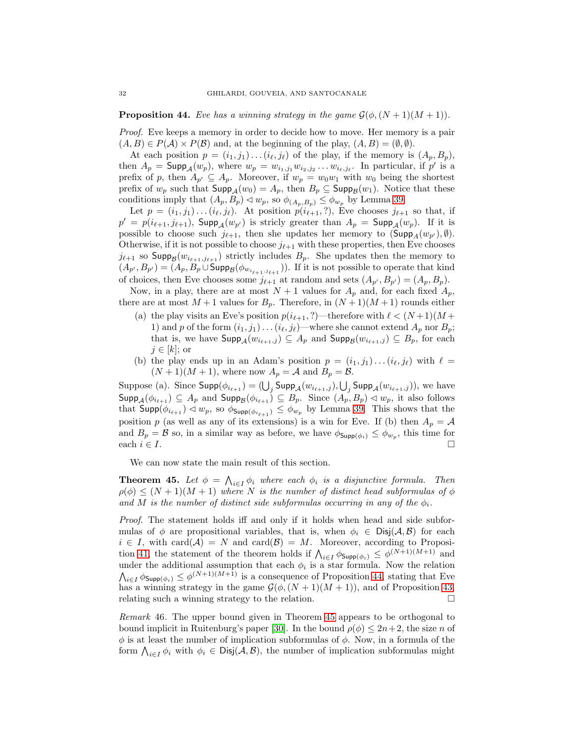<span id="page-31-1"></span>**Proposition 44.** Eve has a winning strategy in the game  $\mathcal{G}(\phi, (N+1)(M+1))$ .

*Proof.* Eve keeps a memory in order to decide how to move. Her memory is a pair  $(A, B) \in P(A) \times P(B)$  and, at the beginning of the play,  $(A, B) = (\emptyset, \emptyset)$ .

At each position  $p = (i_1, j_1) \dots (i_{\ell}, j_{\ell})$  of the play, if the memory is  $(A_p, B_p)$ , then  $A_p = \textsf{Supp}_\mathcal{A}(w_p)$ , where  $w_p = w_{i_1,j_1}w_{i_2,j_2}\ldots w_{i_\ell,j_\ell}$ . In particular, if  $p'$  is a prefix of p, then  $A_{p'} \subseteq A_p$ . Moreover, if  $w_p = w_0w_1$  with  $w_0$  being the shortest prefix of  $w_p$  such that  $\mathsf{Supp}_\mathcal{A}(w_0) = A_p$ , then  $B_p \subseteq \mathsf{Supp}_\mathcal{B}(w_1)$ . Notice that these conditions imply that  $(A_p, B_p) \lhd w_p$ , so  $\phi_{(A_p, B_p)} \leq \phi_{w_p}$  by Lemma [39.](#page-27-2)

Let  $p = (i_1, j_1) \dots (i_{\ell}, j_{\ell})$ . At position  $p(i_{\ell+1}, ?)$ , Eve chooses  $j_{\ell+1}$  so that, if  $p' = p(i_{\ell+1}, j_{\ell+1})$ , Supp<sub>A</sub> $(w_{p'})$  is stricly greater than  $A_p = \textsf{Supp}_A(w_p)$ . If it is possible to choose such  $j_{\ell+1}$ , then she updates her memory to  $(\mathsf{Supp}_A(w_{p'}), \emptyset)$ . Otherwise, if it is not possible to choose  $j_{\ell+1}$  with these properties, then Eve chooses  $j_{\ell+1}$  so  $\textsf{Supp}_\mathcal{B}(w_{i_{\ell+1},j_{\ell+1}})$  strictly includes  $B_p$ . She updates then the memory to  $(A_{p'}, B_{p'}) = (A_p, B_p \cup \text{Supp}_{\mathcal{B}}(\phi_{w_{i_{\ell+1},j_{\ell+1}}})$ . If it is not possible to operate that kind of choices, then Eve chooses some  $j_{\ell+1}$  at random and sets  $(A_{p'}, B_{p'}) = (A_p, B_p)$ .

Now, in a play, there are at most  $N + 1$  values for  $A_p$  and, for each fixed  $A_p$ , there are at most  $M+1$  values for  $B_p$ . Therefore, in  $(N+1)(M+1)$  rounds either

- (a) the play visits an Eve's position  $p(i_{\ell+1}, ?)$ —therefore with  $\ell < (N+1)(M+$ 1) and p of the form  $(i_1, j_1) \dots (i_\ell, j_\ell)$ —where she cannot extend  $A_p$  nor  $B_p$ ; that is, we have  $\textsf{Supp}_{\mathcal{A}}(w_{i_{\ell+1},j}) \subseteq A_p$  and  $\textsf{Supp}_{\mathcal{B}}(w_{i_{\ell+1},j}) \subseteq B_p$ , for each  $j \in [k]$ ; or
- (b) the play ends up in an Adam's position  $p = (i_1, j_1) \dots (i_\ell, j_\ell)$  with  $\ell =$  $(N+1)(M+1)$ , where now  $A_p = A$  and  $B_p = B$ .

Suppose (a). Since  $\mathsf{Supp}(\phi_{i_{\ell+1}})=(\bigcup_j \mathsf{Supp}_\mathcal{A}(w_{i_{\ell+1},j}}), \bigcup_j \mathsf{Supp}_\mathcal{A}(w_{i_{\ell+1},j}})),$  we have  $\mathsf{Supp}_{\mathcal{A}}(\phi_{i_{\ell+1}}) \subseteq A_p$  and  $\mathsf{Supp}_{\mathcal{B}}(\phi_{i_{\ell+1}}) \subseteq B_p$ . Since  $(A_p, B_p) \lhd w_p$ , it also follows that  $\textsf{Supp}(\phi_{i_{\ell+1}}) \lhd w_p$ , so  $\phi_{\textsf{Supp}(\phi_{i_{\ell+1}})} \leq \phi_{w_p}$  by Lemma [39.](#page-27-2) This shows that the position p (as well as any of its extensions) is a win for Eve. If (b) then  $A_p = A$ and  $B_p = \mathcal{B}$  so, in a similar way as before, we have  $\phi_{\mathsf{Supp}(\phi_i)} \leq \phi_{w_p}$ , this time for each  $i \in I$ .

We can now state the main result of this section.

<span id="page-31-0"></span>**Theorem 45.** Let  $\phi = \bigwedge_{i \in I} \phi_i$  where each  $\phi_i$  is a disjunctive formula. Then  $\rho(\phi) \leq (N+1)(M+1)$  where N is the number of distinct head subformulas of  $\phi$ and M is the number of distinct side subformulas occurring in any of the  $\phi_i$ .

*Proof.* The statement holds iff and only if it holds when head and side subformulas of  $\phi$  are propositional variables, that is, when  $\phi_i \in \text{Disj}(\mathcal{A}, \mathcal{B})$  for each  $i \in I$ , with card $(\mathcal{A}) = N$  and card $(\mathcal{B}) = M$ . Moreover, according to Proposi-tion [41,](#page-28-0) the statement of the theorem holds if  $\bigwedge_{i\in I}\phi_{\text{Supp}(\phi_i)} \leq \phi^{(N+1)(M+1)}$  and under the additional assumption that each  $\phi_i$  is a star formula. Now the relation  $\bigwedge_{i\in I}\phi_{\mathsf{Supp}(\phi_i)}\leq \phi^{(N+1)(M+1)}$  is a consequence of Proposition [44,](#page-31-1) stating that Eve has a winning strategy in the game  $\mathcal{G}(\phi,(N+1)(M+1))$ , and of Proposition [43,](#page-30-1) relating such a winning strategy to the relation.  $\square$ 

*Remark* 46*.* The upper bound given in Theorem [45](#page-31-0) appears to be orthogonal to bound implicit in Ruitenburg's paper [\[30\]](#page-37-5). In the bound  $\rho(\phi) \leq 2n+2$ , the size n of  $\phi$  is at least the number of implication subformulas of  $\phi$ . Now, in a formula of the form  $\bigwedge_{i\in I}\phi_i$  with  $\phi_i \in \text{Disj}(\mathcal{A}, \mathcal{B})$ , the number of implication subformulas might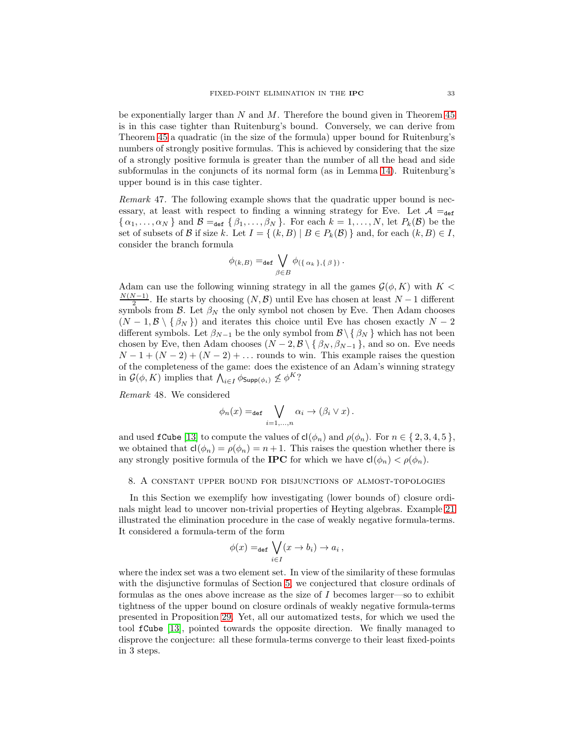be exponentially larger than N and M. Therefore the bound given in Theorem  $45$ is in this case tighter than Ruitenburg's bound. Conversely, we can derive from Theorem [45](#page-31-0) a quadratic (in the size of the formula) upper bound for Ruitenburg's numbers of strongly positive formulas. This is achieved by considering that the size of a strongly positive formula is greater than the number of all the head and side subformulas in the conjuncts of its normal form (as in Lemma [14\)](#page-14-4). Ruitenburg's upper bound is in this case tighter.

*Remark* 47*.* The following example shows that the quadratic upper bound is necessary, at least with respect to finding a winning strategy for Eve. Let  $\mathcal{A} =_{def}$  $\{\alpha_1,\ldots,\alpha_N\}$  and  $\mathcal{B} =_{def} \{\beta_1,\ldots,\beta_N\}$ . For each  $k = 1,\ldots,N$ , let  $P_k(\mathcal{B})$  be the set of subsets of B if size k. Let  $I = \{ (k, B) | B \in P_k(\mathcal{B}) \}$  and, for each  $(k, B) \in I$ , consider the branch formula

$$
\phi_{(k,B)} =_{\text{def}} \bigvee_{\beta \in B} \phi_{(\{\alpha_k\},\{\beta\})}.
$$

Adam can use the following winning strategy in all the games  $\mathcal{G}(\phi, K)$  with  $K <$  $N(N-1)$  $\frac{N-1}{2}$ . He starts by choosing  $(N, \mathcal{B})$  until Eve has chosen at least  $N-1$  different symbols from  $\mathcal{B}$ . Let  $\beta_N$  the only symbol not chosen by Eve. Then Adam chooses  $(N-1, \mathcal{B} \setminus \{\beta_N\})$  and iterates this choice until Eve has chosen exactly  $N-2$ different symbols. Let  $\beta_{N-1}$  be the only symbol from  $\mathcal{B} \setminus {\beta_N}$  which has not been chosen by Eve, then Adam chooses  $(N-2, \mathcal{B} \setminus \{\beta_N, \beta_{N-1}\})$ , and so on. Eve needs  $N-1+(N-2)+(N-2)+...$  rounds to win. This example raises the question of the completeness of the game: does the existence of an Adam's winning strategy in  $\mathcal{G}(\phi, K)$  implies that  $\bigwedge_{i \in I} \phi_{\textsf{Supp}(\phi_i)} \not\leq \phi^K$ ?

<span id="page-32-1"></span>*Remark* 48*.* We considered

$$
\phi_n(x) =_{\text{def}} \bigvee_{i=1,\dots,n} \alpha_i \to (\beta_i \vee x).
$$

and used fCube [\[13\]](#page-36-15) to compute the values of  $\text{cl}(\phi_n)$  and  $\rho(\phi_n)$ . For  $n \in \{2, 3, 4, 5\}$ , we obtained that  $\mathsf{cl}(\phi_n) = \rho(\phi_n) = n+1$ . This raises the question whether there is any strongly positive formula of the **IPC** for which we have  $c_l(\phi_n) < \rho(\phi_n)$ .

### <span id="page-32-0"></span>8. A constant upper bound for disjunctions of almost-topologies

In this Section we exemplify how investigating (lower bounds of) closure ordinals might lead to uncover non-trivial properties of Heyting algebras. Example [21](#page-17-2) illustrated the elimination procedure in the case of weakly negative formula-terms. It considered a formula-term of the form

$$
\phi(x) =_{\text{def}} \bigvee_{i \in I} (x \to b_i) \to a_i ,
$$

where the index set was a two element set. In view of the similarity of these formulas with the disjunctive formulas of Section [5,](#page-12-0) we conjectured that closure ordinals of formulas as the ones above increase as the size of I becomes larger—so to exhibit tightness of the upper bound on closure ordinals of weakly negative formula-terms presented in Proposition [29.](#page-21-0) Yet, all our automatized tests, for which we used the tool fCube [\[13\]](#page-36-15), pointed towards the opposite direction. We finally managed to disprove the conjecture: all these formula-terms converge to their least fixed-points in 3 steps.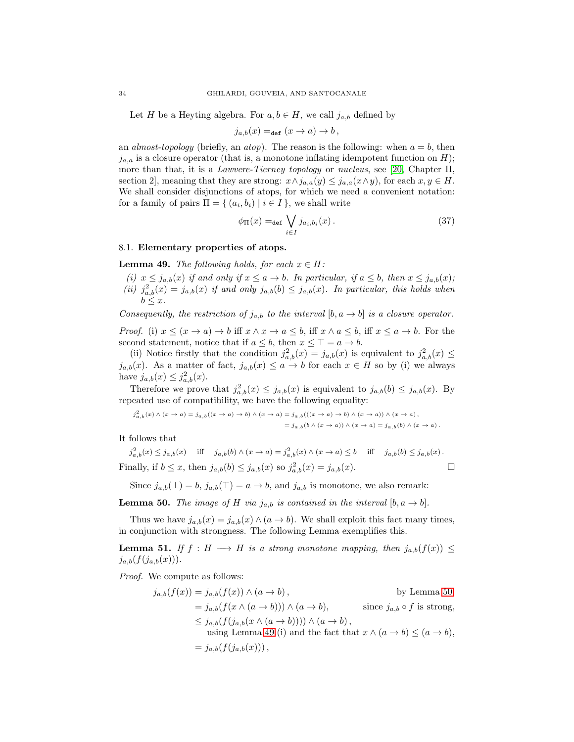Let H be a Heyting algebra. For  $a, b \in H$ , we call  $j_{a,b}$  defined by

 $j_{a,b}(x) =_{\text{def}} (x \to a) \to b,$ 

an *almost-topology* (briefly, an *atop*). The reason is the following: when  $a = b$ , then  $j_{a,a}$  is a closure operator (that is, a monotone inflating idempotent function on H); more than that, it is a *Lawvere-Tierney topology* or *nucleus*, see [\[20,](#page-37-15) Chapter II, section 2], meaning that they are strong:  $x \wedge j_{a,a}(y) \leq j_{a,a}(x \wedge y)$ , for each  $x, y \in H$ . We shall consider disjunctions of atops, for which we need a convenient notation: for a family of pairs  $\Pi = \{ (a_i, b_i) | i \in I \}$ , we shall write

<span id="page-33-3"></span>
$$
\phi_{\Pi}(x) =_{\text{def}} \bigvee_{i \in I} j_{a_i, b_i}(x). \tag{37}
$$

# <span id="page-33-0"></span>8.1. Elementary properties of atops.

<span id="page-33-2"></span>**Lemma 49.** *The following holds, for each*  $x \in H$ :

*(i)*  $x \leq j_{a,b}(x)$  *if and only if*  $x \leq a \rightarrow b$ *. In particular, if*  $a \leq b$ *, then*  $x \leq j_{a,b}(x)$ *;* (*ii*)  $j_{a,b}^2(x) = j_{a,b}(x)$  *if and only*  $j_{a,b}(b) \leq j_{a,b}(x)$ *. In particular, this holds when*  $b \leq x$ .

*Consequently, the restriction of*  $j_{a,b}$  *to the interval*  $[b, a \rightarrow b]$  *is a closure operator.* 

*Proof.* (i)  $x \leq (x \to a) \to b$  iff  $x \wedge x \to a \leq b$ , iff  $x \wedge a \leq b$ , iff  $x \leq a \to b$ . For the second statement, notice that if  $a \leq b$ , then  $x \leq \top = a \rightarrow b$ .

(ii) Notice firstly that the condition  $j_{a,b}^2(x) = j_{a,b}(x)$  is equivalent to  $j_{a,b}^2(x) \leq$  $j_{a,b}(x)$ . As a matter of fact,  $j_{a,b}(x) \leq a \rightarrow b$  for each  $x \in H$  so by (i) we always have  $j_{a,b}(x) \leq j_{a,b}^2(x)$ .

Therefore we prove that  $j_{a,b}^2(x) \leq j_{a,b}(x)$  is equivalent to  $j_{a,b}(b) \leq j_{a,b}(x)$ . By repeated use of compatibility, we have the following equality:

$$
\begin{aligned} j_{a,b}^2(x) \wedge (x \to a) &= j_{a,b}((x \to a) \to b) \wedge (x \to a) = j_{a,b}(((x \to a) \to b) \wedge (x \to a)) \wedge (x \to a), \\ &= j_{a,b}(b \wedge (x \to a)) \wedge (x \to a) = j_{a,b}(b) \wedge (x \to a). \end{aligned}
$$

It follows that

$$
j_{a,b}^2(x) \le j_{a,b}(x) \quad \text{iff} \quad j_{a,b}(b) \land (x \to a) = j_{a,b}^2(x) \land (x \to a) \le b \quad \text{iff} \quad j_{a,b}(b) \le j_{a,b}(x).
$$
\nFinally, if  $b \le x$ , then  $j_{a,b}(b) \le j_{a,b}(x)$  so  $j_{a,b}^2(x) = j_{a,b}(x)$ .

Since  $j_{a,b}(\perp) = b$ ,  $j_{a,b}(\perp) = a \rightarrow b$ , and  $j_{a,b}$  is monotone, we also remark:

<span id="page-33-1"></span>**Lemma 50.** *The image of* H *via*  $j_{a,b}$  *is contained in the interval*  $[b, a \rightarrow b]$ *.* 

Thus we have  $j_{a,b}(x) = j_{a,b}(x) \wedge (a \rightarrow b)$ . We shall exploit this fact many times, in conjunction with strongness. The following Lemma exemplifies this.

<span id="page-33-4"></span>**Lemma 51.** If  $f : H \longrightarrow H$  is a strong monotone mapping, then  $j_{a,b}(f(x)) \leq$  $j_{a,b}(f(j_{a,b}(x))).$ 

*Proof.* We compute as follows:

$$
j_{a,b}(f(x)) = j_{a,b}(f(x)) \land (a \to b),
$$
 by Lemma 50,  
\n
$$
= j_{a,b}(f(x \land (a \to b))) \land (a \to b),
$$
 since  $j_{a,b} \circ f$  is strong,  
\n
$$
\leq j_{a,b}(f(j_{a,b}(x \land (a \to b)))) \land (a \to b),
$$
  
\nusing Lemma 49.(i) and the fact that  $x \land (a \to b) \leq (a \to b),$   
\n
$$
= j_{a,b}(f(j_{a,b}(x))),
$$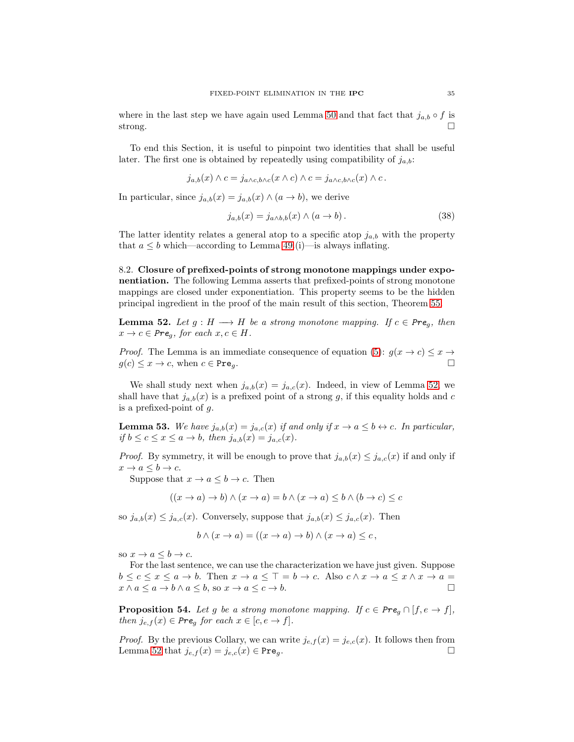where in the last step we have again used Lemma [50](#page-33-1) and that fact that  $j_{a,b} \circ f$  is strong.

To end this Section, it is useful to pinpoint two identities that shall be useful later. The first one is obtained by repeatedly using compatibility of  $j_{a,b}$ :

$$
j_{a,b}(x) \wedge c = j_{a \wedge c, b \wedge c}(x \wedge c) \wedge c = j_{a \wedge c, b \wedge c}(x) \wedge c.
$$

In particular, since  $j_{a,b}(x) = j_{a,b}(x) \wedge (a \rightarrow b)$ , we derive

<span id="page-34-2"></span>
$$
j_{a,b}(x) = j_{a \wedge b,b}(x) \wedge (a \to b).
$$
 (38)

The latter identity relates a general atop to a specific atop  $j_{a,b}$  with the property that  $a \leq b$  which—according to Lemma [49.](#page-33-2)(i)—is always inflating.

<span id="page-34-0"></span>8.2. Closure of prefixed-points of strong monotone mappings under exponentiation. The following Lemma asserts that prefixed-points of strong monotone mappings are closed under exponentiation. This property seems to be the hidden principal ingredient in the proof of the main result of this section, Theorem [55.](#page-35-1)

<span id="page-34-1"></span>**Lemma 52.** Let  $g : H \longrightarrow H$  be a strong monotone mapping. If  $c \in Pre_g$ , then  $x \to c \in Pre_q$ , for each  $x, c \in H$ .

*Proof.* The Lemma is an immediate consequence of equation [\(5\)](#page-9-3):  $g(x \to c) \leq x \to$  $g(c) \leq x \to c$ , when  $c \in \text{Pre}_q$ .

We shall study next when  $j_{a,b}(x) = j_{a,c}(x)$ . Indeed, in view of Lemma [52,](#page-34-1) we shall have that  $j_{a,b}(x)$  is a prefixed point of a strong g, if this equality holds and c is a prefixed-point of g.

**Lemma 53.** *We have*  $j_{a,b}(x) = j_{a,c}(x)$  *if and only if*  $x \to a \leq b \leftrightarrow c$ *. In particular, if*  $b \leq c \leq x \leq a \rightarrow b$ *, then*  $j_{a,b}(x) = j_{a,c}(x)$ *.* 

*Proof.* By symmetry, it will be enough to prove that  $j_{a,b}(x) \leq j_{a,c}(x)$  if and only if  $x \to a \leq b \to c$ .

Suppose that  $x \to a \leq b \to c$ . Then

$$
((x \to a) \to b) \land (x \to a) = b \land (x \to a) \le b \land (b \to c) \le c
$$

so  $j_{a,b}(x) \leq j_{a,c}(x)$ . Conversely, suppose that  $j_{a,b}(x) \leq j_{a,c}(x)$ . Then

$$
b \wedge (x \to a) = ((x \to a) \to b) \wedge (x \to a) \leq c,
$$

so  $x \to a \leq b \to c$ .

For the last sentence, we can use the characterization we have just given. Suppose  $b \leq c \leq x \leq a \to b$ . Then  $x \to a \leq \top = b \to c$ . Also  $c \wedge x \to a \leq x \wedge x \to a =$  $x \wedge a \leq a \to b \wedge a \leq b$ , so  $x \to a \leq c \to b$ .

<span id="page-34-3"></span>**Proposition 54.** *Let* g *be a strong monotone mapping. If*  $c \in Pre_q \cap [f, e \rightarrow f]$ *, then*  $j_{e,f}(x) \in Pre_g$  *for each*  $x \in [c, e \rightarrow f].$ 

*Proof.* By the previous Collary, we can write  $j_{e,f}(x) = j_{e,c}(x)$ . It follows then from Lemma [52](#page-34-1) that  $j_{e,f}(x) = j_{e,c}(x) \in \text{Pre}_g$ .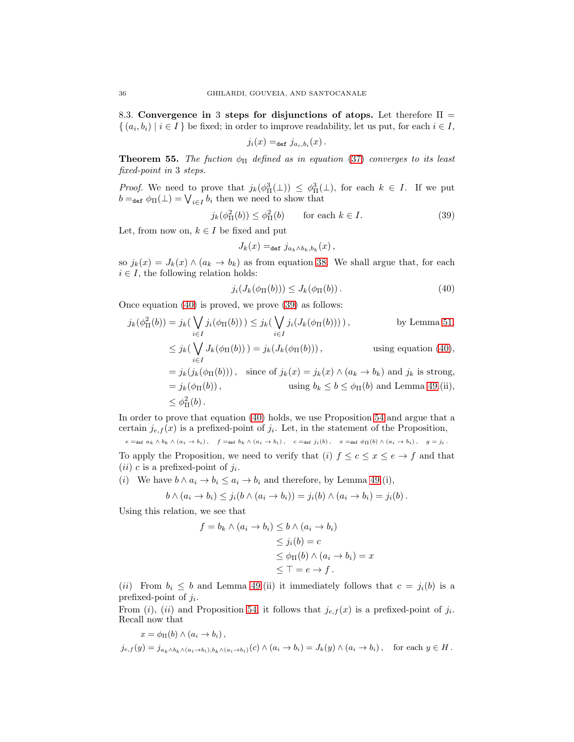<span id="page-35-0"></span>8.3. Convergence in 3 steps for disjunctions of atops. Let therefore  $\Pi =$  $\{(a_i, b_i) \mid i \in I\}$  be fixed; in order to improve readability, let us put, for each  $i \in I$ ,

$$
j_i(x) =_{\text{def}} j_{a_i, b_i}(x).
$$

<span id="page-35-1"></span>**Theorem 55.** *The fuction*  $\phi_{\Pi}$  *defined as in equation* [\(37\)](#page-33-3) *converges to its least fixed-point in* 3 *steps.*

*Proof.* We need to prove that  $j_k(\phi_{\Pi}^3(\perp)) \leq \phi_{\Pi}^3(\perp)$ , for each  $k \in I$ . If we put  $b =_{def} \phi_{\Pi}(\perp) = \bigvee_{i \in I} b_i$  then we need to show that

$$
j_k(\phi_{\Pi}^2(b)) \le \phi_{\Pi}^2(b) \qquad \text{for each } k \in I.
$$
 (39)

Let, from now on,  $k \in I$  be fixed and put

<span id="page-35-3"></span><span id="page-35-2"></span>
$$
J_k(x) =_{\text{def}} j_{a_k \wedge b_k, b_k}(x),
$$

so  $j_k(x) = J_k(x) \wedge (a_k \to b_k)$  as from equation [38.](#page-34-2) We shall argue that, for each  $i \in I$ , the following relation holds:

$$
j_i(J_k(\phi_{\Pi}(b))) \leq J_k(\phi_{\Pi}(b)). \tag{40}
$$

Once equation [\(40\)](#page-35-2) is proved, we prove [\(39\)](#page-35-3) as follows:

$$
j_k(\phi_{\Pi}^2(b)) = j_k(\bigvee_{i \in I} j_i(\phi_{\Pi}(b))) \le j_k(\bigvee_{i \in I} j_i(J_k(\phi_{\Pi}(b))))
$$
, by Lemma 51,  
\n
$$
\le j_k(\bigvee_{i \in I} J_k(\phi_{\Pi}(b))) = j_k(J_k(\phi_{\Pi}(b)))
$$
, using equation (40),  
\n
$$
= j_k(j_k(\phi_{\Pi}(b)))
$$
, since of  $j_k(x) = j_k(x) \land (a_k \rightarrow b_k)$  and  $j_k$  is strong,  
\n
$$
= j_k(\phi_{\Pi}(b))
$$
, using  $b_k \le b \le \phi_{\Pi}(b)$  and Lemma 49.(ii),  
\n
$$
\le \phi_{\Pi}^2(b)
$$
.

In order to prove that equation [\(40\)](#page-35-2) holds, we use Proposition [54](#page-34-3) and argue that a certain  $j_{e,f}(x)$  is a prefixed-point of  $j_i$ . Let, in the statement of the Proposition,

$$
e \hspace{1mm} =_{\textsf{def}} a_k \wedge b_k \wedge (a_i \rightarrow b_i) \, , \quad f =_{\textsf{def}} b_k \wedge (a_i \rightarrow b_i) \, , \quad c =_{\textsf{def}} j_i(b) \, , \quad x =_{\textsf{def}} \phi_\Pi(b) \wedge (a_i \rightarrow b_i) \, , \quad g = j_i \, .
$$

To apply the Proposition, we need to verify that (i)  $f \leq c \leq x \leq e \rightarrow f$  and that  $(ii)$  c is a prefixed-point of  $j_i$ .

(i) We have  $b \wedge a_i \rightarrow b_i \leq a_i \rightarrow b_i$  and therefore, by Lemma [49.](#page-33-2)(i),

$$
b \wedge (a_i \to b_i) \leq j_i(b \wedge (a_i \to b_i)) = j_i(b) \wedge (a_i \to b_i) = j_i(b).
$$

Using this relation, we see that

$$
f = b_k \land (a_i \to b_i) \leq b \land (a_i \to b_i)
$$
  
\n
$$
\leq j_i(b) = c
$$
  
\n
$$
\leq \phi_{\Pi}(b) \land (a_i \to b_i) = x
$$
  
\n
$$
\leq \top = e \to f.
$$

(ii) From  $b_i \leq b$  and Lemma [49.](#page-33-2)(ii) it immediately follows that  $c = j_i(b)$  is a prefixed-point of  $j_i$ .

From (*i*), (*ii*) and Proposition [54,](#page-34-3) it follows that  $j_{e,f}(x)$  is a prefixed-point of  $j_i$ . Recall now that

$$
x = \phi_{\Pi}(b) \land (a_i \to b_i),
$$
  
\n
$$
j_{e,f}(y) = j_{a_k \land b_k \land (a_i \to b_i), b_k \land (a_i \to b_i)}(c) \land (a_i \to b_i) = J_k(y) \land (a_i \to b_i), \text{ for each } y \in H.
$$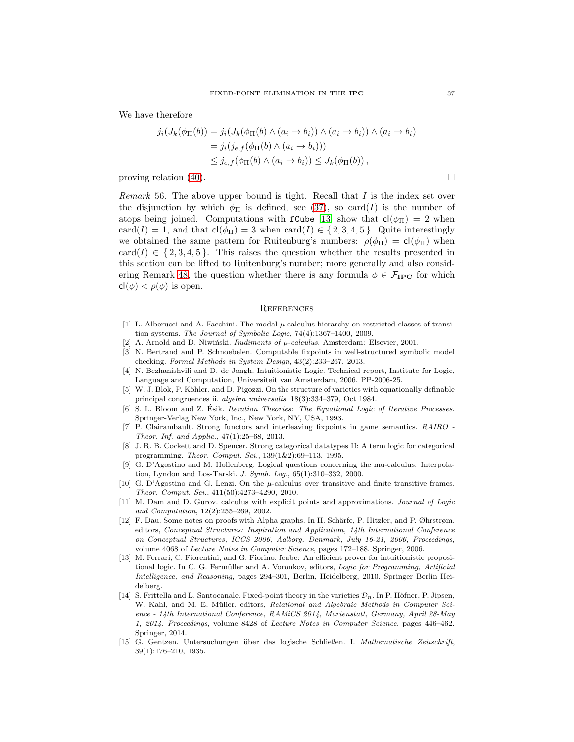We have therefore

$$
j_i(J_k(\phi_{\Pi}(b)) = j_i(J_k(\phi_{\Pi}(b) \land (a_i \rightarrow b_i)) \land (a_i \rightarrow b_i)) \land (a_i \rightarrow b_i)
$$
  
= 
$$
j_i(j_{e,f}(\phi_{\Pi}(b) \land (a_i \rightarrow b_i)))
$$
  

$$
\leq j_{e,f}(\phi_{\Pi}(b) \land (a_i \rightarrow b_i)) \leq J_k(\phi_{\Pi}(b)),
$$

proving relation [\(40\)](#page-35-2).

*Remark* 56*.* The above upper bound is tight. Recall that I is the index set over the disjunction by which  $\phi_{\Pi}$  is defined, see [\(37\)](#page-33-3), so card(I) is the number of atops being joined. Computations with fCube [\[13\]](#page-36-15) show that  $cl(\phi_{\Pi}) = 2$  when card(I) = 1, and that  $cl(\phi_{\Pi}) = 3$  when card(I)  $\in \{2, 3, 4, 5\}$ . Quite interestingly we obtained the same pattern for Ruitenburg's numbers:  $\rho(\phi_{\Pi}) = cl(\phi_{\Pi})$  when  $card(I) \in \{2,3,4,5\}$ . This raises the question whether the results presented in this section can be lifted to Ruitenburg's number; more generally and also consid-ering Remark [48,](#page-32-1) the question whether there is any formula  $\phi \in \mathcal{F}_{\text{IPC}}$  for which  $cl(\phi) < \rho(\phi)$  is open.

### <span id="page-36-9"></span>**REFERENCES**

- <span id="page-36-5"></span>[1] L. Alberucci and A. Facchini. The modal  $\mu$ -calculus hierarchy on restricted classes of transition systems. *The Journal of Symbolic Logic*, 74(4):1367–1400, 2009.
- <span id="page-36-7"></span><span id="page-36-0"></span>[2] A. Arnold and D. Niwiński. *Rudiments of*  $\mu$ *-calculus*. Amsterdam: Elsevier, 2001.
- [3] N. Bertrand and P. Schnoebelen. Computable fixpoints in well-structured symbolic model checking. *Formal Methods in System Design*, 43(2):233–267, 2013.
- <span id="page-36-11"></span>[4] N. Bezhanishvili and D. de Jongh. Intuitionistic Logic. Technical report, Institute for Logic, Language and Computation, Universiteit van Amsterdam, 2006. PP-2006-25.
- <span id="page-36-4"></span>[5] W. J. Blok, P. Köhler, and D. Pigozzi. On the structure of varieties with equationally definable principal congruences ii. *algebra universalis*, 18(3):334–379, Oct 1984.
- <span id="page-36-8"></span>[6] S. L. Bloom and Z. Ésik. *Iteration Theories: The Equational Logic of Iterative Processes*. Springer-Verlag New York, Inc., New York, NY, USA, 1993.
- <span id="page-36-12"></span>[7] P. Clairambault. Strong functors and interleaving fixpoints in game semantics. *RAIRO - Theor. Inf. and Applic.*, 47(1):25–68, 2013.
- <span id="page-36-13"></span>[8] J. R. B. Cockett and D. Spencer. Strong categorical datatypes II: A term logic for categorical programming. *Theor. Comput. Sci.*, 139(1&2):69–113, 1995.
- <span id="page-36-1"></span>[9] G. D'Agostino and M. Hollenberg. Logical questions concerning the mu-calculus: Interpolation, Lyndon and Los-Tarski. *J. Symb. Log.*, 65(1):310–332, 2000.
- <span id="page-36-6"></span>[10] G. D'Agostino and G. Lenzi. On the  $\mu$ -calculus over transitive and finite transitive frames. *Theor. Comput. Sci.*, 411(50):4273–4290, 2010.
- <span id="page-36-3"></span>[11] M. Dam and D. Gurov. calculus with explicit points and approximations. *Journal of Logic and Computation*, 12(2):255–269, 2002.
- <span id="page-36-14"></span>[12] F. Dau. Some notes on proofs with Alpha graphs. In H. Schärfe, P. Hitzler, and P. Øhrstrøm, editors, *Conceptual Structures: Inspiration and Application, 14th International Conference on Conceptual Structures, ICCS 2006, Aalborg, Denmark, July 16-21, 2006, Proceedings*, volume 4068 of *Lecture Notes in Computer Science*, pages 172–188. Springer, 2006.
- <span id="page-36-15"></span>[13] M. Ferrari, C. Fiorentini, and G. Fiorino. fcube: An efficient prover for intuitionistic propositional logic. In C. G. Fermüller and A. Voronkov, editors, *Logic for Programming, Artificial Intelligence, and Reasoning*, pages 294–301, Berlin, Heidelberg, 2010. Springer Berlin Heidelberg.
- <span id="page-36-2"></span>[14] S. Frittella and L. Santocanale. Fixed-point theory in the varieties  $\mathcal{D}_n$ . In P. Höfner, P. Jipsen, W. Kahl, and M. E. Müller, editors, *Relational and Algebraic Methods in Computer Science - 14th International Conference, RAMiCS 2014, Marienstatt, Germany, April 28-May 1, 2014. Proceedings*, volume 8428 of *Lecture Notes in Computer Science*, pages 446–462. Springer, 2014.
- <span id="page-36-10"></span>[15] G. Gentzen. Untersuchungen ¨uber das logische Schließen. I. *Mathematische Zeitschrift*, 39(1):176–210, 1935.